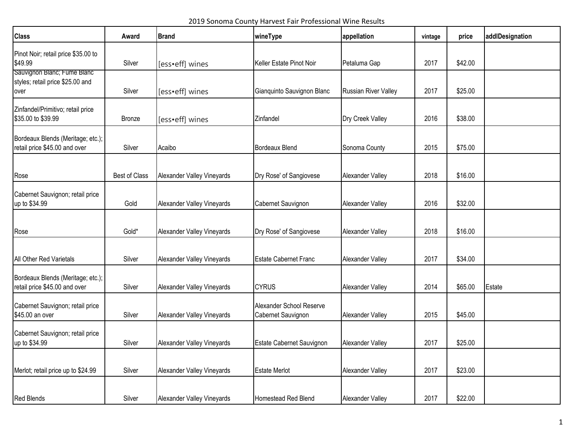2019 Sonoma County Harvest Fair Professional Wine Results

| <b>Class</b>                                                            | Award         | <b>Brand</b>               | wineType                                       | appellation          | vintage | price   | addlDesignation |
|-------------------------------------------------------------------------|---------------|----------------------------|------------------------------------------------|----------------------|---------|---------|-----------------|
| Pinot Noir; retail price \$35.00 to<br>\$49.99                          | Silver        | [ess•eff] wines            | Keller Estate Pinot Noir                       | Petaluma Gap         | 2017    | \$42.00 |                 |
| Sauvignon Blanc; Fume Blanc<br>styles; retail price \$25.00 and<br>over | Silver        | [ess•eff] wines            | Gianquinto Sauvignon Blanc                     | Russian River Valley | 2017    | \$25.00 |                 |
| Zinfandel/Primitivo; retail price<br>\$35.00 to \$39.99                 | Bronze        | [ess•eff] wines            | Zinfandel                                      | Dry Creek Valley     | 2016    | \$38.00 |                 |
| Bordeaux Blends (Meritage; etc.);<br>retail price \$45.00 and over      | Silver        | Acaibo                     | Bordeaux Blend                                 | Sonoma County        | 2015    | \$75.00 |                 |
| Rose                                                                    | Best of Class | Alexander Valley Vineyards | Dry Rose' of Sangiovese                        | Alexander Valley     | 2018    | \$16.00 |                 |
| Cabernet Sauvignon; retail price<br>up to \$34.99                       | Gold          | Alexander Valley Vineyards | Cabernet Sauvignon                             | Alexander Valley     | 2016    | \$32.00 |                 |
| Rose                                                                    | Gold*         | Alexander Valley Vineyards | Dry Rose' of Sangiovese                        | Alexander Valley     | 2018    | \$16.00 |                 |
| All Other Red Varietals                                                 | Silver        | Alexander Valley Vineyards | <b>Estate Cabernet Franc</b>                   | Alexander Valley     | 2017    | \$34.00 |                 |
| Bordeaux Blends (Meritage; etc.);<br>retail price \$45.00 and over      | Silver        | Alexander Valley Vineyards | <b>CYRUS</b>                                   | Alexander Valley     | 2014    | \$65.00 | Estate          |
| Cabernet Sauvignon; retail price<br>\$45.00 an over                     | Silver        | Alexander Valley Vineyards | Alexander School Reserve<br>Cabernet Sauvignon | Alexander Valley     | 2015    | \$45.00 |                 |
| Cabernet Sauvignon; retail price<br>up to \$34.99                       | Silver        | Alexander Valley Vineyards | Estate Cabernet Sauvignon                      | Alexander Valley     | 2017    | \$25.00 |                 |
| Merlot; retail price up to \$24.99                                      | Silver        | Alexander Valley Vineyards | <b>Estate Merlot</b>                           | Alexander Valley     | 2017    | \$23.00 |                 |
| <b>Red Blends</b>                                                       | Silver        | Alexander Valley Vineyards | <b>Homestead Red Blend</b>                     | Alexander Valley     | 2017    | \$22.00 |                 |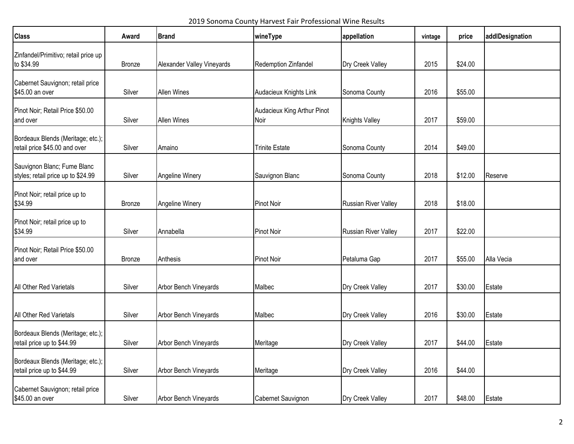2019 Sonoma County Harvest Fair Professional Wine Results

| <b>Class</b>                                                       | Award         | <b>Brand</b>                 | wineType                            | appellation                 | vintage | price   | addlDesignation |
|--------------------------------------------------------------------|---------------|------------------------------|-------------------------------------|-----------------------------|---------|---------|-----------------|
| Zinfandel/Primitivo; retail price up<br>to \$34.99                 | Bronze        | Alexander Valley Vineyards   | Redemption Zinfandel                | Dry Creek Valley            | 2015    | \$24.00 |                 |
| Cabernet Sauvignon; retail price<br>\$45.00 an over                | Silver        | <b>Allen Wines</b>           | Audacieux Knights Link              | Sonoma County               | 2016    | \$55.00 |                 |
| Pinot Noir; Retail Price \$50.00<br>and over                       | Silver        | <b>Allen Wines</b>           | Audacieux King Arthur Pinot<br>Noir | <b>Knights Valley</b>       | 2017    | \$59.00 |                 |
| Bordeaux Blends (Meritage; etc.);<br>retail price \$45.00 and over | Silver        | Amaino                       | <b>Trinite Estate</b>               | Sonoma County               | 2014    | \$49.00 |                 |
| Sauvignon Blanc; Fume Blanc<br>styles; retail price up to \$24.99  | Silver        | Angeline Winery              | Sauvignon Blanc                     | Sonoma County               | 2018    | \$12.00 | Reserve         |
| Pinot Noir; retail price up to<br>\$34.99                          | <b>Bronze</b> | Angeline Winery              | <b>Pinot Noir</b>                   | Russian River Valley        | 2018    | \$18.00 |                 |
| Pinot Noir; retail price up to<br>\$34.99                          | Silver        | Annabella                    | Pinot Noir                          | <b>Russian River Valley</b> | 2017    | \$22.00 |                 |
| Pinot Noir; Retail Price \$50.00<br>and over                       | Bronze        | Anthesis                     | Pinot Noir                          | Petaluma Gap                | 2017    | \$55.00 | Alla Vecia      |
| All Other Red Varietals                                            | Silver        | Arbor Bench Vineyards        | Malbec                              | Dry Creek Valley            | 2017    | \$30.00 | Estate          |
| All Other Red Varietals                                            | Silver        | <b>Arbor Bench Vineyards</b> | Malbec                              | Dry Creek Valley            | 2016    | \$30.00 | Estate          |
| Bordeaux Blends (Meritage; etc.);<br>retail price up to \$44.99    | Silver        | Arbor Bench Vineyards        | Meritage                            | Dry Creek Valley            | 2017    | \$44.00 | Estate          |
| Bordeaux Blends (Meritage; etc.);<br>retail price up to \$44.99    | Silver        | Arbor Bench Vineyards        | Meritage                            | Dry Creek Valley            | 2016    | \$44.00 |                 |
| Cabernet Sauvignon; retail price<br>\$45.00 an over                | Silver        | Arbor Bench Vineyards        | Cabernet Sauvignon                  | Dry Creek Valley            | 2017    | \$48.00 | Estate          |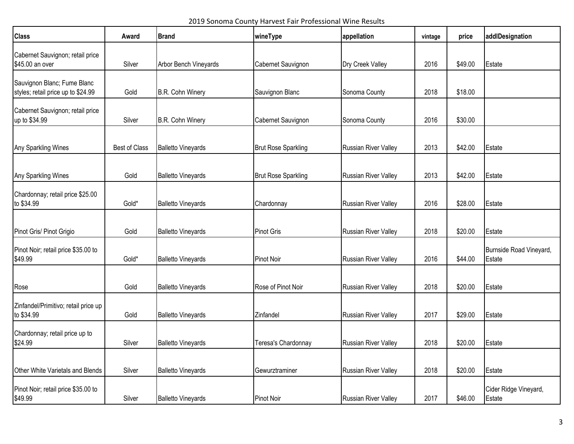2019 Sonoma County Harvest Fair Professional Wine Results

| <b>Class</b>                                                      | Award         | <b>Brand</b>              | wineType                   | appellation                 | vintage | price   | addlDesignation                   |
|-------------------------------------------------------------------|---------------|---------------------------|----------------------------|-----------------------------|---------|---------|-----------------------------------|
| Cabernet Sauvignon; retail price<br>\$45.00 an over               | Silver        | Arbor Bench Vineyards     | Cabernet Sauvignon         | Dry Creek Valley            | 2016    | \$49.00 | Estate                            |
| Sauvignon Blanc; Fume Blanc<br>styles; retail price up to \$24.99 | Gold          | B.R. Cohn Winery          | Sauvignon Blanc            | Sonoma County               | 2018    | \$18.00 |                                   |
| Cabernet Sauvignon; retail price<br>up to \$34.99                 | Silver        | B.R. Cohn Winery          | Cabernet Sauvignon         | Sonoma County               | 2016    | \$30.00 |                                   |
| Any Sparkling Wines                                               | Best of Class | <b>Balletto Vineyards</b> | <b>Brut Rose Sparkling</b> | <b>Russian River Valley</b> | 2013    | \$42.00 | Estate                            |
| Any Sparkling Wines                                               | Gold          | <b>Balletto Vineyards</b> | <b>Brut Rose Sparkling</b> | <b>Russian River Valley</b> | 2013    | \$42.00 | Estate                            |
| Chardonnay; retail price \$25.00<br>to \$34.99                    | Gold*         | <b>Balletto Vineyards</b> | Chardonnay                 | <b>Russian River Valley</b> | 2016    | \$28.00 | Estate                            |
| Pinot Gris/ Pinot Grigio                                          | Gold          | <b>Balletto Vineyards</b> | <b>Pinot Gris</b>          | Russian River Valley        | 2018    | \$20.00 | Estate                            |
| Pinot Noir; retail price \$35.00 to<br>\$49.99                    | Gold*         | <b>Balletto Vineyards</b> | <b>Pinot Noir</b>          | <b>Russian River Valley</b> | 2016    | \$44.00 | Burnside Road Vineyard,<br>Estate |
| Rose                                                              | Gold          | <b>Balletto Vineyards</b> | Rose of Pinot Noir         | <b>Russian River Valley</b> | 2018    | \$20.00 | Estate                            |
| Zinfandel/Primitivo; retail price up<br>to \$34.99                | Gold          | <b>Balletto Vineyards</b> | Zinfandel                  | <b>Russian River Valley</b> | 2017    | \$29.00 | Estate                            |
| Chardonnay; retail price up to<br>\$24.99                         | Silver        | <b>Balletto Vineyards</b> | Teresa's Chardonnay        | <b>Russian River Valley</b> | 2018    | \$20.00 | Estate                            |
| Other White Varietals and Blends                                  | Silver        | <b>Balletto Vineyards</b> | Gewurztraminer             | Russian River Valley        | 2018    | \$20.00 | Estate                            |
| Pinot Noir; retail price \$35.00 to<br>\$49.99                    | Silver        | <b>Balletto Vineyards</b> | Pinot Noir                 | Russian River Valley        | 2017    | \$46.00 | Cider Ridge Vineyard,<br>Estate   |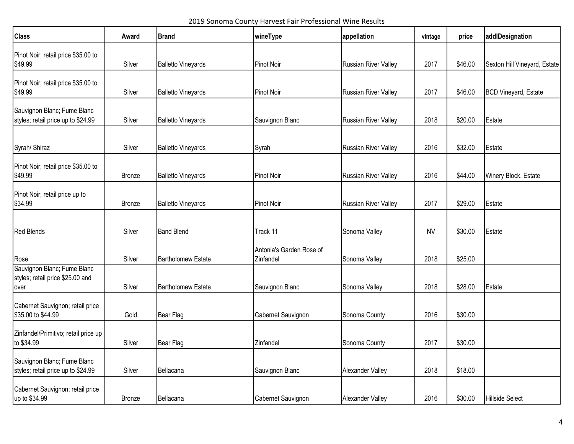2019 Sonoma County Harvest Fair Professional Wine Results

| <b>Class</b>                                                            | Award         | <b>Brand</b>              | wineType                              | appellation          | vintage   | price   | addlDesignation              |
|-------------------------------------------------------------------------|---------------|---------------------------|---------------------------------------|----------------------|-----------|---------|------------------------------|
| Pinot Noir; retail price \$35.00 to<br>\$49.99                          | Silver        | <b>Balletto Vineyards</b> | <b>Pinot Noir</b>                     | Russian River Valley | 2017      | \$46.00 | Sexton Hill Vineyard, Estate |
| Pinot Noir; retail price \$35.00 to<br>\$49.99                          | Silver        | <b>Balletto Vineyards</b> | <b>Pinot Noir</b>                     | Russian River Valley | 2017      | \$46.00 | <b>BCD Vineyard, Estate</b>  |
| Sauvignon Blanc; Fume Blanc<br>styles; retail price up to \$24.99       | Silver        | <b>Balletto Vineyards</b> | Sauvignon Blanc                       | Russian River Valley | 2018      | \$20.00 | Estate                       |
| Syrah/ Shiraz                                                           | Silver        | <b>Balletto Vineyards</b> | Syrah                                 | Russian River Valley | 2016      | \$32.00 | Estate                       |
| Pinot Noir; retail price \$35.00 to<br>\$49.99                          | <b>Bronze</b> | <b>Balletto Vineyards</b> | <b>Pinot Noir</b>                     | Russian River Valley | 2016      | \$44.00 | Winery Block, Estate         |
| Pinot Noir; retail price up to<br>\$34.99                               | <b>Bronze</b> | <b>Balletto Vineyards</b> | <b>Pinot Noir</b>                     | Russian River Valley | 2017      | \$29.00 | Estate                       |
| Red Blends                                                              | Silver        | <b>Band Blend</b>         | Track 11                              | Sonoma Valley        | <b>NV</b> | \$30.00 | Estate                       |
| Rose                                                                    | Silver        | <b>Bartholomew Estate</b> | Antonia's Garden Rose of<br>Zinfandel | Sonoma Valley        | 2018      | \$25.00 |                              |
| Sauvignon Blanc; Fume Blanc<br>styles; retail price \$25.00 and<br>over | Silver        | <b>Bartholomew Estate</b> | Sauvignon Blanc                       | Sonoma Valley        | 2018      | \$28.00 | Estate                       |
| Cabernet Sauvignon; retail price<br>\$35.00 to \$44.99                  | Gold          | Bear Flag                 | Cabernet Sauvignon                    | Sonoma County        | 2016      | \$30.00 |                              |
| Zinfandel/Primitivo; retail price up<br>to \$34.99                      | Silver        | Bear Flag                 | Zinfandel                             | Sonoma County        | 2017      | \$30.00 |                              |
| Sauvignon Blanc; Fume Blanc<br>styles; retail price up to \$24.99       | Silver        | Bellacana                 | Sauvignon Blanc                       | Alexander Valley     | 2018      | \$18.00 |                              |
| Cabernet Sauvignon; retail price<br>up to \$34.99                       | Bronze        | Bellacana                 | Cabernet Sauvignon                    | Alexander Valley     | 2016      | \$30.00 | Hillside Select              |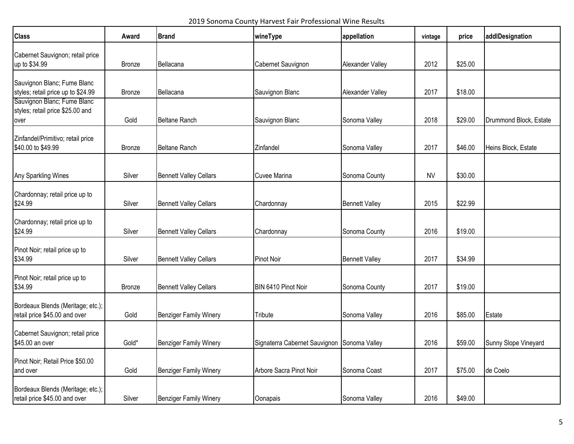2019 Sonoma County Harvest Fair Professional Wine Results

| <b>Class</b>                                                       | Award         | <b>Brand</b>                  | wineType                      | appellation           | vintage   | price   | addlDesignation        |
|--------------------------------------------------------------------|---------------|-------------------------------|-------------------------------|-----------------------|-----------|---------|------------------------|
| Cabernet Sauvignon; retail price                                   |               | Bellacana                     |                               |                       |           | \$25.00 |                        |
| up to \$34.99                                                      | <b>Bronze</b> |                               | Cabernet Sauvignon            | Alexander Valley      | 2012      |         |                        |
| Sauvignon Blanc; Fume Blanc<br>styles; retail price up to \$24.99  | <b>Bronze</b> | Bellacana                     | Sauvignon Blanc               | Alexander Valley      | 2017      | \$18.00 |                        |
| Sauvignon Blanc; Fume Blanc<br>styles; retail price \$25.00 and    |               |                               |                               |                       |           |         |                        |
| over                                                               | Gold          | Beltane Ranch                 | Sauvignon Blanc               | Sonoma Valley         | 2018      | \$29.00 | Drummond Block, Estate |
| Zinfandel/Primitivo; retail price<br>\$40.00 to \$49.99            | Bronze        | Beltane Ranch                 | Zinfandel                     | Sonoma Valley         | 2017      | \$46.00 | Heins Block, Estate    |
|                                                                    |               |                               |                               |                       |           |         |                        |
| Any Sparkling Wines                                                | Silver        | <b>Bennett Valley Cellars</b> | <b>Cuvee Marina</b>           | Sonoma County         | <b>NV</b> | \$30.00 |                        |
| Chardonnay; retail price up to<br>\$24.99                          | Silver        | <b>Bennett Valley Cellars</b> | Chardonnay                    | <b>Bennett Valley</b> | 2015      | \$22.99 |                        |
| Chardonnay; retail price up to<br>\$24.99                          | Silver        | <b>Bennett Valley Cellars</b> | Chardonnay                    | Sonoma County         | 2016      | \$19.00 |                        |
| Pinot Noir; retail price up to<br>\$34.99                          | Silver        | <b>Bennett Valley Cellars</b> | <b>Pinot Noir</b>             | <b>Bennett Valley</b> | 2017      | \$34.99 |                        |
| Pinot Noir; retail price up to<br>\$34.99                          | Bronze        | <b>Bennett Valley Cellars</b> | BIN 6410 Pinot Noir           | Sonoma County         | 2017      | \$19.00 |                        |
| Bordeaux Blends (Meritage; etc.);<br>retail price \$45.00 and over | Gold          | Benziger Family Winery        | Tribute                       | Sonoma Valley         | 2016      | \$85.00 | Estate                 |
| Cabernet Sauvignon; retail price<br>\$45.00 an over                | Gold*         | Benziger Family Winery        | Signaterra Cabernet Sauvignon | Sonoma Valley         | 2016      | \$59.00 | Sunny Slope Vineyard   |
| Pinot Noir; Retail Price \$50.00<br>and over                       | Gold          | Benziger Family Winery        | Arbore Sacra Pinot Noir       | Sonoma Coast          | 2017      | \$75.00 | de Coelo               |
| Bordeaux Blends (Meritage; etc.);<br>retail price \$45.00 and over | Silver        | <b>Benziger Family Winery</b> | Oonapais                      | Sonoma Valley         | 2016      | \$49.00 |                        |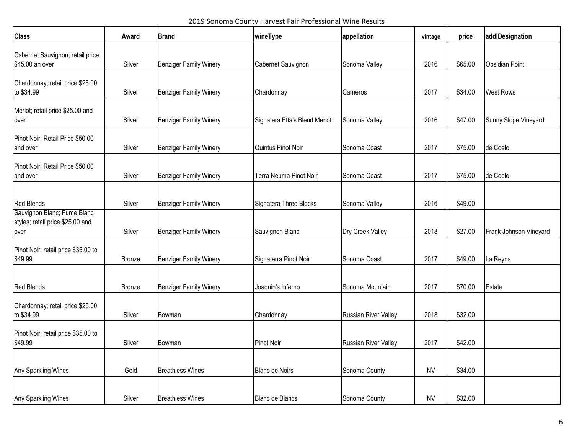2019 Sonoma County Harvest Fair Professional Wine Results

| <b>Class</b>                                                            | Award  | <b>Brand</b>                  | wineType                      | appellation                 | vintage   | price   | addlDesignation        |
|-------------------------------------------------------------------------|--------|-------------------------------|-------------------------------|-----------------------------|-----------|---------|------------------------|
| Cabernet Sauvignon; retail price<br>\$45.00 an over                     | Silver | <b>Benziger Family Winery</b> | Cabernet Sauvignon            | Sonoma Valley               | 2016      | \$65.00 | <b>Obsidian Point</b>  |
| Chardonnay; retail price \$25.00<br>to \$34.99                          | Silver | <b>Benziger Family Winery</b> | Chardonnay                    | Carneros                    | 2017      | \$34.00 | <b>West Rows</b>       |
| Merlot; retail price \$25.00 and<br>over                                | Silver | <b>Benziger Family Winery</b> | Signatera Etta's Blend Merlot | Sonoma Valley               | 2016      | \$47.00 | Sunny Slope Vineyard   |
| Pinot Noir; Retail Price \$50.00<br>and over                            | Silver | <b>Benziger Family Winery</b> | Quintus Pinot Noir            | Sonoma Coast                | 2017      | \$75.00 | de Coelo               |
| Pinot Noir; Retail Price \$50.00<br>and over                            | Silver | <b>Benziger Family Winery</b> | Terra Neuma Pinot Noir        | Sonoma Coast                | 2017      | \$75.00 | de Coelo               |
| <b>Red Blends</b>                                                       | Silver | <b>Benziger Family Winery</b> | Signatera Three Blocks        | Sonoma Valley               | 2016      | \$49.00 |                        |
| Sauvignon Blanc; Fume Blanc<br>styles; retail price \$25.00 and<br>over | Silver | <b>Benziger Family Winery</b> | Sauvignon Blanc               | Dry Creek Valley            | 2018      | \$27.00 | Frank Johnson Vineyard |
| Pinot Noir; retail price \$35.00 to<br>\$49.99                          | Bronze | <b>Benziger Family Winery</b> | Signaterra Pinot Noir         | Sonoma Coast                | 2017      | \$49.00 | La Reyna               |
| <b>Red Blends</b>                                                       | Bronze | <b>Benziger Family Winery</b> | Joaquin's Inferno             | Sonoma Mountain             | 2017      | \$70.00 | Estate                 |
| Chardonnay; retail price \$25.00<br>to \$34.99                          | Silver | Bowman                        | Chardonnay                    | <b>Russian River Valley</b> | 2018      | \$32.00 |                        |
| Pinot Noir; retail price \$35.00 to<br>\$49.99                          | Silver | Bowman                        | Pinot Noir                    | Russian River Valley        | 2017      | \$42.00 |                        |
| Any Sparkling Wines                                                     | Gold   | <b>Breathless Wines</b>       | <b>Blanc de Noirs</b>         | Sonoma County               | <b>NV</b> | \$34.00 |                        |
| Any Sparkling Wines                                                     | Silver | <b>Breathless Wines</b>       | <b>Blanc de Blancs</b>        | Sonoma County               | <b>NV</b> | \$32.00 |                        |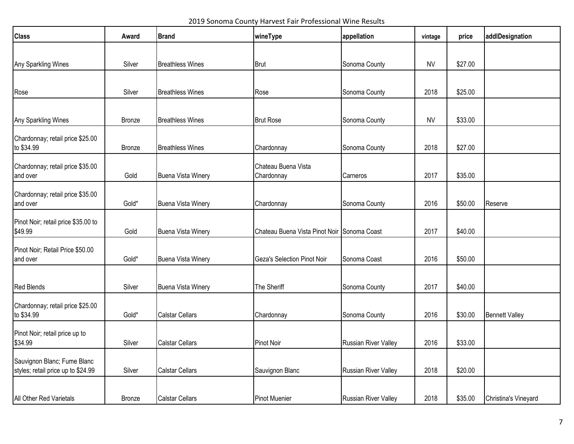2019 Sonoma County Harvest Fair Professional Wine Results

| <b>Class</b>                                                      | Award  | <b>Brand</b>              | wineType                                    | appellation          | vintage   | price   | addlDesignation       |
|-------------------------------------------------------------------|--------|---------------------------|---------------------------------------------|----------------------|-----------|---------|-----------------------|
|                                                                   |        |                           |                                             |                      |           |         |                       |
| Any Sparkling Wines                                               | Silver | <b>Breathless Wines</b>   | <b>Brut</b>                                 | Sonoma County        | <b>NV</b> | \$27.00 |                       |
|                                                                   |        |                           |                                             |                      |           |         |                       |
| Rose                                                              | Silver | <b>Breathless Wines</b>   | Rose                                        | Sonoma County        | 2018      | \$25.00 |                       |
| Any Sparkling Wines                                               | Bronze | <b>Breathless Wines</b>   | <b>Brut Rose</b>                            | Sonoma County        | <b>NV</b> | \$33.00 |                       |
| Chardonnay; retail price \$25.00<br>to \$34.99                    | Bronze | <b>Breathless Wines</b>   | Chardonnay                                  | Sonoma County        | 2018      | \$27.00 |                       |
| Chardonnay; retail price \$35.00<br>and over                      | Gold   | <b>Buena Vista Winery</b> | Chateau Buena Vista<br>Chardonnay           | Carneros             | 2017      | \$35.00 |                       |
| Chardonnay; retail price \$35.00<br>and over                      | Gold*  | <b>Buena Vista Winery</b> | Chardonnay                                  | Sonoma County        | 2016      | \$50.00 | Reserve               |
| Pinot Noir; retail price \$35.00 to<br>\$49.99                    | Gold   | <b>Buena Vista Winery</b> | Chateau Buena Vista Pinot Noir Sonoma Coast |                      | 2017      | \$40.00 |                       |
| Pinot Noir; Retail Price \$50.00<br>and over                      | Gold*  | <b>Buena Vista Winery</b> | <b>Geza's Selection Pinot Noir</b>          | Sonoma Coast         | 2016      | \$50.00 |                       |
| <b>Red Blends</b>                                                 | Silver | <b>Buena Vista Winery</b> | The Sheriff                                 | Sonoma County        | 2017      | \$40.00 |                       |
| Chardonnay; retail price \$25.00<br>to \$34.99                    | Gold*  | <b>Calstar Cellars</b>    | Chardonnay                                  | Sonoma County        | 2016      | \$30.00 | <b>Bennett Valley</b> |
| Pinot Noir; retail price up to<br>\$34.99                         | Silver | <b>Calstar Cellars</b>    | <b>Pinot Noir</b>                           | Russian River Valley | 2016      | \$33.00 |                       |
| Sauvignon Blanc; Fume Blanc<br>styles; retail price up to \$24.99 | Silver | <b>Calstar Cellars</b>    | Sauvignon Blanc                             | Russian River Valley | 2018      | \$20.00 |                       |
| All Other Red Varietals                                           | Bronze | <b>Calstar Cellars</b>    | <b>Pinot Muenier</b>                        | Russian River Valley | 2018      | \$35.00 | Christina's Vineyard  |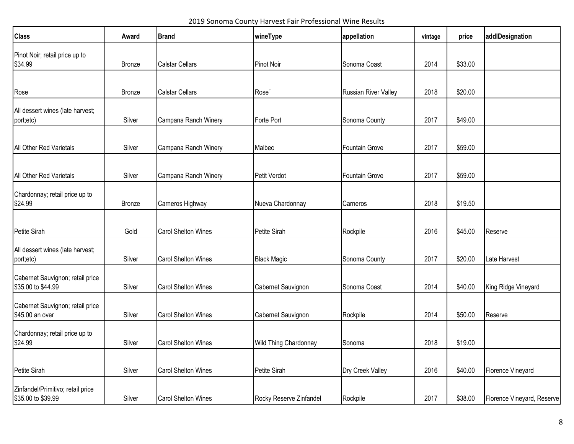2019 Sonoma County Harvest Fair Professional Wine Results

| <b>Class</b>                                            | Award         | <b>Brand</b>               | wineType                | appellation           | vintage | price   | addlDesignation            |
|---------------------------------------------------------|---------------|----------------------------|-------------------------|-----------------------|---------|---------|----------------------------|
| Pinot Noir; retail price up to<br>\$34.99               | Bronze        | <b>Calstar Cellars</b>     | Pinot Noir              | Sonoma Coast          | 2014    | \$33.00 |                            |
|                                                         |               |                            |                         |                       |         |         |                            |
| Rose                                                    | <b>Bronze</b> | <b>Calstar Cellars</b>     | Rose <sup>®</sup>       | Russian River Valley  | 2018    | \$20.00 |                            |
| All dessert wines (late harvest;<br>port;etc)           | Silver        | Campana Ranch Winery       | Forte Port              | Sonoma County         | 2017    | \$49.00 |                            |
| All Other Red Varietals                                 | Silver        | Campana Ranch Winery       | Malbec                  | Fountain Grove        | 2017    | \$59.00 |                            |
| All Other Red Varietals                                 | Silver        | Campana Ranch Winery       | Petit Verdot            | <b>Fountain Grove</b> | 2017    | \$59.00 |                            |
| Chardonnay; retail price up to<br>\$24.99               | <b>Bronze</b> | Carneros Highway           | Nueva Chardonnay        | Carneros              | 2018    | \$19.50 |                            |
| Petite Sirah                                            | Gold          | <b>Carol Shelton Wines</b> | Petite Sirah            | Rockpile              | 2016    | \$45.00 | Reserve                    |
| All dessert wines (late harvest;<br>port;etc)           | Silver        | Carol Shelton Wines        | <b>Black Magic</b>      | Sonoma County         | 2017    | \$20.00 | Late Harvest               |
| Cabernet Sauvignon; retail price<br>\$35.00 to \$44.99  | Silver        | <b>Carol Shelton Wines</b> | Cabernet Sauvignon      | Sonoma Coast          | 2014    | \$40.00 | King Ridge Vineyard        |
| Cabernet Sauvignon; retail price<br>\$45.00 an over     | Silver        | Carol Shelton Wines        | Cabernet Sauvignon      | Rockpile              | 2014    | \$50.00 | Reserve                    |
| Chardonnay; retail price up to<br>\$24.99               | Silver        | <b>Carol Shelton Wines</b> | Wild Thing Chardonnay   | Sonoma                | 2018    | \$19.00 |                            |
| Petite Sirah                                            | Silver        | <b>Carol Shelton Wines</b> | Petite Sirah            | Dry Creek Valley      | 2016    | \$40.00 | Florence Vineyard          |
| Zinfandel/Primitivo; retail price<br>\$35.00 to \$39.99 | Silver        | <b>Carol Shelton Wines</b> | Rocky Reserve Zinfandel | Rockpile              | 2017    | \$38.00 | Florence Vineyard, Reserve |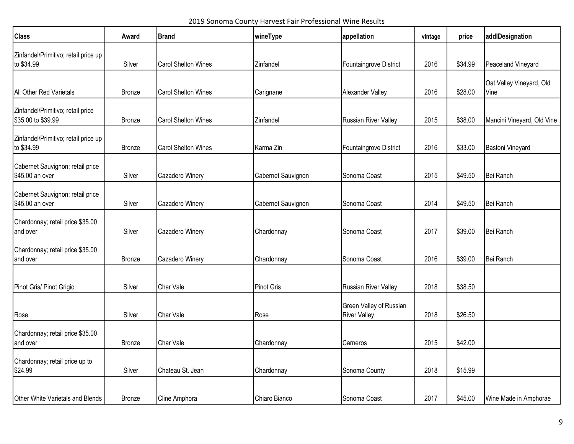2019 Sonoma County Harvest Fair Professional Wine Results

| <b>Class</b>                                            | Award         | <b>Brand</b>               | wineType           | appellation                                    | vintage | price   | addlDesignation                  |
|---------------------------------------------------------|---------------|----------------------------|--------------------|------------------------------------------------|---------|---------|----------------------------------|
| Zinfandel/Primitivo; retail price up<br>to \$34.99      | Silver        | <b>Carol Shelton Wines</b> | Zinfandel          | Fountaingrove District                         | 2016    | \$34.99 | Peaceland Vineyard               |
| All Other Red Varietals                                 | <b>Bronze</b> | <b>Carol Shelton Wines</b> | Carignane          | Alexander Valley                               | 2016    | \$28.00 | Oat Valley Vineyard, Old<br>Vine |
| Zinfandel/Primitivo; retail price<br>\$35.00 to \$39.99 | Bronze        | <b>Carol Shelton Wines</b> | Zinfandel          | <b>Russian River Valley</b>                    | 2015    | \$38.00 | Mancini Vineyard, Old Vine       |
| Zinfandel/Primitivo; retail price up<br>to \$34.99      | Bronze        | <b>Carol Shelton Wines</b> | Karma Zin          | Fountaingrove District                         | 2016    | \$33.00 | Bastoni Vineyard                 |
| Cabernet Sauvignon; retail price<br>\$45.00 an over     | Silver        | Cazadero Winery            | Cabernet Sauvignon | Sonoma Coast                                   | 2015    | \$49.50 | Bei Ranch                        |
| Cabernet Sauvignon; retail price<br>\$45.00 an over     | Silver        | Cazadero Winery            | Cabernet Sauvignon | Sonoma Coast                                   | 2014    | \$49.50 | Bei Ranch                        |
| Chardonnay; retail price \$35.00<br>and over            | Silver        | Cazadero Winery            | Chardonnay         | Sonoma Coast                                   | 2017    | \$39.00 | Bei Ranch                        |
| Chardonnay; retail price \$35.00<br>and over            | <b>Bronze</b> | Cazadero Winery            | Chardonnay         | Sonoma Coast                                   | 2016    | \$39.00 | Bei Ranch                        |
| Pinot Gris/ Pinot Grigio                                | Silver        | Char Vale                  | <b>Pinot Gris</b>  | Russian River Valley                           | 2018    | \$38.50 |                                  |
| Rose                                                    | Silver        | Char Vale                  | Rose               | Green Valley of Russian<br><b>River Valley</b> | 2018    | \$26.50 |                                  |
| Chardonnay; retail price \$35.00<br>and over            | Bronze        | Char Vale                  | Chardonnay         | Carneros                                       | 2015    | \$42.00 |                                  |
| Chardonnay; retail price up to<br>\$24.99               | Silver        | Chateau St. Jean           | Chardonnay         | Sonoma County                                  | 2018    | \$15.99 |                                  |
| Other White Varietals and Blends                        | Bronze        | Cline Amphora              | Chiaro Bianco      | Sonoma Coast                                   | 2017    | \$45.00 | Wine Made in Amphorae            |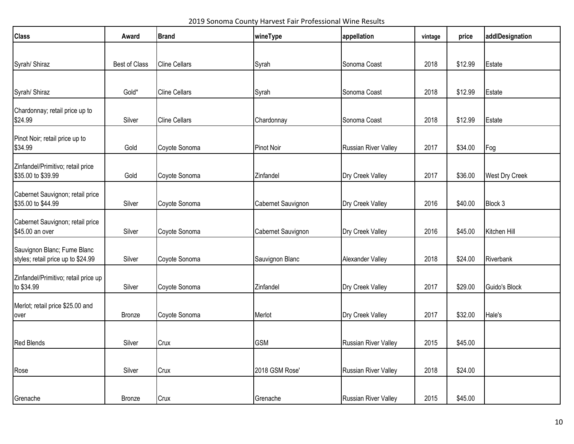2019 Sonoma County Harvest Fair Professional Wine Results

| <b>Class</b>                                                      | Award                | <b>Brand</b>         | wineType           | appellation                 | vintage | price   | addlDesignation       |
|-------------------------------------------------------------------|----------------------|----------------------|--------------------|-----------------------------|---------|---------|-----------------------|
|                                                                   |                      |                      |                    |                             |         |         |                       |
| Syrah/ Shiraz                                                     | <b>Best of Class</b> | <b>Cline Cellars</b> | Syrah              | Sonoma Coast                | 2018    | \$12.99 | Estate                |
|                                                                   |                      |                      |                    |                             |         |         |                       |
| Syrah/ Shiraz                                                     | Gold*                | <b>Cline Cellars</b> | Syrah              | Sonoma Coast                | 2018    | \$12.99 | Estate                |
| Chardonnay; retail price up to<br>\$24.99                         | Silver               | <b>Cline Cellars</b> | Chardonnay         | Sonoma Coast                | 2018    | \$12.99 | Estate                |
| Pinot Noir; retail price up to<br>\$34.99                         | Gold                 | Coyote Sonoma        | <b>Pinot Noir</b>  | <b>Russian River Valley</b> | 2017    | \$34.00 | Fog                   |
| Zinfandel/Primitivo; retail price<br>\$35.00 to \$39.99           | Gold                 | Coyote Sonoma        | Zinfandel          | Dry Creek Valley            | 2017    | \$36.00 | <b>West Dry Creek</b> |
| Cabernet Sauvignon; retail price<br>\$35.00 to \$44.99            | Silver               | Coyote Sonoma        | Cabernet Sauvignon | Dry Creek Valley            | 2016    | \$40.00 | Block 3               |
| Cabernet Sauvignon; retail price<br>\$45.00 an over               | Silver               | Coyote Sonoma        | Cabernet Sauvignon | Dry Creek Valley            | 2016    | \$45.00 | Kitchen Hill          |
| Sauvignon Blanc; Fume Blanc<br>styles; retail price up to \$24.99 | Silver               | Coyote Sonoma        | Sauvignon Blanc    | Alexander Valley            | 2018    | \$24.00 | Riverbank             |
| Zinfandel/Primitivo; retail price up<br>to \$34.99                | Silver               | Coyote Sonoma        | Zinfandel          | Dry Creek Valley            | 2017    | \$29.00 | Guido's Block         |
| Merlot; retail price \$25.00 and<br>over                          | Bronze               | Coyote Sonoma        | Merlot             | Dry Creek Valley            | 2017    | \$32.00 | Hale's                |
| <b>Red Blends</b>                                                 | Silver               | Crux                 | <b>GSM</b>         | Russian River Valley        | 2015    | \$45.00 |                       |
| Rose                                                              | Silver               | Crux                 | 2018 GSM Rose'     | Russian River Valley        | 2018    | \$24.00 |                       |
| Grenache                                                          | Bronze               | Crux                 | Grenache           | Russian River Valley        | 2015    | \$45.00 |                       |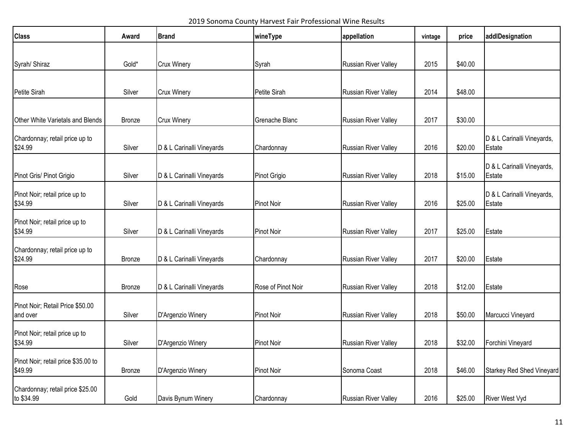2019 Sonoma County Harvest Fair Professional Wine Results

| <b>Class</b>                                   | Award         | <b>Brand</b>              | wineType           | appellation                 | vintage | price   | addlDesignation                      |
|------------------------------------------------|---------------|---------------------------|--------------------|-----------------------------|---------|---------|--------------------------------------|
|                                                |               |                           |                    |                             |         |         |                                      |
| Syrah/ Shiraz                                  | Gold*         | <b>Crux Winery</b>        | Syrah              | Russian River Valley        | 2015    | \$40.00 |                                      |
|                                                |               |                           |                    |                             |         |         |                                      |
| Petite Sirah                                   | Silver        | <b>Crux Winery</b>        | Petite Sirah       | Russian River Valley        | 2014    | \$48.00 |                                      |
|                                                |               |                           |                    |                             |         |         |                                      |
| Other White Varietals and Blends               | <b>Bronze</b> | <b>Crux Winery</b>        | Grenache Blanc     | Russian River Valley        | 2017    | \$30.00 |                                      |
| Chardonnay; retail price up to<br>\$24.99      | Silver        | D & L Carinalli Vineyards | Chardonnay         | Russian River Valley        | 2016    | \$20.00 | D & L Carinalli Vineyards,<br>Estate |
|                                                |               |                           |                    |                             |         |         | D & L Carinalli Vineyards,           |
| Pinot Gris/ Pinot Grigio                       | Silver        | D & L Carinalli Vineyards | Pinot Grigio       | Russian River Valley        | 2018    | \$15.00 | Estate                               |
| Pinot Noir; retail price up to<br>\$34.99      | Silver        | D & L Carinalli Vineyards | Pinot Noir         | Russian River Valley        | 2016    | \$25.00 | D & L Carinalli Vineyards,<br>Estate |
|                                                |               |                           |                    |                             |         |         |                                      |
| Pinot Noir; retail price up to<br>\$34.99      | Silver        | D & L Carinalli Vineyards | Pinot Noir         | Russian River Valley        | 2017    | \$25.00 | Estate                               |
| Chardonnay; retail price up to                 |               |                           |                    |                             |         |         |                                      |
| \$24.99                                        | Bronze        | D & L Carinalli Vineyards | Chardonnay         | Russian River Valley        | 2017    | \$20.00 | Estate                               |
|                                                |               |                           |                    |                             |         |         |                                      |
| Rose                                           | <b>Bronze</b> | D & L Carinalli Vineyards | Rose of Pinot Noir | Russian River Valley        | 2018    | \$12.00 | Estate                               |
| Pinot Noir; Retail Price \$50.00               |               |                           |                    |                             |         |         |                                      |
| and over                                       | Silver        | D'Argenzio Winery         | <b>Pinot Noir</b>  | <b>Russian River Valley</b> | 2018    | \$50.00 | Marcucci Vineyard                    |
| Pinot Noir; retail price up to<br>\$34.99      | Silver        | D'Argenzio Winery         | <b>Pinot Noir</b>  | Russian River Valley        | 2018    | \$32.00 | Forchini Vineyard                    |
| Pinot Noir; retail price \$35.00 to<br>\$49.99 | <b>Bronze</b> | D'Argenzio Winery         | <b>Pinot Noir</b>  | Sonoma Coast                | 2018    | \$46.00 | <b>Starkey Red Shed Vineyard</b>     |
| Chardonnay; retail price \$25.00<br>to \$34.99 | Gold          | Davis Bynum Winery        | Chardonnay         | <b>Russian River Valley</b> | 2016    | \$25.00 | River West Vyd                       |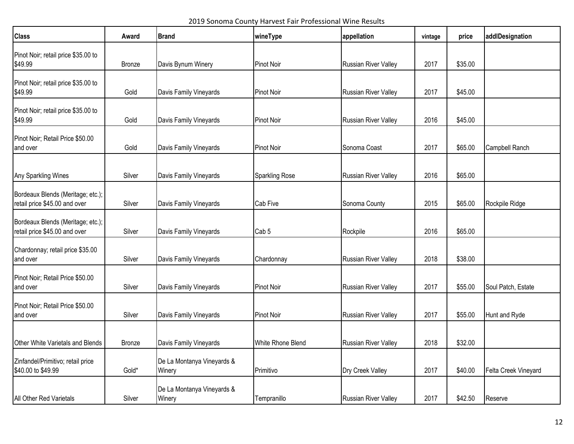2019 Sonoma County Harvest Fair Professional Wine Results

| <b>Class</b>                                                       | Award  | <b>Brand</b>                         | wineType          | appellation                 | vintage | price   | addlDesignation      |
|--------------------------------------------------------------------|--------|--------------------------------------|-------------------|-----------------------------|---------|---------|----------------------|
| Pinot Noir; retail price \$35.00 to<br>\$49.99                     | Bronze | Davis Bynum Winery                   | <b>Pinot Noir</b> | <b>Russian River Valley</b> | 2017    | \$35.00 |                      |
| Pinot Noir; retail price \$35.00 to<br>\$49.99                     | Gold   | Davis Family Vineyards               | <b>Pinot Noir</b> | <b>Russian River Valley</b> | 2017    | \$45.00 |                      |
| Pinot Noir; retail price \$35.00 to<br>\$49.99                     | Gold   | Davis Family Vineyards               | <b>Pinot Noir</b> | <b>Russian River Valley</b> | 2016    | \$45.00 |                      |
| Pinot Noir; Retail Price \$50.00<br>and over                       | Gold   | Davis Family Vineyards               | <b>Pinot Noir</b> | Sonoma Coast                | 2017    | \$65.00 | Campbell Ranch       |
| Any Sparkling Wines                                                | Silver | Davis Family Vineyards               | Sparkling Rose    | <b>Russian River Valley</b> | 2016    | \$65.00 |                      |
| Bordeaux Blends (Meritage; etc.);<br>retail price \$45.00 and over | Silver | Davis Family Vineyards               | Cab Five          | Sonoma County               | 2015    | \$65.00 | Rockpile Ridge       |
| Bordeaux Blends (Meritage; etc.);<br>retail price \$45.00 and over | Silver | Davis Family Vineyards               | Cab <sub>5</sub>  | Rockpile                    | 2016    | \$65.00 |                      |
| Chardonnay; retail price \$35.00<br>and over                       | Silver | Davis Family Vineyards               | Chardonnay        | <b>Russian River Valley</b> | 2018    | \$38.00 |                      |
| Pinot Noir; Retail Price \$50.00<br>and over                       | Silver | Davis Family Vineyards               | <b>Pinot Noir</b> | Russian River Valley        | 2017    | \$55.00 | Soul Patch, Estate   |
| Pinot Noir; Retail Price \$50.00<br>and over                       | Silver | Davis Family Vineyards               | <b>Pinot Noir</b> | <b>Russian River Valley</b> | 2017    | \$55.00 | Hunt and Ryde        |
| Other White Varietals and Blends                                   | Bronze | Davis Family Vineyards               | White Rhone Blend | <b>Russian River Valley</b> | 2018    | \$32.00 |                      |
| Zinfandel/Primitivo; retail price<br>\$40.00 to \$49.99            | Gold*  | De La Montanya Vineyards &<br>Winery | Primitivo         | Dry Creek Valley            | 2017    | \$40.00 | Felta Creek Vineyard |
| All Other Red Varietals                                            | Silver | De La Montanya Vineyards &<br>Winery | Tempranillo       | <b>Russian River Valley</b> | 2017    | \$42.50 | Reserve              |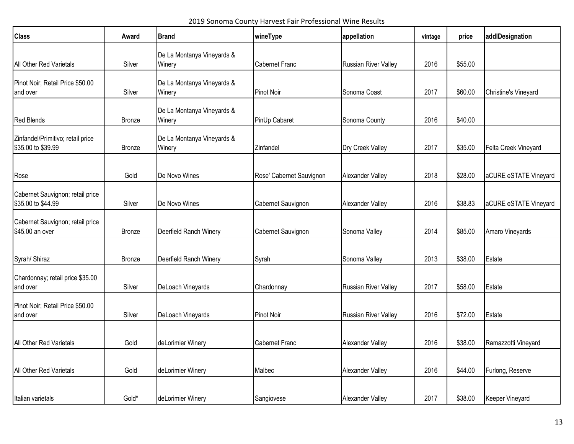2019 Sonoma County Harvest Fair Professional Wine Results

| <b>Class</b>                                            | Award         | <b>Brand</b>                         | wineType                 | appellation          | vintage | price   | addlDesignation       |
|---------------------------------------------------------|---------------|--------------------------------------|--------------------------|----------------------|---------|---------|-----------------------|
|                                                         |               | De La Montanya Vineyards &           |                          |                      |         |         |                       |
| All Other Red Varietals                                 | Silver        | Winery                               | <b>Cabernet Franc</b>    | Russian River Valley | 2016    | \$55.00 |                       |
| Pinot Noir; Retail Price \$50.00<br>and over            | Silver        | De La Montanya Vineyards &<br>Winery | <b>Pinot Noir</b>        | Sonoma Coast         | 2017    | \$60.00 | Christine's Vineyard  |
| <b>Red Blends</b>                                       | <b>Bronze</b> | De La Montanya Vineyards &<br>Winery | PinUp Cabaret            | Sonoma County        | 2016    | \$40.00 |                       |
| Zinfandel/Primitivo; retail price<br>\$35.00 to \$39.99 | <b>Bronze</b> | De La Montanya Vineyards &<br>Winery | Zinfandel                | Dry Creek Valley     | 2017    | \$35.00 | Felta Creek Vineyard  |
| Rose                                                    | Gold          | De Novo Wines                        | Rose' Cabernet Sauvignon | Alexander Valley     | 2018    | \$28.00 | aCURE eSTATE Vineyard |
| Cabernet Sauvignon; retail price<br>\$35.00 to \$44.99  | Silver        | De Novo Wines                        | Cabernet Sauvignon       | Alexander Valley     | 2016    | \$38.83 | aCURE eSTATE Vineyard |
| Cabernet Sauvignon; retail price<br>\$45.00 an over     | Bronze        | Deerfield Ranch Winery               | Cabernet Sauvignon       | Sonoma Valley        | 2014    | \$85.00 | Amaro Vineyards       |
| Syrah/ Shiraz                                           | <b>Bronze</b> | Deerfield Ranch Winery               | Syrah                    | Sonoma Valley        | 2013    | \$38.00 | Estate                |
| Chardonnay; retail price \$35.00<br>and over            | Silver        | DeLoach Vineyards                    | Chardonnay               | Russian River Valley | 2017    | \$58.00 | Estate                |
| Pinot Noir; Retail Price \$50.00<br>and over            | Silver        | DeLoach Vineyards                    | <b>Pinot Noir</b>        | Russian River Valley | 2016    | \$72.00 | Estate                |
| All Other Red Varietals                                 | Gold          | deLorimier Winery                    | <b>Cabernet Franc</b>    | Alexander Valley     | 2016    | \$38.00 | Ramazzotti Vineyard   |
| All Other Red Varietals                                 | Gold          | deLorimier Winery                    | <b>Malbec</b>            | Alexander Valley     | 2016    | \$44.00 | Furlong, Reserve      |
| Italian varietals                                       | Gold*         | deLorimier Winery                    | Sangiovese               | Alexander Valley     | 2017    | \$38.00 | Keeper Vineyard       |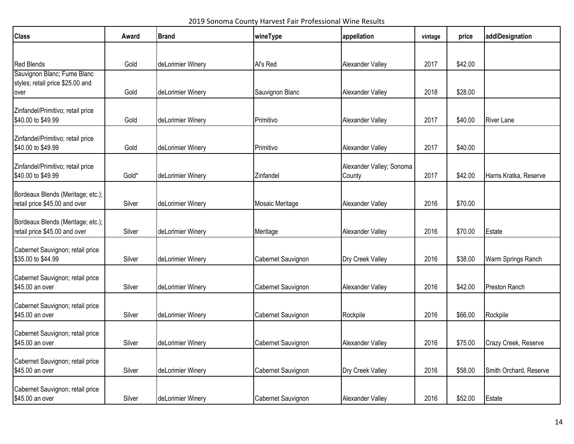2019 Sonoma County Harvest Fair Professional Wine Results

| <b>Class</b>                                                       | Award  | <b>Brand</b>      | wineType           | appellation                        | vintage | price   | addlDesignation        |
|--------------------------------------------------------------------|--------|-------------------|--------------------|------------------------------------|---------|---------|------------------------|
|                                                                    |        |                   |                    |                                    |         |         |                        |
| <b>Red Blends</b>                                                  | Gold   | deLorimier Winery | Al's Red           | Alexander Valley                   | 2017    | \$42.00 |                        |
| Sauvignon Blanc; Fume Blanc                                        |        |                   |                    |                                    |         |         |                        |
| styles; retail price \$25.00 and<br>over                           | Gold   | deLorimier Winery | Sauvignon Blanc    | Alexander Valley                   | 2018    | \$28.00 |                        |
| Zinfandel/Primitivo; retail price<br>\$40.00 to \$49.99            | Gold   | deLorimier Winery | Primitivo          | Alexander Valley                   | 2017    | \$40.00 | <b>River Lane</b>      |
| Zinfandel/Primitivo; retail price<br>\$40.00 to \$49.99            | Gold   | deLorimier Winery | Primitivo          | Alexander Valley                   | 2017    | \$40.00 |                        |
| Zinfandel/Primitivo; retail price<br>\$40.00 to \$49.99            | Gold*  | deLorimier Winery | Zinfandel          | Alexander Valley; Sonoma<br>County | 2017    | \$42.00 | Harris Kratka, Reserve |
| Bordeaux Blends (Meritage; etc.);<br>retail price \$45.00 and over | Silver | deLorimier Winery | Mosaic Meritage    | Alexander Valley                   | 2016    | \$70.00 |                        |
| Bordeaux Blends (Meritage; etc.);<br>retail price \$45.00 and over | Silver | deLorimier Winery | Meritage           | Alexander Valley                   | 2016    | \$70.00 | Estate                 |
| Cabernet Sauvignon; retail price<br>\$35.00 to \$44.99             | Silver | deLorimier Winery | Cabernet Sauvignon | Dry Creek Valley                   | 2016    | \$38.00 | Warm Springs Ranch     |
| Cabernet Sauvignon; retail price<br>\$45.00 an over                | Silver | deLorimier Winery | Cabernet Sauvignon | Alexander Valley                   | 2016    | \$42.00 | Preston Ranch          |
| Cabernet Sauvignon; retail price<br>\$45.00 an over                | Silver | deLorimier Winery | Cabernet Sauvignon | Rockpile                           | 2016    | \$66.00 | Rockpile               |
| Cabernet Sauvignon; retail price<br>\$45.00 an over                | Silver | deLorimier Winery | Cabernet Sauvignon | Alexander Valley                   | 2016    | \$75.00 | Crazy Creek, Reserve   |
| Cabernet Sauvignon; retail price<br>\$45.00 an over                | Silver | deLorimier Winery | Cabernet Sauvignon | Dry Creek Valley                   | 2016    | \$58.00 | Smith Orchard, Reserve |
| Cabernet Sauvignon; retail price<br>\$45.00 an over                | Silver | deLorimier Winery | Cabernet Sauvignon | Alexander Valley                   | 2016    | \$52.00 | Estate                 |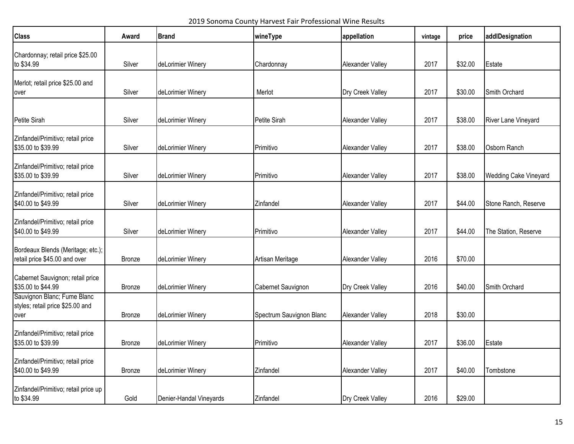2019 Sonoma County Harvest Fair Professional Wine Results

| <b>Class</b>                                                            | Award         | <b>Brand</b>            | wineType                 | appellation      | vintage | price   | addlDesignation              |
|-------------------------------------------------------------------------|---------------|-------------------------|--------------------------|------------------|---------|---------|------------------------------|
| Chardonnay; retail price \$25.00<br>to \$34.99                          | Silver        | deLorimier Winery       | Chardonnay               | Alexander Valley | 2017    | \$32.00 | Estate                       |
| Merlot; retail price \$25.00 and<br>over                                | Silver        | deLorimier Winery       | Merlot                   | Dry Creek Valley | 2017    | \$30.00 | Smith Orchard                |
| Petite Sirah                                                            | Silver        | deLorimier Winery       | Petite Sirah             | Alexander Valley | 2017    | \$38.00 | River Lane Vineyard          |
| Zinfandel/Primitivo; retail price<br>\$35.00 to \$39.99                 | Silver        | deLorimier Winery       | Primitivo                | Alexander Valley | 2017    | \$38.00 | <b>Osborn Ranch</b>          |
| Zinfandel/Primitivo; retail price<br>\$35.00 to \$39.99                 | Silver        | deLorimier Winery       | Primitivo                | Alexander Valley | 2017    | \$38.00 | <b>Wedding Cake Vineyard</b> |
| Zinfandel/Primitivo; retail price<br>\$40.00 to \$49.99                 | Silver        | deLorimier Winery       | Zinfandel                | Alexander Valley | 2017    | \$44.00 | Stone Ranch, Reserve         |
| Zinfandel/Primitivo; retail price<br>\$40.00 to \$49.99                 | Silver        | deLorimier Winery       | Primitivo                | Alexander Valley | 2017    | \$44.00 | The Station, Reserve         |
| Bordeaux Blends (Meritage; etc.);<br>retail price \$45.00 and over      | Bronze        | deLorimier Winery       | Artisan Meritage         | Alexander Valley | 2016    | \$70.00 |                              |
| Cabernet Sauvignon; retail price<br>\$35.00 to \$44.99                  | Bronze        | deLorimier Winery       | Cabernet Sauvignon       | Dry Creek Valley | 2016    | \$40.00 | Smith Orchard                |
| Sauvignon Blanc; Fume Blanc<br>styles; retail price \$25.00 and<br>over | <b>Bronze</b> | deLorimier Winery       | Spectrum Sauvignon Blanc | Alexander Valley | 2018    | \$30.00 |                              |
| Zinfandel/Primitivo; retail price<br>\$35.00 to \$39.99                 | <b>Bronze</b> | deLorimier Winery       | Primitivo                | Alexander Valley | 2017    | \$36.00 | Estate                       |
| Zinfandel/Primitivo; retail price<br>\$40.00 to \$49.99                 | <b>Bronze</b> | deLorimier Winery       | Zinfandel                | Alexander Valley | 2017    | \$40.00 | Tombstone                    |
| Zinfandel/Primitivo; retail price up<br>to \$34.99                      | Gold          | Denier-Handal Vineyards | Zinfandel                | Dry Creek Valley | 2016    | \$29.00 |                              |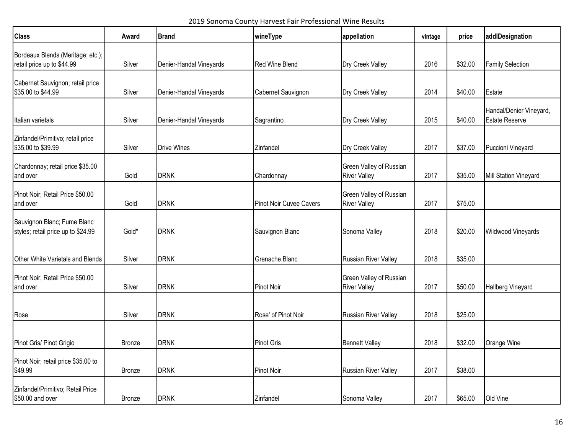2019 Sonoma County Harvest Fair Professional Wine Results

| <b>Class</b>                                                      | Award         | <b>Brand</b>            | wineType                | appellation                                    | vintage | price   | addlDesignation                                  |
|-------------------------------------------------------------------|---------------|-------------------------|-------------------------|------------------------------------------------|---------|---------|--------------------------------------------------|
| Bordeaux Blends (Meritage; etc.);<br>retail price up to \$44.99   | Silver        | Denier-Handal Vineyards | <b>Red Wine Blend</b>   | Dry Creek Valley                               | 2016    | \$32.00 | <b>Family Selection</b>                          |
| Cabernet Sauvignon; retail price<br>\$35.00 to \$44.99            | Silver        | Denier-Handal Vineyards | Cabernet Sauvignon      | Dry Creek Valley                               | 2014    | \$40.00 | Estate                                           |
| Italian varietals                                                 | Silver        | Denier-Handal Vineyards | Sagrantino              | Dry Creek Valley                               | 2015    | \$40.00 | Handal/Denier Vineyard,<br><b>Estate Reserve</b> |
| Zinfandel/Primitivo; retail price<br>\$35.00 to \$39.99           | Silver        | <b>Drive Wines</b>      | Zinfandel               | Dry Creek Valley                               | 2017    | \$37.00 | Puccioni Vineyard                                |
| Chardonnay; retail price \$35.00<br>and over                      | Gold          | <b>DRNK</b>             | Chardonnay              | Green Valley of Russian<br><b>River Valley</b> | 2017    | \$35.00 | Mill Station Vineyard                            |
| Pinot Noir; Retail Price \$50.00<br>and over                      | Gold          | <b>DRNK</b>             | Pinot Noir Cuvee Cavers | Green Valley of Russian<br><b>River Valley</b> | 2017    | \$75.00 |                                                  |
| Sauvignon Blanc; Fume Blanc<br>styles; retail price up to \$24.99 | Gold*         | <b>DRNK</b>             | Sauvignon Blanc         | Sonoma Valley                                  | 2018    | \$20.00 | Wildwood Vineyards                               |
| Other White Varietals and Blends                                  | Silver        | <b>DRNK</b>             | Grenache Blanc          | Russian River Valley                           | 2018    | \$35.00 |                                                  |
| Pinot Noir; Retail Price \$50.00<br>and over                      | Silver        | <b>DRNK</b>             | <b>Pinot Noir</b>       | Green Valley of Russian<br><b>River Valley</b> | 2017    | \$50.00 | <b>Hallberg Vineyard</b>                         |
| Rose                                                              | Silver        | <b>DRNK</b>             | Rose' of Pinot Noir     | <b>Russian River Valley</b>                    | 2018    | \$25.00 |                                                  |
| Pinot Gris/ Pinot Grigio                                          | <b>Bronze</b> | <b>DRNK</b>             | <b>Pinot Gris</b>       | <b>Bennett Valley</b>                          | 2018    | \$32.00 | Orange Wine                                      |
| Pinot Noir; retail price \$35.00 to<br>\$49.99                    | Bronze        | <b>DRNK</b>             | <b>Pinot Noir</b>       | Russian River Valley                           | 2017    | \$38.00 |                                                  |
| Zinfandel/Primitivo; Retail Price<br>\$50.00 and over             | Bronze        | <b>DRNK</b>             | Zinfandel               | Sonoma Valley                                  | 2017    | \$65.00 | Old Vine                                         |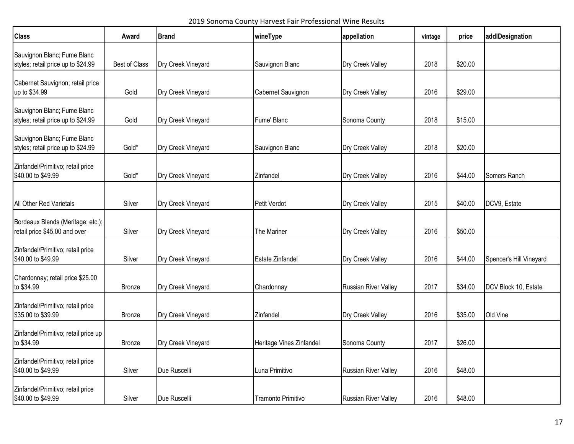2019 Sonoma County Harvest Fair Professional Wine Results

| <b>Class</b>                                                       | Award         | <b>Brand</b>       | wineType                 | appellation                 | vintage | price   | addlDesignation         |
|--------------------------------------------------------------------|---------------|--------------------|--------------------------|-----------------------------|---------|---------|-------------------------|
| Sauvignon Blanc; Fume Blanc<br>styles; retail price up to \$24.99  | Best of Class | Dry Creek Vineyard | Sauvignon Blanc          | Dry Creek Valley            | 2018    | \$20.00 |                         |
| Cabernet Sauvignon; retail price<br>up to \$34.99                  | Gold          | Dry Creek Vineyard | Cabernet Sauvignon       | Dry Creek Valley            | 2016    | \$29.00 |                         |
| Sauvignon Blanc; Fume Blanc<br>styles; retail price up to \$24.99  | Gold          | Dry Creek Vineyard | Fume' Blanc              | Sonoma County               | 2018    | \$15.00 |                         |
| Sauvignon Blanc; Fume Blanc<br>styles; retail price up to \$24.99  | Gold*         | Dry Creek Vineyard | Sauvignon Blanc          | Dry Creek Valley            | 2018    | \$20.00 |                         |
| Zinfandel/Primitivo; retail price<br>\$40.00 to \$49.99            | Gold*         | Dry Creek Vineyard | Zinfandel                | Dry Creek Valley            | 2016    | \$44.00 | Somers Ranch            |
| All Other Red Varietals                                            | Silver        | Dry Creek Vineyard | Petit Verdot             | Dry Creek Valley            | 2015    | \$40.00 | DCV9, Estate            |
| Bordeaux Blends (Meritage; etc.);<br>retail price \$45.00 and over | Silver        | Dry Creek Vineyard | The Mariner              | Dry Creek Valley            | 2016    | \$50.00 |                         |
| Zinfandel/Primitivo; retail price<br>\$40.00 to \$49.99            | Silver        | Dry Creek Vineyard | <b>Estate Zinfandel</b>  | Dry Creek Valley            | 2016    | \$44.00 | Spencer's Hill Vineyard |
| Chardonnay; retail price \$25.00<br>to \$34.99                     | Bronze        | Dry Creek Vineyard | Chardonnay               | Russian River Valley        | 2017    | \$34.00 | DCV Block 10, Estate    |
| Zinfandel/Primitivo; retail price<br>\$35.00 to \$39.99            | <b>Bronze</b> | Dry Creek Vineyard | Zinfandel                | Dry Creek Valley            | 2016    | \$35.00 | Old Vine                |
| Zinfandel/Primitivo; retail price up<br>to \$34.99                 | Bronze        | Dry Creek Vineyard | Heritage Vines Zinfandel | Sonoma County               | 2017    | \$26.00 |                         |
| Zinfandel/Primitivo; retail price<br>\$40.00 to \$49.99            | Silver        | Due Ruscelli       | Luna Primitivo           | Russian River Valley        | 2016    | \$48.00 |                         |
| Zinfandel/Primitivo; retail price<br>\$40.00 to \$49.99            | Silver        | Due Ruscelli       | Tramonto Primitivo       | <b>Russian River Valley</b> | 2016    | \$48.00 |                         |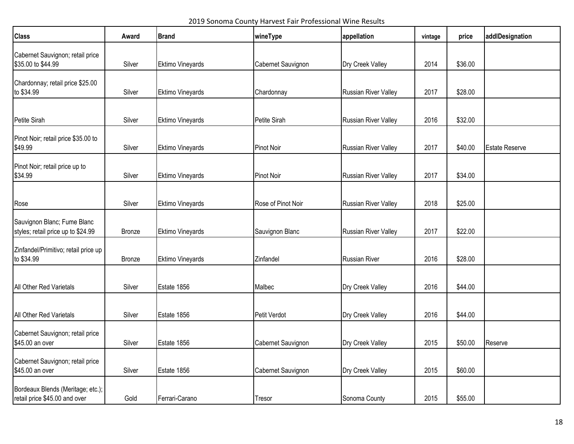2019 Sonoma County Harvest Fair Professional Wine Results

| <b>Class</b>                                                       | Award         | <b>Brand</b>     | wineType           | appellation                 | vintage | price   | addlDesignation       |
|--------------------------------------------------------------------|---------------|------------------|--------------------|-----------------------------|---------|---------|-----------------------|
| Cabernet Sauvignon; retail price<br>\$35.00 to \$44.99             | Silver        | Ektimo Vineyards | Cabernet Sauvignon | Dry Creek Valley            | 2014    | \$36.00 |                       |
| Chardonnay; retail price \$25.00<br>to \$34.99                     | Silver        | Ektimo Vineyards | Chardonnay         | <b>Russian River Valley</b> | 2017    | \$28.00 |                       |
| Petite Sirah                                                       | Silver        | Ektimo Vineyards | Petite Sirah       | <b>Russian River Valley</b> | 2016    | \$32.00 |                       |
| Pinot Noir; retail price \$35.00 to<br>\$49.99                     | Silver        | Ektimo Vineyards | <b>Pinot Noir</b>  | <b>Russian River Valley</b> | 2017    | \$40.00 | <b>Estate Reserve</b> |
| Pinot Noir; retail price up to<br>\$34.99                          | Silver        | Ektimo Vineyards | <b>Pinot Noir</b>  | <b>Russian River Valley</b> | 2017    | \$34.00 |                       |
| Rose                                                               | Silver        | Ektimo Vineyards | Rose of Pinot Noir | Russian River Valley        | 2018    | \$25.00 |                       |
| Sauvignon Blanc; Fume Blanc<br>styles; retail price up to \$24.99  | <b>Bronze</b> | Ektimo Vineyards | Sauvignon Blanc    | <b>Russian River Valley</b> | 2017    | \$22.00 |                       |
| Zinfandel/Primitivo; retail price up<br>to \$34.99                 | <b>Bronze</b> | Ektimo Vineyards | Zinfandel          | <b>Russian River</b>        | 2016    | \$28.00 |                       |
| All Other Red Varietals                                            | Silver        | Estate 1856      | Malbec             | Dry Creek Valley            | 2016    | \$44.00 |                       |
| All Other Red Varietals                                            | Silver        | Estate 1856      | Petit Verdot       | Dry Creek Valley            | 2016    | \$44.00 |                       |
| Cabernet Sauvignon; retail price<br>\$45.00 an over                | Silver        | Estate 1856      | Cabernet Sauvignon | Dry Creek Valley            | 2015    | \$50.00 | Reserve               |
| Cabernet Sauvignon; retail price<br>\$45.00 an over                | Silver        | Estate 1856      | Cabernet Sauvignon | Dry Creek Valley            | 2015    | \$60.00 |                       |
| Bordeaux Blends (Meritage; etc.);<br>retail price \$45.00 and over | Gold          | Ferrari-Carano   | Tresor             | Sonoma County               | 2015    | \$55.00 |                       |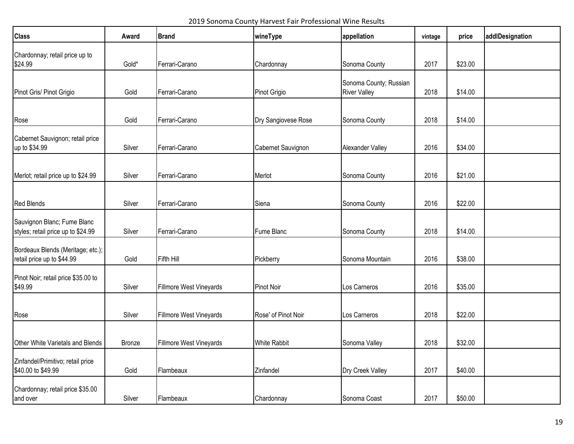2019 Sonoma County Harvest Fair Professional Wine Results

| <b>Class</b>                                                      | Award  | <b>Brand</b>            | wineType            | appellation                                   | vintage | price   | addlDesignation |
|-------------------------------------------------------------------|--------|-------------------------|---------------------|-----------------------------------------------|---------|---------|-----------------|
| Chardonnay; retail price up to<br>\$24.99                         | Gold*  | Ferrari-Carano          | Chardonnay          | Sonoma County                                 | 2017    | \$23.00 |                 |
| Pinot Gris/ Pinot Grigio                                          | Gold   | Ferrari-Carano          | Pinot Grigio        | Sonoma County; Russian<br><b>River Valley</b> | 2018    | \$14.00 |                 |
| Rose                                                              | Gold   | Ferrari-Carano          | Dry Sangiovese Rose | Sonoma County                                 | 2018    | \$14.00 |                 |
| Cabernet Sauvignon; retail price<br>up to \$34.99                 | Silver | Ferrari-Carano          | Cabernet Sauvignon  | Alexander Valley                              | 2016    | \$34.00 |                 |
| Merlot; retail price up to \$24.99                                | Silver | Ferrari-Carano          | Merlot              | Sonoma County                                 | 2016    | \$21.00 |                 |
| <b>Red Blends</b>                                                 | Silver | Ferrari-Carano          | Siena               | Sonoma County                                 | 2016    | \$22.00 |                 |
| Sauvignon Blanc; Fume Blanc<br>styles; retail price up to \$24.99 | Silver | Ferrari-Carano          | Fume Blanc          | Sonoma County                                 | 2018    | \$14.00 |                 |
| Bordeaux Blends (Meritage; etc.);<br>retail price up to \$44.99   | Gold   | Fifth Hill              | Pickberry           | Sonoma Mountain                               | 2016    | \$38.00 |                 |
| Pinot Noir; retail price \$35.00 to<br>\$49.99                    | Silver | Fillmore West Vineyards | <b>Pinot Noir</b>   | Los Carneros                                  | 2016    | \$35.00 |                 |
| Rose                                                              | Silver | Fillmore West Vineyards | Rose' of Pinot Noir | Los Carneros                                  | 2018    | \$22.00 |                 |
| Other White Varietals and Blends                                  | Bronze | Fillmore West Vineyards | <b>White Rabbit</b> | Sonoma Valley                                 | 2018    | \$32.00 |                 |
| Zinfandel/Primitivo; retail price<br>\$40.00 to \$49.99           | Gold   | Flambeaux               | Zinfandel           | Dry Creek Valley                              | 2017    | \$40.00 |                 |
| Chardonnay; retail price \$35.00<br>and over                      | Silver | Flambeaux               | Chardonnay          | Sonoma Coast                                  | 2017    | \$50.00 |                 |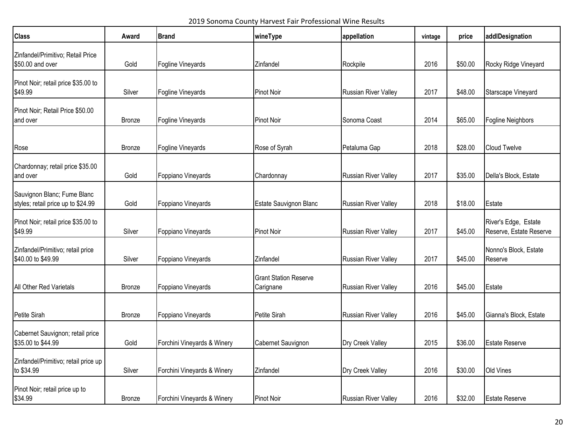2019 Sonoma County Harvest Fair Professional Wine Results

| <b>Class</b>                                                      | Award         | <b>Brand</b>                | wineType                                  | appellation                 | vintage | price   | addlDesignation                                 |
|-------------------------------------------------------------------|---------------|-----------------------------|-------------------------------------------|-----------------------------|---------|---------|-------------------------------------------------|
| Zinfandel/Primitivo; Retail Price<br>\$50.00 and over             | Gold          | Fogline Vineyards           | Zinfandel                                 | Rockpile                    | 2016    | \$50.00 | Rocky Ridge Vineyard                            |
| Pinot Noir; retail price \$35.00 to<br>\$49.99                    | Silver        | Fogline Vineyards           | <b>Pinot Noir</b>                         | Russian River Valley        | 2017    | \$48.00 | Starscape Vineyard                              |
| Pinot Noir; Retail Price \$50.00<br>and over                      | <b>Bronze</b> | Fogline Vineyards           | <b>Pinot Noir</b>                         | Sonoma Coast                | 2014    | \$65.00 | Fogline Neighbors                               |
| Rose                                                              | <b>Bronze</b> | Fogline Vineyards           | Rose of Syrah                             | Petaluma Gap                | 2018    | \$28.00 | <b>Cloud Twelve</b>                             |
| Chardonnay; retail price \$35.00<br>and over                      | Gold          | Foppiano Vineyards          | Chardonnay                                | <b>Russian River Valley</b> | 2017    | \$35.00 | Della's Block, Estate                           |
| Sauvignon Blanc; Fume Blanc<br>styles; retail price up to \$24.99 | Gold          | Foppiano Vineyards          | <b>Estate Sauvignon Blanc</b>             | Russian River Valley        | 2018    | \$18.00 | Estate                                          |
| Pinot Noir; retail price \$35.00 to<br>\$49.99                    | Silver        | Foppiano Vineyards          | <b>Pinot Noir</b>                         | <b>Russian River Valley</b> | 2017    | \$45.00 | River's Edge, Estate<br>Reserve, Estate Reserve |
| Zinfandel/Primitivo; retail price<br>\$40.00 to \$49.99           | Silver        | Foppiano Vineyards          | Zinfandel                                 | <b>Russian River Valley</b> | 2017    | \$45.00 | Nonno's Block, Estate<br>Reserve                |
| All Other Red Varietals                                           | <b>Bronze</b> | Foppiano Vineyards          | <b>Grant Station Reserve</b><br>Carignane | Russian River Valley        | 2016    | \$45.00 | Estate                                          |
| Petite Sirah                                                      | Bronze        | Foppiano Vineyards          | Petite Sirah                              | Russian River Valley        | 2016    | \$45.00 | Gianna's Block, Estate                          |
| Cabernet Sauvignon; retail price<br>\$35.00 to \$44.99            | Gold          | Forchini Vineyards & Winery | Cabernet Sauvignon                        | Dry Creek Valley            | 2015    | \$36.00 | <b>Estate Reserve</b>                           |
| Zinfandel/Primitivo; retail price up<br>to \$34.99                | Silver        | Forchini Vineyards & Winery | Zinfandel                                 | Dry Creek Valley            | 2016    | \$30.00 | Old Vines                                       |
| Pinot Noir; retail price up to<br>\$34.99                         | <b>Bronze</b> | Forchini Vineyards & Winery | Pinot Noir                                | <b>Russian River Valley</b> | 2016    | \$32.00 | <b>Estate Reserve</b>                           |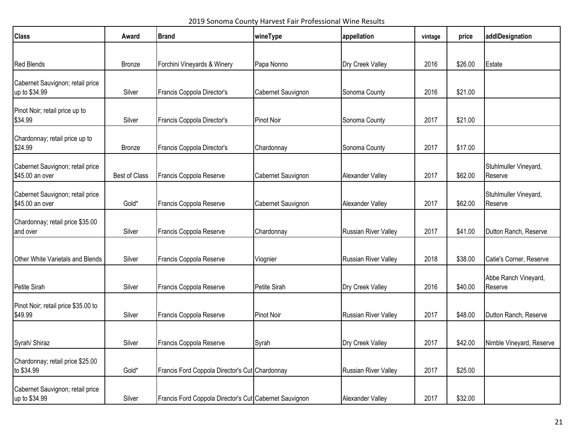2019 Sonoma County Harvest Fair Professional Wine Results

| <b>Class</b>                                        | Award                | <b>Brand</b>                                           | wineType           | appellation                 | vintage | price   | addlDesignation                  |
|-----------------------------------------------------|----------------------|--------------------------------------------------------|--------------------|-----------------------------|---------|---------|----------------------------------|
|                                                     |                      |                                                        |                    |                             |         |         |                                  |
| <b>Red Blends</b>                                   | Bronze               | Forchini Vineyards & Winery                            | Papa Nonno         | Dry Creek Valley            | 2016    | \$26.00 | Estate                           |
| Cabernet Sauvignon; retail price<br>up to \$34.99   | Silver               | Francis Coppola Director's                             | Cabernet Sauvignon | Sonoma County               | 2016    | \$21.00 |                                  |
| Pinot Noir; retail price up to<br>\$34.99           | Silver               | Francis Coppola Director's                             | <b>Pinot Noir</b>  | Sonoma County               | 2017    | \$21.00 |                                  |
| Chardonnay; retail price up to<br>\$24.99           | Bronze               | Francis Coppola Director's                             | Chardonnay         | Sonoma County               | 2017    | \$17.00 |                                  |
| Cabernet Sauvignon; retail price<br>\$45.00 an over | <b>Best of Class</b> | Francis Coppola Reserve                                | Cabernet Sauvignon | Alexander Valley            | 2017    | \$62.00 | Stuhlmuller Vineyard,<br>Reserve |
| Cabernet Sauvignon; retail price<br>\$45.00 an over | Gold*                | Francis Coppola Reserve                                | Cabernet Sauvignon | Alexander Valley            | 2017    | \$62.00 | Stuhlmuller Vineyard,<br>Reserve |
| Chardonnay; retail price \$35.00<br>and over        | Silver               | Francis Coppola Reserve                                | Chardonnay         | <b>Russian River Valley</b> | 2017    | \$41.00 | Dutton Ranch, Reserve            |
| Other White Varietals and Blends                    | Silver               | Francis Coppola Reserve                                | Viognier           | <b>Russian River Valley</b> | 2018    | \$38.00 | Catie's Corner, Reserve          |
| Petite Sirah                                        | Silver               | Francis Coppola Reserve                                | Petite Sirah       | Dry Creek Valley            | 2016    | \$40.00 | Abbe Ranch Vineyard,<br>Reserve  |
| Pinot Noir; retail price \$35.00 to<br>\$49.99      | Silver               | Francis Coppola Reserve                                | <b>Pinot Noir</b>  | Russian River Valley        | 2017    | \$48.00 | Dutton Ranch, Reserve            |
| Syrah/ Shiraz                                       | Silver               | Francis Coppola Reserve                                | Syrah              | Dry Creek Valley            | 2017    | \$42.00 | Nimble Vineyard, Reserve         |
| Chardonnay; retail price \$25.00<br>to \$34.99      | Gold*                | Francis Ford Coppola Director's Cut Chardonnay         |                    | <b>Russian River Valley</b> | 2017    | \$25.00 |                                  |
| Cabernet Sauvignon; retail price<br>up to \$34.99   | Silver               | Francis Ford Coppola Director's Cut Cabernet Sauvignon |                    | Alexander Valley            | 2017    | \$32.00 |                                  |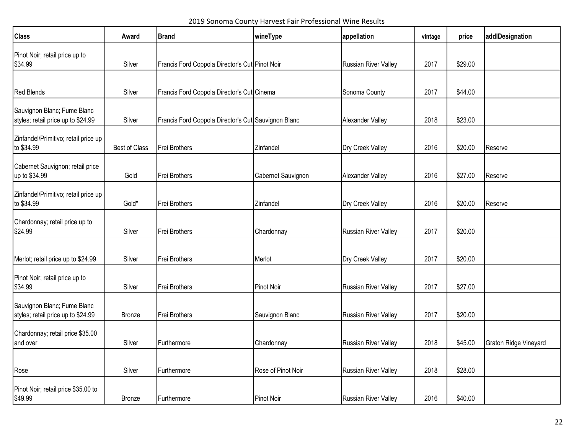2019 Sonoma County Harvest Fair Professional Wine Results

| <b>Class</b>                                                      | Award         | <b>Brand</b>                                        | wineType           | appellation          | vintage | price   | addlDesignation       |
|-------------------------------------------------------------------|---------------|-----------------------------------------------------|--------------------|----------------------|---------|---------|-----------------------|
| Pinot Noir; retail price up to<br>\$34.99                         | Silver        | Francis Ford Coppola Director's Cut Pinot Noir      |                    | Russian River Valley | 2017    | \$29.00 |                       |
|                                                                   |               |                                                     |                    |                      |         |         |                       |
| Red Blends                                                        | Silver        | Francis Ford Coppola Director's Cut Cinema          |                    | Sonoma County        | 2017    | \$44.00 |                       |
| Sauvignon Blanc; Fume Blanc<br>styles; retail price up to \$24.99 | Silver        | Francis Ford Coppola Director's Cut Sauvignon Blanc |                    | Alexander Valley     | 2018    | \$23.00 |                       |
| Zinfandel/Primitivo; retail price up<br>to \$34.99                | Best of Class | Frei Brothers                                       | Zinfandel          | Dry Creek Valley     | 2016    | \$20.00 | Reserve               |
| Cabernet Sauvignon; retail price<br>up to \$34.99                 | Gold          | Frei Brothers                                       | Cabernet Sauvignon | Alexander Valley     | 2016    | \$27.00 | Reserve               |
| Zinfandel/Primitivo; retail price up<br>to \$34.99                | Gold*         | Frei Brothers                                       | Zinfandel          | Dry Creek Valley     | 2016    | \$20.00 | Reserve               |
| Chardonnay; retail price up to<br>\$24.99                         | Silver        | Frei Brothers                                       | Chardonnay         | Russian River Valley | 2017    | \$20.00 |                       |
| Merlot; retail price up to \$24.99                                | Silver        | Frei Brothers                                       | Merlot             | Dry Creek Valley     | 2017    | \$20.00 |                       |
| Pinot Noir; retail price up to<br>\$34.99                         | Silver        | Frei Brothers                                       | Pinot Noir         | Russian River Valley | 2017    | \$27.00 |                       |
| Sauvignon Blanc; Fume Blanc<br>styles; retail price up to \$24.99 | Bronze        | Frei Brothers                                       | Sauvignon Blanc    | Russian River Valley | 2017    | \$20.00 |                       |
| Chardonnay; retail price \$35.00<br>and over                      | Silver        | Furthermore                                         | Chardonnay         | Russian River Valley | 2018    | \$45.00 | Graton Ridge Vineyard |
| Rose                                                              | Silver        | Furthermore                                         | Rose of Pinot Noir | Russian River Valley | 2018    | \$28.00 |                       |
| Pinot Noir; retail price \$35.00 to<br>\$49.99                    | <b>Bronze</b> | Furthermore                                         | <b>Pinot Noir</b>  | Russian River Valley | 2016    | \$40.00 |                       |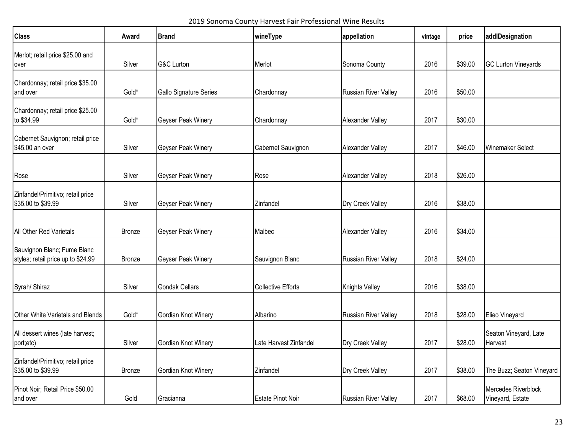2019 Sonoma County Harvest Fair Professional Wine Results

| <b>Class</b>                                                      | Award         | <b>Brand</b>           | wineType                  | appellation          | vintage | price   | addlDesignation                         |
|-------------------------------------------------------------------|---------------|------------------------|---------------------------|----------------------|---------|---------|-----------------------------------------|
| Merlot; retail price \$25.00 and<br>over                          | Silver        | <b>G&amp;C Lurton</b>  | Merlot                    | Sonoma County        | 2016    | \$39.00 | <b>GC Lurton Vineyards</b>              |
| Chardonnay; retail price \$35.00<br>and over                      | Gold*         | Gallo Signature Series | Chardonnay                | Russian River Valley | 2016    | \$50.00 |                                         |
| Chardonnay; retail price \$25.00<br>to \$34.99                    | Gold*         | Geyser Peak Winery     | Chardonnay                | Alexander Valley     | 2017    | \$30.00 |                                         |
| Cabernet Sauvignon; retail price<br>\$45.00 an over               | Silver        | Geyser Peak Winery     | Cabernet Sauvignon        | Alexander Valley     | 2017    | \$46.00 | <b>Winemaker Select</b>                 |
| Rose                                                              | Silver        | Geyser Peak Winery     | Rose                      | Alexander Valley     | 2018    | \$26.00 |                                         |
| Zinfandel/Primitivo; retail price<br>\$35.00 to \$39.99           | Silver        | Geyser Peak Winery     | Zinfandel                 | Dry Creek Valley     | 2016    | \$38.00 |                                         |
| All Other Red Varietals                                           | Bronze        | Geyser Peak Winery     | Malbec                    | Alexander Valley     | 2016    | \$34.00 |                                         |
| Sauvignon Blanc; Fume Blanc<br>styles; retail price up to \$24.99 | Bronze        | Geyser Peak Winery     | Sauvignon Blanc           | Russian River Valley | 2018    | \$24.00 |                                         |
| Syrah/ Shiraz                                                     | Silver        | <b>Gondak Cellars</b>  | <b>Collective Efforts</b> | Knights Valley       | 2016    | \$38.00 |                                         |
| Other White Varietals and Blends                                  | Gold*         | Gordian Knot Winery    | Albarino                  | Russian River Valley | 2018    | \$28.00 | Elieo Vineyard                          |
| All dessert wines (late harvest;<br>port;etc)                     | Silver        | Gordian Knot Winery    | Late Harvest Zinfandel    | Dry Creek Valley     | 2017    | \$28.00 | Seaton Vineyard, Late<br>Harvest        |
| Zinfandel/Primitivo; retail price<br>\$35.00 to \$39.99           | <b>Bronze</b> | Gordian Knot Winery    | Zinfandel                 | Dry Creek Valley     | 2017    | \$38.00 | The Buzz; Seaton Vineyard               |
| Pinot Noir; Retail Price \$50.00<br>and over                      | Gold          | Gracianna              | <b>Estate Pinot Noir</b>  | Russian River Valley | 2017    | \$68.00 | Mercedes Riverblock<br>Vineyard, Estate |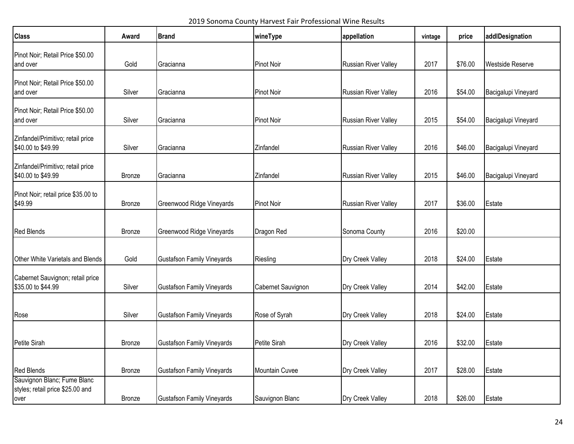2019 Sonoma County Harvest Fair Professional Wine Results

| <b>Class</b>                                 | Award         | <b>Brand</b>                      | wineType           | appellation          | vintage | price   | addlDesignation         |
|----------------------------------------------|---------------|-----------------------------------|--------------------|----------------------|---------|---------|-------------------------|
| Pinot Noir; Retail Price \$50.00<br>and over | Gold          | Gracianna                         | Pinot Noir         | Russian River Valley | 2017    | \$76.00 | <b>Westside Reserve</b> |
|                                              |               |                                   |                    |                      |         |         |                         |
| Pinot Noir; Retail Price \$50.00             |               |                                   |                    |                      |         |         |                         |
| and over                                     | Silver        | Gracianna                         | Pinot Noir         | Russian River Valley | 2016    | \$54.00 | Bacigalupi Vineyard     |
| Pinot Noir; Retail Price \$50.00             |               |                                   |                    |                      |         |         |                         |
| and over                                     | Silver        | Gracianna                         | <b>Pinot Noir</b>  | Russian River Valley | 2015    | \$54.00 | Bacigalupi Vineyard     |
| Zinfandel/Primitivo; retail price            |               |                                   |                    |                      |         |         |                         |
| \$40.00 to \$49.99                           | Silver        | Gracianna                         | Zinfandel          | Russian River Valley | 2016    | \$46.00 | Bacigalupi Vineyard     |
| Zinfandel/Primitivo; retail price            |               |                                   |                    |                      |         |         |                         |
| \$40.00 to \$49.99                           | Bronze        | Gracianna                         | Zinfandel          | Russian River Valley | 2015    | \$46.00 | Bacigalupi Vineyard     |
| Pinot Noir; retail price \$35.00 to          |               |                                   |                    |                      |         |         |                         |
| \$49.99                                      | Bronze        | Greenwood Ridge Vineyards         | <b>Pinot Noir</b>  | Russian River Valley | 2017    | \$36.00 | Estate                  |
|                                              |               |                                   |                    |                      |         |         |                         |
| <b>Red Blends</b>                            | <b>Bronze</b> | Greenwood Ridge Vineyards         | Dragon Red         | Sonoma County        | 2016    | \$20.00 |                         |
|                                              |               |                                   |                    |                      |         |         |                         |
| Other White Varietals and Blends             | Gold          | <b>Gustafson Family Vineyards</b> | Riesling           | Dry Creek Valley     | 2018    | \$24.00 | Estate                  |
| Cabernet Sauvignon; retail price             |               |                                   |                    |                      |         |         |                         |
| \$35.00 to \$44.99                           | Silver        | <b>Gustafson Family Vineyards</b> | Cabernet Sauvignon | Dry Creek Valley     | 2014    | \$42.00 | Estate                  |
|                                              |               |                                   |                    |                      |         |         |                         |
| Rose                                         | Silver        | <b>Gustafson Family Vineyards</b> | Rose of Syrah      | Dry Creek Valley     | 2018    | \$24.00 | Estate                  |
|                                              |               |                                   |                    |                      |         |         |                         |
| Petite Sirah                                 | Bronze        | <b>Gustafson Family Vineyards</b> | Petite Sirah       | Dry Creek Valley     | 2016    | \$32.00 | Estate                  |
|                                              |               |                                   |                    |                      |         |         |                         |
| <b>Red Blends</b>                            | <b>Bronze</b> | <b>Gustafson Family Vineyards</b> | Mountain Cuvee     | Dry Creek Valley     | 2017    | \$28.00 | Estate                  |
| Sauvignon Blanc; Fume Blanc                  |               |                                   |                    |                      |         |         |                         |
| styles; retail price \$25.00 and<br>over     | Bronze        | <b>Gustafson Family Vineyards</b> | Sauvignon Blanc    | Dry Creek Valley     | 2018    | \$26.00 | Estate                  |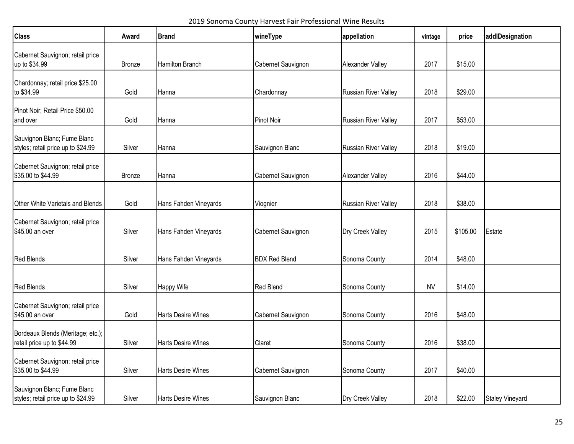2019 Sonoma County Harvest Fair Professional Wine Results

| <b>Class</b>                                                      | Award         | <b>Brand</b>              | wineType             | appellation                 | vintage   | price    | addlDesignation |
|-------------------------------------------------------------------|---------------|---------------------------|----------------------|-----------------------------|-----------|----------|-----------------|
| Cabernet Sauvignon; retail price<br>up to \$34.99                 | <b>Bronze</b> | Hamilton Branch           | Cabernet Sauvignon   | Alexander Valley            | 2017      | \$15.00  |                 |
| Chardonnay; retail price \$25.00<br>to \$34.99                    | Gold          | Hanna                     | Chardonnay           | <b>Russian River Valley</b> | 2018      | \$29.00  |                 |
| Pinot Noir; Retail Price \$50.00<br>and over                      | Gold          | Hanna                     | <b>Pinot Noir</b>    | <b>Russian River Valley</b> | 2017      | \$53.00  |                 |
| Sauvignon Blanc; Fume Blanc<br>styles; retail price up to \$24.99 | Silver        | Hanna                     | Sauvignon Blanc      | <b>Russian River Valley</b> | 2018      | \$19.00  |                 |
| Cabernet Sauvignon; retail price<br>\$35.00 to \$44.99            | <b>Bronze</b> | Hanna                     | Cabernet Sauvignon   | Alexander Valley            | 2016      | \$44.00  |                 |
| Other White Varietals and Blends                                  | Gold          | Hans Fahden Vineyards     | Viognier             | <b>Russian River Valley</b> | 2018      | \$38.00  |                 |
| Cabernet Sauvignon; retail price<br>\$45.00 an over               | Silver        | Hans Fahden Vineyards     | Cabernet Sauvignon   | Dry Creek Valley            | 2015      | \$105.00 | Estate          |
| <b>Red Blends</b>                                                 | Silver        | Hans Fahden Vineyards     | <b>BDX Red Blend</b> | Sonoma County               | 2014      | \$48.00  |                 |
| <b>Red Blends</b>                                                 | Silver        | <b>Happy Wife</b>         | Red Blend            | Sonoma County               | <b>NV</b> | \$14.00  |                 |
| Cabernet Sauvignon; retail price<br>\$45.00 an over               | Gold          | <b>Harts Desire Wines</b> | Cabernet Sauvignon   | Sonoma County               | 2016      | \$48.00  |                 |
| Bordeaux Blends (Meritage; etc.);<br>retail price up to \$44.99   | Silver        | <b>Harts Desire Wines</b> | Claret               | Sonoma County               | 2016      | \$38.00  |                 |
| Cabernet Sauvignon; retail price<br>\$35.00 to \$44.99            | Silver        | <b>Harts Desire Wines</b> | Cabernet Sauvignon   | Sonoma County               | 2017      | \$40.00  |                 |
| Sauvignon Blanc; Fume Blanc<br>styles; retail price up to \$24.99 | Silver        | <b>Harts Desire Wines</b> | Sauvignon Blanc      | Dry Creek Valley            | 2018      | \$22.00  | Staley Vineyard |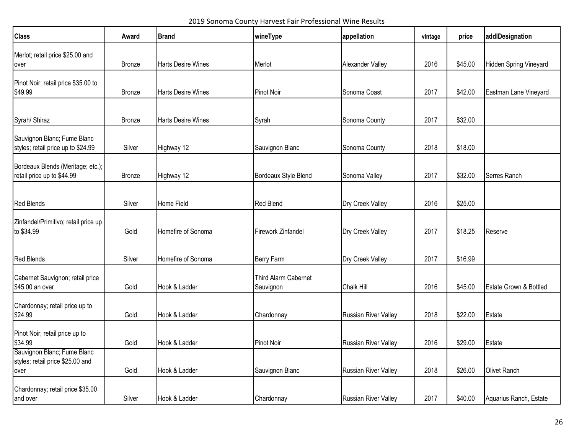2019 Sonoma County Harvest Fair Professional Wine Results

| <b>Class</b>                                                      | Award  | <b>Brand</b>              | wineType             | appellation          | vintage | price   | addlDesignation               |
|-------------------------------------------------------------------|--------|---------------------------|----------------------|----------------------|---------|---------|-------------------------------|
| Merlot; retail price \$25.00 and                                  |        |                           |                      |                      |         |         |                               |
| over                                                              | Bronze | <b>Harts Desire Wines</b> | Merlot               | Alexander Valley     | 2016    | \$45.00 | <b>Hidden Spring Vineyard</b> |
| Pinot Noir; retail price \$35.00 to                               |        |                           |                      |                      |         |         |                               |
| \$49.99                                                           | Bronze | <b>Harts Desire Wines</b> | <b>Pinot Noir</b>    | Sonoma Coast         | 2017    | \$42.00 | Eastman Lane Vineyard         |
|                                                                   |        |                           |                      |                      |         |         |                               |
| Syrah/ Shiraz                                                     | Bronze | <b>Harts Desire Wines</b> | Syrah                | Sonoma County        | 2017    | \$32.00 |                               |
| Sauvignon Blanc; Fume Blanc<br>styles; retail price up to \$24.99 | Silver | Highway 12                | Sauvignon Blanc      | Sonoma County        | 2018    | \$18.00 |                               |
|                                                                   |        |                           |                      |                      |         |         |                               |
| Bordeaux Blends (Meritage; etc.);<br>retail price up to \$44.99   | Bronze | Highway 12                | Bordeaux Style Blend | Sonoma Valley        | 2017    | \$32.00 | Serres Ranch                  |
|                                                                   |        |                           |                      |                      |         |         |                               |
| <b>Red Blends</b>                                                 | Silver | Home Field                | <b>Red Blend</b>     | Dry Creek Valley     | 2016    | \$25.00 |                               |
| Zinfandel/Primitivo; retail price up                              |        |                           |                      |                      |         |         |                               |
| to \$34.99                                                        | Gold   | Homefire of Sonoma        | Firework Zinfandel   | Dry Creek Valley     | 2017    | \$18.25 | Reserve                       |
|                                                                   |        |                           |                      |                      |         |         |                               |
| <b>Red Blends</b>                                                 | Silver | Homefire of Sonoma        | Berry Farm           | Dry Creek Valley     | 2017    | \$16.99 |                               |
| Cabernet Sauvignon; retail price                                  |        |                           | Third Alarm Cabernet |                      |         |         |                               |
| \$45.00 an over                                                   | Gold   | Hook & Ladder             | Sauvignon            | Chalk Hill           | 2016    | \$45.00 | Estate Grown & Bottled        |
| Chardonnay; retail price up to                                    |        |                           |                      |                      |         |         |                               |
| \$24.99                                                           | Gold   | Hook & Ladder             | Chardonnay           | Russian River Valley | 2018    | \$22.00 | Estate                        |
| Pinot Noir; retail price up to                                    |        |                           |                      |                      |         |         |                               |
| \$34.99                                                           | Gold   | Hook & Ladder             | Pinot Noir           | Russian River Valley | 2016    | \$29.00 | Estate                        |
| Sauvignon Blanc; Fume Blanc<br>styles; retail price \$25.00 and   |        |                           |                      |                      |         |         |                               |
| over                                                              | Gold   | Hook & Ladder             | Sauvignon Blanc      | Russian River Valley | 2018    | \$26.00 | Olivet Ranch                  |
| Chardonnay; retail price \$35.00                                  |        |                           |                      |                      |         |         |                               |
| and over                                                          | Silver | Hook & Ladder             | Chardonnay           | Russian River Valley | 2017    | \$40.00 | Aquarius Ranch, Estate        |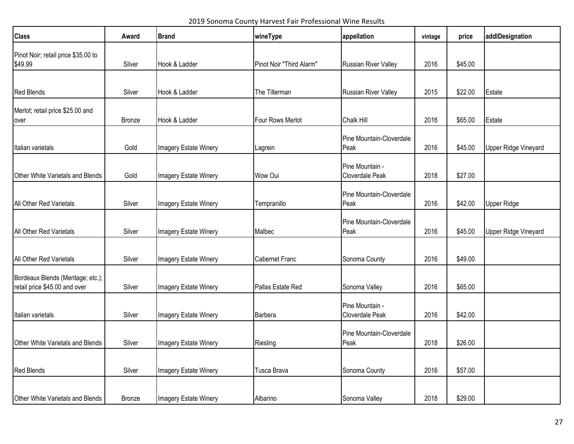2019 Sonoma County Harvest Fair Professional Wine Results

| <b>Class</b>                                                       | Award         | <b>Brand</b>          | wineType                 | appellation                        | vintage | price   | addlDesignation      |
|--------------------------------------------------------------------|---------------|-----------------------|--------------------------|------------------------------------|---------|---------|----------------------|
| Pinot Noir; retail price \$35.00 to<br>\$49.99                     | Silver        | Hook & Ladder         | Pinot Noir "Third Alarm" | <b>Russian River Valley</b>        | 2016    | \$45.00 |                      |
|                                                                    |               |                       |                          |                                    |         |         |                      |
| <b>Red Blends</b>                                                  | Silver        | Hook & Ladder         | The Tillerman            | Russian River Valley               | 2015    | \$22.00 | Estate               |
| Merlot; retail price \$25.00 and<br>over                           | <b>Bronze</b> | Hook & Ladder         | Four Rows Merlot         | <b>Chalk Hill</b>                  | 2016    | \$65.00 | Estate               |
| Italian varietals                                                  | Gold          | Imagery Estate Winery | Lagrein                  | Pine Mountain-Cloverdale<br>Peak   | 2016    | \$45.00 | Upper Ridge Vineyard |
| Other White Varietals and Blends                                   | Gold          | Imagery Estate Winery | <b>Wow Oui</b>           | Pine Mountain -<br>Cloverdale Peak | 2018    | \$27.00 |                      |
| All Other Red Varietals                                            | Silver        | Imagery Estate Winery | Tempranillo              | Pine Mountain-Cloverdale<br>Peak   | 2016    | \$42.00 | <b>Upper Ridge</b>   |
| All Other Red Varietals                                            | Silver        | Imagery Estate Winery | Malbec                   | Pine Mountain-Cloverdale<br>Peak   | 2016    | \$45.00 | Upper Ridge Vineyard |
| All Other Red Varietals                                            | Silver        | Imagery Estate Winery | <b>Cabernet Franc</b>    | Sonoma County                      | 2016    | \$49.00 |                      |
| Bordeaux Blends (Meritage; etc.);<br>retail price \$45.00 and over | Silver        | Imagery Estate Winery | Pallas Estate Red        | Sonoma Valley                      | 2016    | \$65.00 |                      |
| Italian varietals                                                  | Silver        | Imagery Estate Winery | Barbera                  | Pine Mountain -<br>Cloverdale Peak | 2016    | \$42.00 |                      |
| Other White Varietals and Blends                                   | Silver        | Imagery Estate Winery | Riesling                 | Pine Mountain-Cloverdale<br>Peak   | 2018    | \$26.00 |                      |
| <b>Red Blends</b>                                                  | Silver        | Imagery Estate Winery | Tusca Brava              | Sonoma County                      | 2016    | \$57.00 |                      |
| Other White Varietals and Blends                                   | Bronze        | Imagery Estate Winery | Albarino                 | Sonoma Valley                      | 2018    | \$29.00 |                      |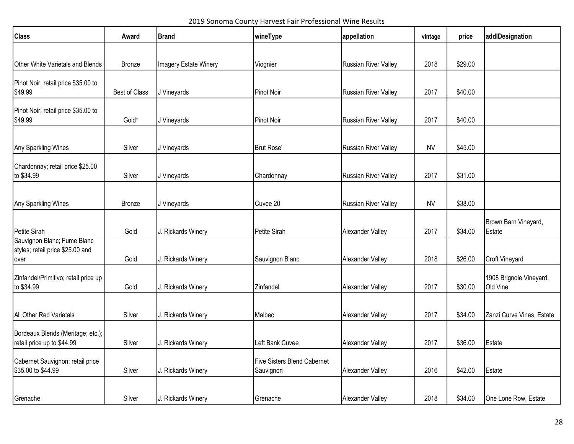2019 Sonoma County Harvest Fair Professional Wine Results

| <b>Class</b>                                                            | Award         | <b>Brand</b>          | wineType                                        | appellation                 | vintage   | price   | addlDesignation                     |
|-------------------------------------------------------------------------|---------------|-----------------------|-------------------------------------------------|-----------------------------|-----------|---------|-------------------------------------|
|                                                                         |               |                       |                                                 |                             |           |         |                                     |
| Other White Varietals and Blends                                        | <b>Bronze</b> | Imagery Estate Winery | Viognier                                        | Russian River Valley        | 2018      | \$29.00 |                                     |
| Pinot Noir; retail price \$35.00 to<br>\$49.99                          | Best of Class | J Vineyards           | <b>Pinot Noir</b>                               | Russian River Valley        | 2017      | \$40.00 |                                     |
| Pinot Noir; retail price \$35.00 to<br>\$49.99                          | Gold*         | J Vineyards           | <b>Pinot Noir</b>                               | Russian River Valley        | 2017      | \$40.00 |                                     |
| Any Sparkling Wines                                                     | Silver        | J Vineyards           | Brut Rose'                                      | Russian River Valley        | <b>NV</b> | \$45.00 |                                     |
| Chardonnay; retail price \$25.00<br>to \$34.99                          | Silver        | J Vineyards           | Chardonnay                                      | Russian River Valley        | 2017      | \$31.00 |                                     |
| Any Sparkling Wines                                                     | Bronze        | J Vineyards           | Cuvee 20                                        | <b>Russian River Valley</b> | <b>NV</b> | \$38.00 |                                     |
| Petite Sirah                                                            | Gold          | J. Rickards Winery    | Petite Sirah                                    | Alexander Valley            | 2017      | \$34.00 | Brown Barn Vineyard,<br>Estate      |
| Sauvignon Blanc; Fume Blanc<br>styles; retail price \$25.00 and<br>over | Gold          | J. Rickards Winery    | Sauvignon Blanc                                 | Alexander Valley            | 2018      | \$26.00 | Croft Vineyard                      |
| Zinfandel/Primitivo; retail price up<br>to \$34.99                      | Gold          | J. Rickards Winery    | Zinfandel                                       | Alexander Valley            | 2017      | \$30.00 | 1908 Brignole Vineyard,<br>Old Vine |
| All Other Red Varietals                                                 | Silver        | J. Rickards Winery    | Malbec                                          | Alexander Valley            | 2017      | \$34.00 | Zanzi Curve Vines, Estate           |
| Bordeaux Blends (Meritage; etc.);<br>retail price up to \$44.99         | Silver        | J. Rickards Winery    | Left Bank Cuvee                                 | Alexander Valley            | 2017      | \$36.00 | Estate                              |
| Cabernet Sauvignon; retail price<br>\$35.00 to \$44.99                  | Silver        | J. Rickards Winery    | <b>Five Sisters Blend Cabernet</b><br>Sauvignon | Alexander Valley            | 2016      | \$42.00 | Estate                              |
| Grenache                                                                | Silver        | J. Rickards Winery    | Grenache                                        | Alexander Valley            | 2018      | \$34.00 | One Lone Row, Estate                |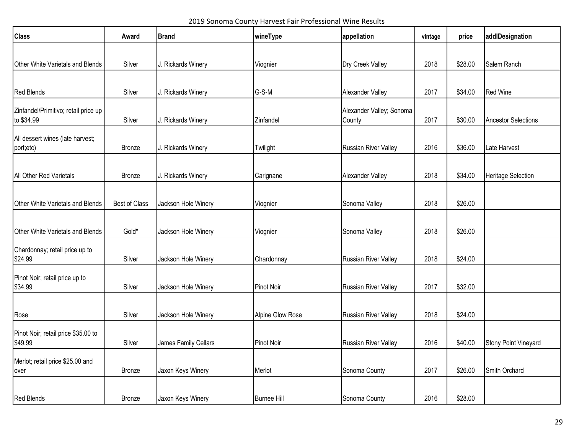2019 Sonoma County Harvest Fair Professional Wine Results

| <b>Class</b>                                       | Award                | <b>Brand</b>         | wineType           | appellation                        | vintage | price   | addlDesignation            |
|----------------------------------------------------|----------------------|----------------------|--------------------|------------------------------------|---------|---------|----------------------------|
|                                                    |                      |                      |                    |                                    |         |         |                            |
| Other White Varietals and Blends                   | Silver               | J. Rickards Winery   | Viognier           | Dry Creek Valley                   | 2018    | \$28.00 | Salem Ranch                |
|                                                    |                      |                      |                    |                                    |         |         |                            |
| <b>Red Blends</b>                                  | Silver               | J. Rickards Winery   | G-S-M              | Alexander Valley                   | 2017    | \$34.00 | <b>Red Wine</b>            |
| Zinfandel/Primitivo; retail price up<br>to \$34.99 | Silver               | J. Rickards Winery   | Zinfandel          | Alexander Valley; Sonoma<br>County | 2017    | \$30.00 | <b>Ancestor Selections</b> |
| All dessert wines (late harvest;<br>port;etc)      | Bronze               | J. Rickards Winery   | Twilight           | <b>Russian River Valley</b>        | 2016    | \$36.00 | Late Harvest               |
|                                                    |                      |                      |                    |                                    |         |         |                            |
| All Other Red Varietals                            | <b>Bronze</b>        | J. Rickards Winery   | Carignane          | Alexander Valley                   | 2018    | \$34.00 | <b>Heritage Selection</b>  |
|                                                    |                      |                      |                    |                                    |         |         |                            |
| Other White Varietals and Blends                   | <b>Best of Class</b> | Jackson Hole Winery  | Viognier           | Sonoma Valley                      | 2018    | \$26.00 |                            |
|                                                    |                      |                      |                    |                                    |         |         |                            |
| Other White Varietals and Blends                   | Gold*                | Jackson Hole Winery  | Viognier           | Sonoma Valley                      | 2018    | \$26.00 |                            |
| Chardonnay; retail price up to<br>\$24.99          | Silver               | Jackson Hole Winery  | Chardonnay         | <b>Russian River Valley</b>        | 2018    | \$24.00 |                            |
| Pinot Noir; retail price up to<br>\$34.99          | Silver               | Jackson Hole Winery  | <b>Pinot Noir</b>  | <b>Russian River Valley</b>        | 2017    | \$32.00 |                            |
|                                                    |                      |                      |                    |                                    |         |         |                            |
| Rose                                               | Silver               | Jackson Hole Winery  | Alpine Glow Rose   | <b>Russian River Valley</b>        | 2018    | \$24.00 |                            |
| Pinot Noir; retail price \$35.00 to<br>\$49.99     | Silver               | James Family Cellars | <b>Pinot Noir</b>  | Russian River Valley               | 2016    | \$40.00 | Stony Point Vineyard       |
| Merlot; retail price \$25.00 and<br>over           | Bronze               | Jaxon Keys Winery    | Merlot             | Sonoma County                      | 2017    | \$26.00 | Smith Orchard              |
|                                                    |                      |                      |                    |                                    |         |         |                            |
| <b>Red Blends</b>                                  | Bronze               | Jaxon Keys Winery    | <b>Burnee Hill</b> | Sonoma County                      | 2016    | \$28.00 |                            |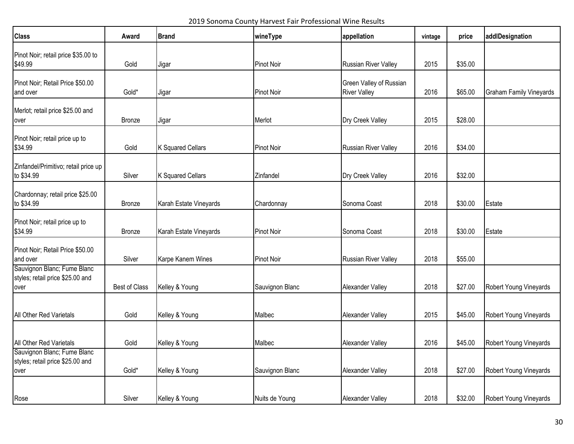2019 Sonoma County Harvest Fair Professional Wine Results

| <b>Class</b>                                                            | Award         | <b>Brand</b>             | wineType          | appellation                                    | vintage | price   | addlDesignation                |
|-------------------------------------------------------------------------|---------------|--------------------------|-------------------|------------------------------------------------|---------|---------|--------------------------------|
| Pinot Noir; retail price \$35.00 to<br>\$49.99                          | Gold          | Jigar                    | <b>Pinot Noir</b> | Russian River Valley                           | 2015    | \$35.00 |                                |
| Pinot Noir; Retail Price \$50.00<br>and over                            | Gold*         | Jigar                    | <b>Pinot Noir</b> | Green Valley of Russian<br><b>River Valley</b> | 2016    | \$65.00 | <b>Graham Family Vineyards</b> |
| Merlot; retail price \$25.00 and<br>over                                | Bronze        | Jigar                    | Merlot            | Dry Creek Valley                               | 2015    | \$28.00 |                                |
| Pinot Noir; retail price up to<br>\$34.99                               | Gold          | <b>K Squared Cellars</b> | <b>Pinot Noir</b> | Russian River Valley                           | 2016    | \$34.00 |                                |
| Zinfandel/Primitivo; retail price up<br>to \$34.99                      | Silver        | <b>K Squared Cellars</b> | Zinfandel         | Dry Creek Valley                               | 2016    | \$32.00 |                                |
| Chardonnay; retail price \$25.00<br>to \$34.99                          | <b>Bronze</b> | Karah Estate Vineyards   | Chardonnay        | Sonoma Coast                                   | 2018    | \$30.00 | Estate                         |
| Pinot Noir; retail price up to<br>\$34.99                               | <b>Bronze</b> | Karah Estate Vineyards   | <b>Pinot Noir</b> | Sonoma Coast                                   | 2018    | \$30.00 | Estate                         |
| Pinot Noir; Retail Price \$50.00<br>and over                            | Silver        | Karpe Kanem Wines        | <b>Pinot Noir</b> | Russian River Valley                           | 2018    | \$55.00 |                                |
| Sauvignon Blanc; Fume Blanc<br>styles; retail price \$25.00 and<br>over | Best of Class | Kelley & Young           | Sauvignon Blanc   | Alexander Valley                               | 2018    | \$27.00 | Robert Young Vineyards         |
| All Other Red Varietals                                                 | Gold          | Kelley & Young           | Malbec            | Alexander Valley                               | 2015    | \$45.00 | Robert Young Vineyards         |
| All Other Red Varietals                                                 | Gold          | Kelley & Young           | Malbec            | Alexander Valley                               | 2016    | \$45.00 | Robert Young Vineyards         |
| Sauvignon Blanc; Fume Blanc<br>styles; retail price \$25.00 and<br>over | Gold*         | Kelley & Young           | Sauvignon Blanc   | Alexander Valley                               | 2018    | \$27.00 | Robert Young Vineyards         |
| Rose                                                                    | Silver        | Kelley & Young           | Nuits de Young    | Alexander Valley                               | 2018    | \$32.00 | Robert Young Vineyards         |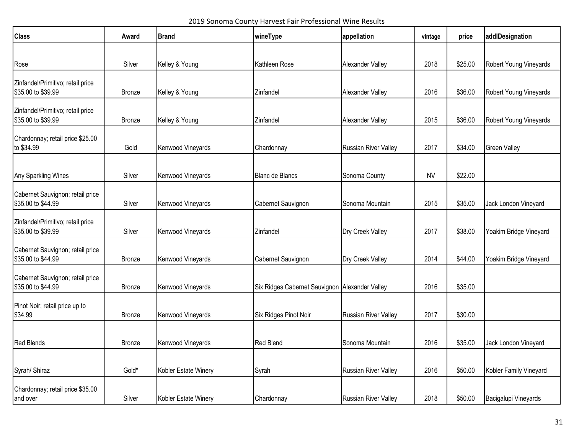2019 Sonoma County Harvest Fair Professional Wine Results

| <b>Class</b>                                            | Award  | <b>Brand</b>         | wineType                                       | appellation                 | vintage   | price   | addlDesignation        |
|---------------------------------------------------------|--------|----------------------|------------------------------------------------|-----------------------------|-----------|---------|------------------------|
|                                                         |        |                      |                                                |                             |           |         |                        |
| Rose                                                    | Silver | Kelley & Young       | Kathleen Rose                                  | Alexander Valley            | 2018      | \$25.00 | Robert Young Vineyards |
| Zinfandel/Primitivo; retail price<br>\$35.00 to \$39.99 | Bronze | Kelley & Young       | Zinfandel                                      | Alexander Valley            | 2016      | \$36.00 | Robert Young Vineyards |
| Zinfandel/Primitivo; retail price<br>\$35.00 to \$39.99 | Bronze | Kelley & Young       | Zinfandel                                      | Alexander Valley            | 2015      | \$36.00 | Robert Young Vineyards |
| Chardonnay; retail price \$25.00<br>to \$34.99          | Gold   | Kenwood Vineyards    | Chardonnay                                     | Russian River Valley        | 2017      | \$34.00 | <b>Green Valley</b>    |
| Any Sparkling Wines                                     | Silver | Kenwood Vineyards    | <b>Blanc de Blancs</b>                         | Sonoma County               | <b>NV</b> | \$22.00 |                        |
| Cabernet Sauvignon; retail price<br>\$35.00 to \$44.99  | Silver | Kenwood Vineyards    | Cabernet Sauvignon                             | Sonoma Mountain             | 2015      | \$35.00 | Jack London Vineyard   |
| Zinfandel/Primitivo; retail price<br>\$35.00 to \$39.99 | Silver | Kenwood Vineyards    | Zinfandel                                      | Dry Creek Valley            | 2017      | \$38.00 | Yoakim Bridge Vineyard |
| Cabernet Sauvignon; retail price<br>\$35.00 to \$44.99  | Bronze | Kenwood Vineyards    | Cabernet Sauvignon                             | Dry Creek Valley            | 2014      | \$44.00 | Yoakim Bridge Vineyard |
| Cabernet Sauvignon; retail price<br>\$35.00 to \$44.99  | Bronze | Kenwood Vineyards    | Six Ridges Cabernet Sauvignon Alexander Valley |                             | 2016      | \$35.00 |                        |
| Pinot Noir; retail price up to<br>\$34.99               | Bronze | Kenwood Vineyards    | Six Ridges Pinot Noir                          | Russian River Valley        | 2017      | \$30.00 |                        |
| <b>Red Blends</b>                                       | Bronze | Kenwood Vineyards    | <b>Red Blend</b>                               | Sonoma Mountain             | 2016      | \$35.00 | Jack London Vineyard   |
| Syrah/ Shiraz                                           | Gold*  | Kobler Estate Winery | Syrah                                          | <b>Russian River Valley</b> | 2016      | \$50.00 | Kobler Family Vineyard |
| Chardonnay; retail price \$35.00<br>and over            | Silver | Kobler Estate Winery | Chardonnay                                     | <b>Russian River Valley</b> | 2018      | \$50.00 | Bacigalupi Vineyards   |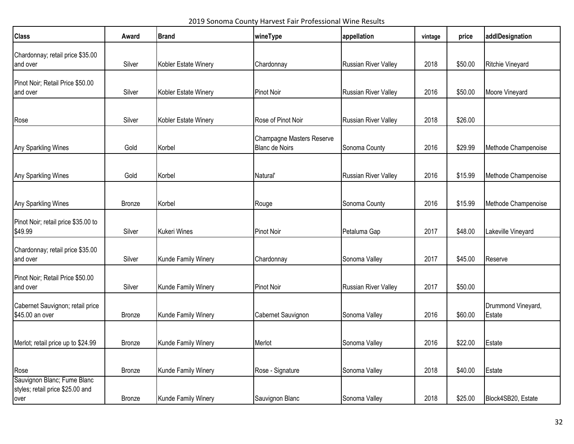2019 Sonoma County Harvest Fair Professional Wine Results

| <b>Class</b>                                                            | Award         | <b>Brand</b>         | wineType                                           | appellation          | vintage | price   | addlDesignation              |
|-------------------------------------------------------------------------|---------------|----------------------|----------------------------------------------------|----------------------|---------|---------|------------------------------|
| Chardonnay; retail price \$35.00<br>and over                            | Silver        | Kobler Estate Winery | Chardonnay                                         | Russian River Valley | 2018    | \$50.00 | Ritchie Vineyard             |
| Pinot Noir; Retail Price \$50.00<br>and over                            | Silver        | Kobler Estate Winery | <b>Pinot Noir</b>                                  | Russian River Valley | 2016    | \$50.00 | Moore Vineyard               |
| Rose                                                                    | Silver        | Kobler Estate Winery | Rose of Pinot Noir                                 | Russian River Valley | 2018    | \$26.00 |                              |
| Any Sparkling Wines                                                     | Gold          | Korbel               | Champagne Masters Reserve<br><b>Blanc de Noirs</b> | Sonoma County        | 2016    | \$29.99 | Methode Champenoise          |
| Any Sparkling Wines                                                     | Gold          | Korbel               | Natural'                                           | Russian River Valley | 2016    | \$15.99 | Methode Champenoise          |
| Any Sparkling Wines                                                     | Bronze        | Korbel               | Rouge                                              | Sonoma County        | 2016    | \$15.99 | Methode Champenoise          |
| Pinot Noir; retail price \$35.00 to<br>\$49.99                          | Silver        | <b>Kukeri Wines</b>  | Pinot Noir                                         | Petaluma Gap         | 2017    | \$48.00 | Lakeville Vineyard           |
| Chardonnay; retail price \$35.00<br>and over                            | Silver        | Kunde Family Winery  | Chardonnay                                         | Sonoma Valley        | 2017    | \$45.00 | Reserve                      |
| Pinot Noir; Retail Price \$50.00<br>and over                            | Silver        | Kunde Family Winery  | <b>Pinot Noir</b>                                  | Russian River Valley | 2017    | \$50.00 |                              |
| Cabernet Sauvignon; retail price<br>\$45.00 an over                     | Bronze        | Kunde Family Winery  | Cabernet Sauvignon                                 | Sonoma Valley        | 2016    | \$60.00 | Drummond Vineyard,<br>Estate |
| Merlot; retail price up to \$24.99                                      | Bronze        | Kunde Family Winery  | Merlot                                             | Sonoma Valley        | 2016    | \$22.00 | Estate                       |
| Rose                                                                    | <b>Bronze</b> | Kunde Family Winery  | Rose - Signature                                   | Sonoma Valley        | 2018    | \$40.00 | Estate                       |
| Sauvignon Blanc; Fume Blanc<br>styles; retail price \$25.00 and<br>over | <b>Bronze</b> | Kunde Family Winery  | Sauvignon Blanc                                    | Sonoma Valley        | 2018    | \$25.00 | Block4SB20, Estate           |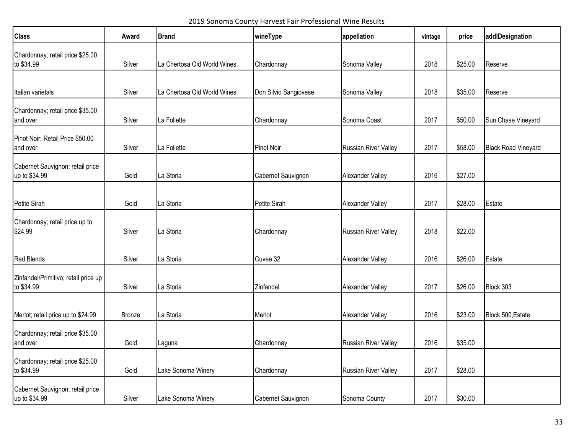2019 Sonoma County Harvest Fair Professional Wine Results

| <b>Class</b>                                       | Award  | <b>Brand</b>                | wineType              | appellation                 | vintage | price   | addlDesignation            |
|----------------------------------------------------|--------|-----------------------------|-----------------------|-----------------------------|---------|---------|----------------------------|
| Chardonnay; retail price \$25.00<br>to \$34.99     | Silver | La Chertosa Old World Wines | Chardonnay            | Sonoma Valley               | 2018    | \$25.00 | Reserve                    |
|                                                    |        |                             |                       |                             |         |         |                            |
| Italian varietals                                  | Silver | La Chertosa Old World Wines | Don Silvio Sangiovese | Sonoma Valley               | 2018    | \$35.00 | Reserve                    |
| Chardonnay; retail price \$35.00<br>and over       | Silver | La Follette                 | Chardonnay            | Sonoma Coast                | 2017    | \$50.00 | Sun Chase Vineyard         |
| Pinot Noir; Retail Price \$50.00<br>and over       | Silver | La Follette                 | Pinot Noir            | <b>Russian River Valley</b> | 2017    | \$58.00 | <b>Black Road Vineyard</b> |
| Cabernet Sauvignon; retail price<br>up to \$34.99  | Gold   | La Storia                   | Cabernet Sauvignon    | Alexander Valley            | 2016    | \$27.00 |                            |
|                                                    |        |                             |                       |                             |         |         |                            |
| Petite Sirah                                       | Gold   | La Storia                   | Petite Sirah          | Alexander Valley            | 2017    | \$28.00 | Estate                     |
| Chardonnay; retail price up to<br>\$24.99          | Silver | La Storia                   | Chardonnay            | <b>Russian River Valley</b> | 2018    | \$22.00 |                            |
|                                                    |        |                             |                       |                             |         |         |                            |
| <b>Red Blends</b>                                  | Silver | La Storia                   | Cuvee 32              | Alexander Valley            | 2016    | \$26.00 | Estate                     |
| Zinfandel/Primitivo; retail price up<br>to \$34.99 | Silver | La Storia                   | Zinfandel             | Alexander Valley            | 2017    | \$26.00 | Block 303                  |
|                                                    |        |                             |                       |                             |         |         |                            |
| Merlot; retail price up to \$24.99                 | Bronze | La Storia                   | Merlot                | Alexander Valley            | 2016    | \$23.00 | Block 500, Estate          |
| Chardonnay; retail price \$35.00<br>and over       | Gold   | Laguna                      | Chardonnay            | Russian River Valley        | 2016    | \$35.00 |                            |
| Chardonnay; retail price \$25.00<br>to \$34.99     | Gold   | Lake Sonoma Winery          | Chardonnay            | Russian River Valley        | 2017    | \$28.00 |                            |
| Cabernet Sauvignon; retail price<br>up to \$34.99  | Silver | Lake Sonoma Winery          | Cabernet Sauvignon    | Sonoma County               | 2017    | \$30.00 |                            |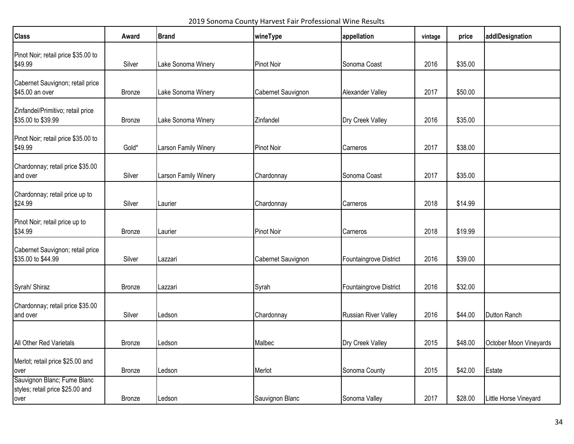2019 Sonoma County Harvest Fair Professional Wine Results

| <b>Class</b>                                                            | Award         | <b>Brand</b>         | wineType           | appellation                 | vintage | price   | addlDesignation        |
|-------------------------------------------------------------------------|---------------|----------------------|--------------------|-----------------------------|---------|---------|------------------------|
| Pinot Noir; retail price \$35.00 to<br>\$49.99                          | Silver        | Lake Sonoma Winery   | <b>Pinot Noir</b>  | Sonoma Coast                | 2016    | \$35.00 |                        |
| Cabernet Sauvignon; retail price<br>\$45.00 an over                     | <b>Bronze</b> | Lake Sonoma Winery   | Cabernet Sauvignon | Alexander Valley            | 2017    | \$50.00 |                        |
| Zinfandel/Primitivo; retail price<br>\$35.00 to \$39.99                 | <b>Bronze</b> | Lake Sonoma Winery   | Zinfandel          | Dry Creek Valley            | 2016    | \$35.00 |                        |
| Pinot Noir; retail price \$35.00 to<br>\$49.99                          | Gold*         | Larson Family Winery | <b>Pinot Noir</b>  | Carneros                    | 2017    | \$38.00 |                        |
| Chardonnay; retail price \$35.00<br>and over                            | Silver        | Larson Family Winery | Chardonnay         | Sonoma Coast                | 2017    | \$35.00 |                        |
| Chardonnay; retail price up to<br>\$24.99                               | Silver        | Laurier              | Chardonnay         | Carneros                    | 2018    | \$14.99 |                        |
| Pinot Noir; retail price up to<br>\$34.99                               | <b>Bronze</b> | Laurier              | <b>Pinot Noir</b>  | Carneros                    | 2018    | \$19.99 |                        |
| Cabernet Sauvignon; retail price<br>\$35.00 to \$44.99                  | Silver        | Lazzari              | Cabernet Sauvignon | Fountaingrove District      | 2016    | \$39.00 |                        |
| Syrah/ Shiraz                                                           | Bronze        | Lazzari              | Syrah              | Fountaingrove District      | 2016    | \$32.00 |                        |
| Chardonnay; retail price \$35.00<br>and over                            | Silver        | Ledson               | Chardonnay         | <b>Russian River Valley</b> | 2016    | \$44.00 | Dutton Ranch           |
| All Other Red Varietals                                                 | <b>Bronze</b> | Ledson               | Malbec             | Dry Creek Valley            | 2015    | \$48.00 | October Moon Vineyards |
| Merlot; retail price \$25.00 and<br>over                                | Bronze        | Ledson               | Merlot             | Sonoma County               | 2015    | \$42.00 | Estate                 |
| Sauvignon Blanc; Fume Blanc<br>styles; retail price \$25.00 and<br>over | Bronze        | Ledson               | Sauvignon Blanc    | Sonoma Valley               | 2017    | \$28.00 | Little Horse Vineyard  |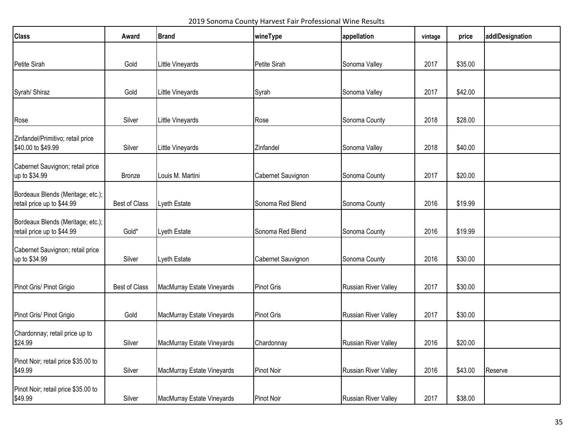2019 Sonoma County Harvest Fair Professional Wine Results

| <b>Class</b>                                                    | Award                | <b>Brand</b>               | wineType           | appellation                 | vintage | price   | addlDesignation |
|-----------------------------------------------------------------|----------------------|----------------------------|--------------------|-----------------------------|---------|---------|-----------------|
|                                                                 |                      |                            |                    |                             |         |         |                 |
| Petite Sirah                                                    | Gold                 | Little Vineyards           | Petite Sirah       | Sonoma Valley               | 2017    | \$35.00 |                 |
|                                                                 |                      |                            |                    |                             |         |         |                 |
| Syrah/ Shiraz                                                   | Gold                 | Little Vineyards           | Syrah              | Sonoma Valley               | 2017    | \$42.00 |                 |
| Rose                                                            | Silver               | Little Vineyards           | Rose               | Sonoma County               | 2018    | \$28.00 |                 |
| Zinfandel/Primitivo; retail price<br>\$40.00 to \$49.99         | Silver               | Little Vineyards           | Zinfandel          | Sonoma Valley               | 2018    | \$40.00 |                 |
| Cabernet Sauvignon; retail price<br>up to \$34.99               | <b>Bronze</b>        | Louis M. Martini           | Cabernet Sauvignon | Sonoma County               | 2017    | \$20.00 |                 |
| Bordeaux Blends (Meritage; etc.);<br>retail price up to \$44.99 | <b>Best of Class</b> | Lyeth Estate               | Sonoma Red Blend   | Sonoma County               | 2016    | \$19.99 |                 |
| Bordeaux Blends (Meritage; etc.);<br>retail price up to \$44.99 | Gold*                | Lyeth Estate               | Sonoma Red Blend   | Sonoma County               | 2016    | \$19.99 |                 |
| Cabernet Sauvignon; retail price<br>up to \$34.99               | Silver               | Lyeth Estate               | Cabernet Sauvignon | Sonoma County               | 2016    | \$30.00 |                 |
| Pinot Gris/ Pinot Grigio                                        | Best of Class        | MacMurray Estate Vineyards | <b>Pinot Gris</b>  | <b>Russian River Valley</b> | 2017    | \$30.00 |                 |
| Pinot Gris/ Pinot Grigio                                        | Gold                 | MacMurray Estate Vineyards | <b>Pinot Gris</b>  | Russian River Valley        | 2017    | \$30.00 |                 |
| Chardonnay; retail price up to<br>\$24.99                       | Silver               | MacMurray Estate Vineyards | Chardonnay         | Russian River Valley        | 2016    | \$20.00 |                 |
| Pinot Noir; retail price \$35.00 to<br>\$49.99                  | Silver               | MacMurray Estate Vineyards | Pinot Noir         | <b>Russian River Valley</b> | 2016    | \$43.00 | Reserve         |
| Pinot Noir; retail price \$35.00 to<br>\$49.99                  | Silver               | MacMurray Estate Vineyards | Pinot Noir         | Russian River Valley        | 2017    | \$38.00 |                 |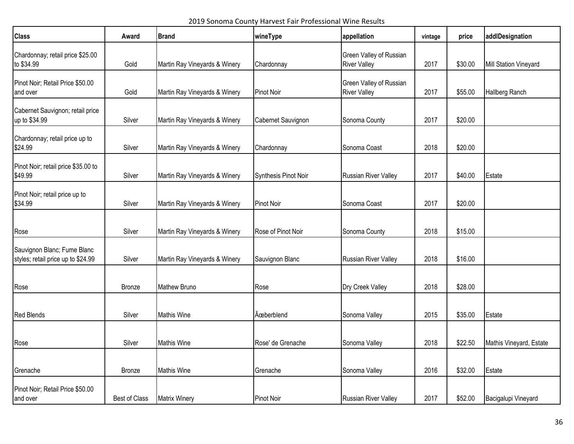2019 Sonoma County Harvest Fair Professional Wine Results

| <b>Class</b>                                                      | Award                | <b>Brand</b>                  | wineType             | appellation                                    | vintage | price   | addlDesignation         |
|-------------------------------------------------------------------|----------------------|-------------------------------|----------------------|------------------------------------------------|---------|---------|-------------------------|
| Chardonnay; retail price \$25.00<br>to \$34.99                    | Gold                 | Martin Ray Vineyards & Winery | Chardonnay           | Green Valley of Russian<br><b>River Valley</b> | 2017    | \$30.00 | Mill Station Vineyard   |
| Pinot Noir; Retail Price \$50.00<br>and over                      | Gold                 | Martin Ray Vineyards & Winery | Pinot Noir           | Green Valley of Russian<br><b>River Valley</b> | 2017    | \$55.00 | Hallberg Ranch          |
| Cabernet Sauvignon; retail price<br>up to \$34.99                 | Silver               | Martin Ray Vineyards & Winery | Cabernet Sauvignon   | Sonoma County                                  | 2017    | \$20.00 |                         |
| Chardonnay; retail price up to<br>\$24.99                         | Silver               | Martin Ray Vineyards & Winery | Chardonnay           | Sonoma Coast                                   | 2018    | \$20.00 |                         |
| Pinot Noir; retail price \$35.00 to<br>\$49.99                    | Silver               | Martin Ray Vineyards & Winery | Synthesis Pinot Noir | <b>Russian River Valley</b>                    | 2017    | \$40.00 | Estate                  |
| Pinot Noir; retail price up to<br>\$34.99                         | Silver               | Martin Ray Vineyards & Winery | Pinot Noir           | Sonoma Coast                                   | 2017    | \$20.00 |                         |
| Rose                                                              | Silver               | Martin Ray Vineyards & Winery | Rose of Pinot Noir   | Sonoma County                                  | 2018    | \$15.00 |                         |
| Sauvignon Blanc; Fume Blanc<br>styles; retail price up to \$24.99 | Silver               | Martin Ray Vineyards & Winery | Sauvignon Blanc      | <b>Russian River Valley</b>                    | 2018    | \$16.00 |                         |
| Rose                                                              | <b>Bronze</b>        | Mathew Bruno                  | Rose                 | Dry Creek Valley                               | 2018    | \$28.00 |                         |
| <b>Red Blends</b>                                                 | Silver               | <b>Mathis Wine</b>            | <b>A</b> œberblend   | Sonoma Valley                                  | 2015    | \$35.00 | Estate                  |
| Rose                                                              | Silver               | <b>Mathis Wine</b>            | Rose' de Grenache    | Sonoma Valley                                  | 2018    | \$22.50 | Mathis Vineyard, Estate |
| Grenache                                                          | <b>Bronze</b>        | <b>Mathis Wine</b>            | Grenache             | Sonoma Valley                                  | 2016    | \$32.00 | Estate                  |
| Pinot Noir; Retail Price \$50.00<br>and over                      | <b>Best of Class</b> | <b>Matrix Winery</b>          | <b>Pinot Noir</b>    | <b>Russian River Valley</b>                    | 2017    | \$52.00 | Bacigalupi Vineyard     |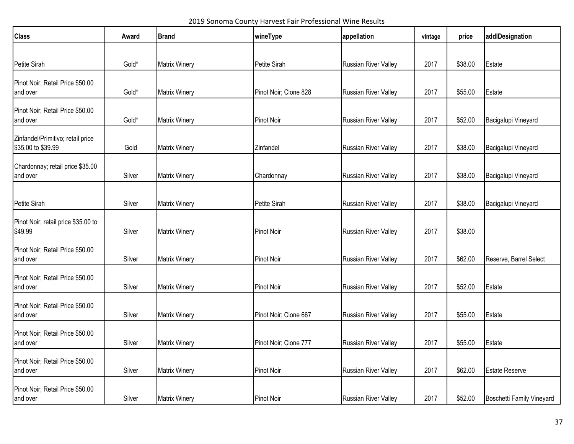2019 Sonoma County Harvest Fair Professional Wine Results

| <b>Class</b>                                            | Award  | <b>Brand</b>         | wineType              | appellation          | vintage | price   | addlDesignation           |
|---------------------------------------------------------|--------|----------------------|-----------------------|----------------------|---------|---------|---------------------------|
|                                                         |        |                      |                       |                      |         |         |                           |
| Petite Sirah                                            | Gold*  | <b>Matrix Winery</b> | Petite Sirah          | Russian River Valley | 2017    | \$38.00 | Estate                    |
| Pinot Noir; Retail Price \$50.00                        |        |                      |                       |                      |         |         |                           |
| and over                                                | Gold*  | <b>Matrix Winery</b> | Pinot Noir; Clone 828 | Russian River Valley | 2017    | \$55.00 | Estate                    |
| Pinot Noir; Retail Price \$50.00<br>and over            | Gold*  | <b>Matrix Winery</b> | Pinot Noir            | Russian River Valley | 2017    | \$52.00 | Bacigalupi Vineyard       |
| Zinfandel/Primitivo; retail price<br>\$35.00 to \$39.99 | Gold   | <b>Matrix Winery</b> | Zinfandel             | Russian River Valley | 2017    | \$38.00 | Bacigalupi Vineyard       |
| Chardonnay; retail price \$35.00<br>and over            | Silver | <b>Matrix Winery</b> | Chardonnay            | Russian River Valley | 2017    | \$38.00 | Bacigalupi Vineyard       |
|                                                         |        |                      |                       |                      |         |         |                           |
| Petite Sirah                                            | Silver | <b>Matrix Winery</b> | Petite Sirah          | Russian River Valley | 2017    | \$38.00 | Bacigalupi Vineyard       |
| Pinot Noir; retail price \$35.00 to<br>\$49.99          | Silver | <b>Matrix Winery</b> | <b>Pinot Noir</b>     | Russian River Valley | 2017    | \$38.00 |                           |
| Pinot Noir; Retail Price \$50.00<br>and over            | Silver | <b>Matrix Winery</b> | <b>Pinot Noir</b>     | Russian River Valley | 2017    | \$62.00 | Reserve, Barrel Select    |
| Pinot Noir; Retail Price \$50.00<br>and over            | Silver | <b>Matrix Winery</b> | <b>Pinot Noir</b>     | Russian River Valley | 2017    | \$52.00 | Estate                    |
| Pinot Noir; Retail Price \$50.00<br>and over            | Silver | <b>Matrix Winery</b> | Pinot Noir; Clone 667 | Russian River Valley | 2017    | \$55.00 | Estate                    |
| Pinot Noir; Retail Price \$50.00<br>and over            | Silver | <b>Matrix Winery</b> | Pinot Noir; Clone 777 | Russian River Valley | 2017    | \$55.00 | Estate                    |
| Pinot Noir; Retail Price \$50.00<br>and over            | Silver | <b>Matrix Winery</b> | Pinot Noir            | Russian River Valley | 2017    | \$62.00 | Estate Reserve            |
| Pinot Noir; Retail Price \$50.00<br>and over            | Silver | <b>Matrix Winery</b> | Pinot Noir            | Russian River Valley | 2017    | \$52.00 | Boschetti Family Vineyard |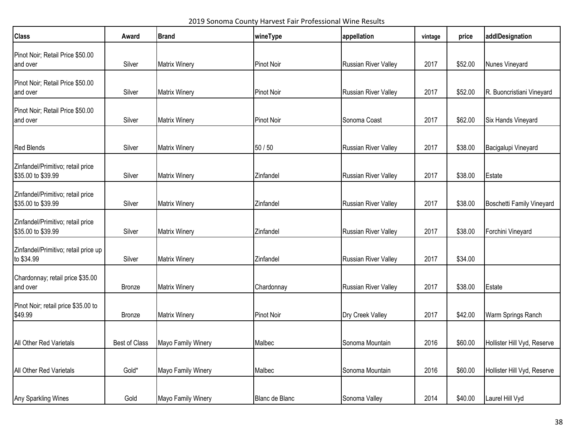2019 Sonoma County Harvest Fair Professional Wine Results

| <b>Class</b>                                            | Award         | <b>Brand</b>         | wineType          | appellation                 | vintage | price   | addlDesignation             |
|---------------------------------------------------------|---------------|----------------------|-------------------|-----------------------------|---------|---------|-----------------------------|
| Pinot Noir; Retail Price \$50.00<br>and over            | Silver        | <b>Matrix Winery</b> | <b>Pinot Noir</b> | Russian River Valley        | 2017    | \$52.00 | Nunes Vineyard              |
| Pinot Noir; Retail Price \$50.00<br>and over            | Silver        | <b>Matrix Winery</b> | <b>Pinot Noir</b> | Russian River Valley        | 2017    | \$52.00 | R. Buoncristiani Vineyard   |
| Pinot Noir; Retail Price \$50.00<br>and over            | Silver        | <b>Matrix Winery</b> | <b>Pinot Noir</b> | Sonoma Coast                | 2017    | \$62.00 | Six Hands Vineyard          |
| <b>Red Blends</b>                                       | Silver        | <b>Matrix Winery</b> | 50/50             | Russian River Valley        | 2017    | \$38.00 | Bacigalupi Vineyard         |
| Zinfandel/Primitivo; retail price<br>\$35.00 to \$39.99 | Silver        | <b>Matrix Winery</b> | Zinfandel         | Russian River Valley        | 2017    | \$38.00 | Estate                      |
| Zinfandel/Primitivo; retail price<br>\$35.00 to \$39.99 | Silver        | <b>Matrix Winery</b> | Zinfandel         | Russian River Valley        | 2017    | \$38.00 | Boschetti Family Vineyard   |
| Zinfandel/Primitivo; retail price<br>\$35.00 to \$39.99 | Silver        | <b>Matrix Winery</b> | Zinfandel         | <b>Russian River Valley</b> | 2017    | \$38.00 | Forchini Vineyard           |
| Zinfandel/Primitivo; retail price up<br>to \$34.99      | Silver        | <b>Matrix Winery</b> | Zinfandel         | Russian River Valley        | 2017    | \$34.00 |                             |
| Chardonnay; retail price \$35.00<br>and over            | <b>Bronze</b> | <b>Matrix Winery</b> | Chardonnay        | Russian River Valley        | 2017    | \$38.00 | Estate                      |
| Pinot Noir; retail price \$35.00 to<br>\$49.99          | Bronze        | <b>Matrix Winery</b> | <b>Pinot Noir</b> | Dry Creek Valley            | 2017    | \$42.00 | Warm Springs Ranch          |
| All Other Red Varietals                                 | Best of Class | Mayo Family Winery   | Malbec            | Sonoma Mountain             | 2016    | \$60.00 | Hollister Hill Vyd, Reserve |
| All Other Red Varietals                                 | Gold*         | Mayo Family Winery   | Malbec            | Sonoma Mountain             | 2016    | \$60.00 | Hollister Hill Vyd, Reserve |
| Any Sparkling Wines                                     | Gold          | Mayo Family Winery   | Blanc de Blanc    | Sonoma Valley               | 2014    | \$40.00 | Laurel Hill Vyd             |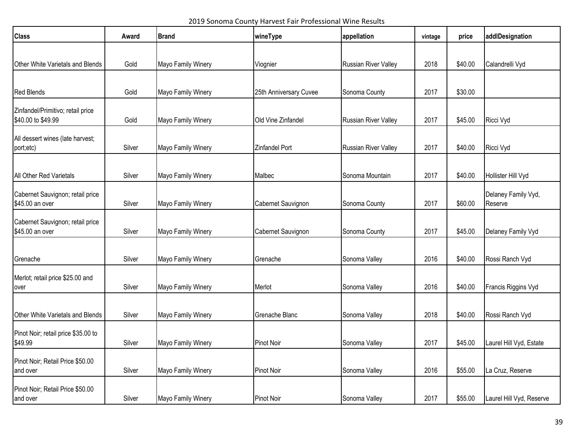2019 Sonoma County Harvest Fair Professional Wine Results

| <b>Class</b>                                            | Award  | <b>Brand</b>       | wineType               | appellation                 | vintage | price   | addlDesignation                |
|---------------------------------------------------------|--------|--------------------|------------------------|-----------------------------|---------|---------|--------------------------------|
|                                                         |        |                    |                        |                             |         |         |                                |
| Other White Varietals and Blends                        | Gold   | Mayo Family Winery | Viognier               | Russian River Valley        | 2018    | \$40.00 | Calandrelli Vyd                |
|                                                         |        |                    |                        |                             |         |         |                                |
| <b>Red Blends</b>                                       | Gold   | Mayo Family Winery | 25th Anniversary Cuvee | Sonoma County               | 2017    | \$30.00 |                                |
| Zinfandel/Primitivo; retail price<br>\$40.00 to \$49.99 | Gold   | Mayo Family Winery | Old Vine Zinfandel     | <b>Russian River Valley</b> | 2017    | \$45.00 | Ricci Vyd                      |
| All dessert wines (late harvest;<br>port;etc)           | Silver | Mayo Family Winery | <b>Zinfandel Port</b>  | <b>Russian River Valley</b> | 2017    | \$40.00 | Ricci Vyd                      |
|                                                         |        |                    |                        |                             |         |         |                                |
| All Other Red Varietals                                 | Silver | Mayo Family Winery | Malbec                 | Sonoma Mountain             | 2017    | \$40.00 | Hollister Hill Vyd             |
| Cabernet Sauvignon; retail price<br>\$45.00 an over     | Silver | Mayo Family Winery | Cabernet Sauvignon     | Sonoma County               | 2017    | \$60.00 | Delaney Family Vyd,<br>Reserve |
| Cabernet Sauvignon; retail price<br>\$45.00 an over     | Silver | Mayo Family Winery | Cabernet Sauvignon     | Sonoma County               | 2017    | \$45.00 | Delaney Family Vyd             |
| Grenache                                                | Silver | Mayo Family Winery | <b>I</b> Grenache      | Sonoma Valley               | 2016    | \$40.00 | Rossi Ranch Vyd                |
| Merlot; retail price \$25.00 and<br>over                | Silver | Mayo Family Winery | Merlot                 | Sonoma Valley               | 2016    | \$40.00 | Francis Riggins Vyd            |
| Other White Varietals and Blends                        | Silver | Mayo Family Winery | Grenache Blanc         | Sonoma Valley               | 2018    | \$40.00 | Rossi Ranch Vyd                |
| Pinot Noir; retail price \$35.00 to<br>\$49.99          | Silver | Mayo Family Winery | <b>Pinot Noir</b>      | Sonoma Valley               | 2017    | \$45.00 | Laurel Hill Vyd, Estate        |
| Pinot Noir; Retail Price \$50.00<br>and over            | Silver | Mayo Family Winery | <b>Pinot Noir</b>      | Sonoma Valley               | 2016    | \$55.00 | La Cruz, Reserve               |
| Pinot Noir; Retail Price \$50.00<br>and over            | Silver | Mayo Family Winery | Pinot Noir             | Sonoma Valley               | 2017    | \$55.00 | Laurel Hill Vyd, Reserve       |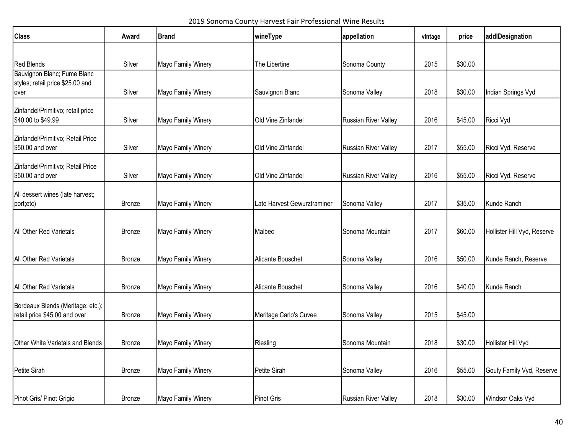2019 Sonoma County Harvest Fair Professional Wine Results

| <b>Class</b>                                                       | Award         | <b>Brand</b>       | wineType                    | appellation                 | vintage | price   | addlDesignation             |
|--------------------------------------------------------------------|---------------|--------------------|-----------------------------|-----------------------------|---------|---------|-----------------------------|
|                                                                    |               |                    |                             |                             |         |         |                             |
| <b>Red Blends</b>                                                  | Silver        | Mayo Family Winery | The Libertine               | Sonoma County               | 2015    | \$30.00 |                             |
| Sauvignon Blanc; Fume Blanc<br>styles; retail price \$25.00 and    |               |                    |                             |                             |         |         |                             |
| over                                                               | Silver        | Mayo Family Winery | Sauvignon Blanc             | Sonoma Valley               | 2018    | \$30.00 | Indian Springs Vyd          |
| Zinfandel/Primitivo; retail price<br>\$40.00 to \$49.99            | Silver        | Mayo Family Winery | Old Vine Zinfandel          | <b>Russian River Valley</b> | 2016    | \$45.00 | Ricci Vyd                   |
| Zinfandel/Primitivo; Retail Price<br>\$50.00 and over              | Silver        | Mayo Family Winery | Old Vine Zinfandel          | <b>Russian River Valley</b> | 2017    | \$55.00 | Ricci Vyd, Reserve          |
| Zinfandel/Primitivo; Retail Price<br>\$50.00 and over              | Silver        | Mayo Family Winery | Old Vine Zinfandel          | Russian River Valley        | 2016    | \$55.00 | Ricci Vyd, Reserve          |
| All dessert wines (late harvest;<br>port;etc)                      | <b>Bronze</b> | Mayo Family Winery | Late Harvest Gewurztraminer | Sonoma Valley               | 2017    | \$35.00 | Kunde Ranch                 |
| All Other Red Varietals                                            | <b>Bronze</b> | Mayo Family Winery | Malbec                      | Sonoma Mountain             | 2017    | \$60.00 | Hollister Hill Vyd, Reserve |
| All Other Red Varietals                                            | Bronze        | Mayo Family Winery | Alicante Bouschet           | Sonoma Valley               | 2016    | \$50.00 | Kunde Ranch, Reserve        |
| All Other Red Varietals                                            | Bronze        | Mayo Family Winery | Alicante Bouschet           | Sonoma Valley               | 2016    | \$40.00 | Kunde Ranch                 |
| Bordeaux Blends (Meritage; etc.);<br>retail price \$45.00 and over | Bronze        | Mayo Family Winery | Meritage Carlo's Cuvee      | Sonoma Valley               | 2015    | \$45.00 |                             |
| Other White Varietals and Blends                                   | Bronze        | Mayo Family Winery | Riesling                    | Sonoma Mountain             | 2018    | \$30.00 | Hollister Hill Vyd          |
| Petite Sirah                                                       | Bronze        | Mayo Family Winery | Petite Sirah                | Sonoma Valley               | 2016    | \$55.00 | Gouly Family Vyd, Reserve   |
| Pinot Gris/ Pinot Grigio                                           | Bronze        | Mayo Family Winery | <b>Pinot Gris</b>           | Russian River Valley        | 2018    | \$30.00 | Windsor Oaks Vyd            |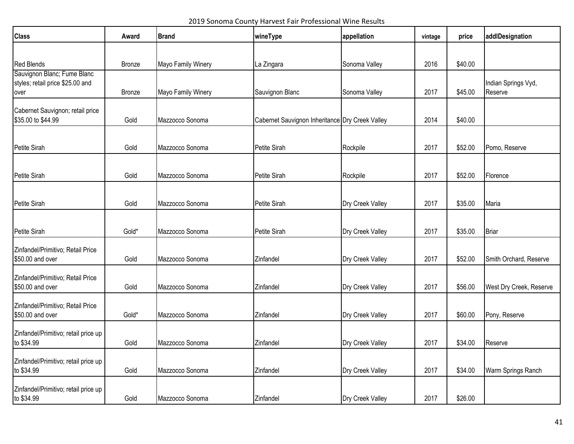2019 Sonoma County Harvest Fair Professional Wine Results

| <b>Class</b>                                                            | Award  | <b>Brand</b>       | wineType                                        | appellation      | vintage | price   | addlDesignation                |
|-------------------------------------------------------------------------|--------|--------------------|-------------------------------------------------|------------------|---------|---------|--------------------------------|
|                                                                         |        |                    |                                                 |                  |         |         |                                |
| <b>Red Blends</b>                                                       | Bronze | Mayo Family Winery | La Zingara                                      | Sonoma Valley    | 2016    | \$40.00 |                                |
| Sauvignon Blanc; Fume Blanc<br>styles; retail price \$25.00 and<br>over | Bronze | Mayo Family Winery | Sauvignon Blanc                                 | Sonoma Valley    | 2017    | \$45.00 | Indian Springs Vyd,<br>Reserve |
| Cabernet Sauvignon; retail price<br>\$35.00 to \$44.99                  | Gold   | Mazzocco Sonoma    | Cabernet Sauvignon Inheritance Dry Creek Valley |                  | 2014    | \$40.00 |                                |
| Petite Sirah                                                            | Gold   | Mazzocco Sonoma    | Petite Sirah                                    | Rockpile         | 2017    | \$52.00 | Pomo, Reserve                  |
| Petite Sirah                                                            | Gold   | Mazzocco Sonoma    | Petite Sirah                                    | Rockpile         | 2017    | \$52.00 | Florence                       |
| Petite Sirah                                                            | Gold   | Mazzocco Sonoma    | Petite Sirah                                    | Dry Creek Valley | 2017    | \$35.00 | Maria                          |
| Petite Sirah                                                            | Gold*  | Mazzocco Sonoma    | Petite Sirah                                    | Dry Creek Valley | 2017    | \$35.00 | Briar                          |
| Zinfandel/Primitivo; Retail Price<br>\$50.00 and over                   | Gold   | Mazzocco Sonoma    | Zinfandel                                       | Dry Creek Valley | 2017    | \$52.00 | Smith Orchard, Reserve         |
| Zinfandel/Primitivo; Retail Price<br>\$50.00 and over                   | Gold   | Mazzocco Sonoma    | Zinfandel                                       | Dry Creek Valley | 2017    | \$56.00 | West Dry Creek, Reserve        |
| Zinfandel/Primitivo; Retail Price<br>\$50.00 and over                   | Gold*  | Mazzocco Sonoma    | Zinfandel                                       | Dry Creek Valley | 2017    | \$60.00 | Pony, Reserve                  |
| Zinfandel/Primitivo; retail price up<br>to \$34.99                      | Gold   | Mazzocco Sonoma    | Zinfandel                                       | Dry Creek Valley | 2017    | \$34.00 | Reserve                        |
| Zinfandel/Primitivo; retail price up<br>to \$34.99                      | Gold   | Mazzocco Sonoma    | Zinfandel                                       | Dry Creek Valley | 2017    | \$34.00 | Warm Springs Ranch             |
| Zinfandel/Primitivo; retail price up  <br>to \$34.99                    | Gold   | Mazzocco Sonoma    | Zinfandel                                       | Dry Creek Valley | 2017    | \$26.00 |                                |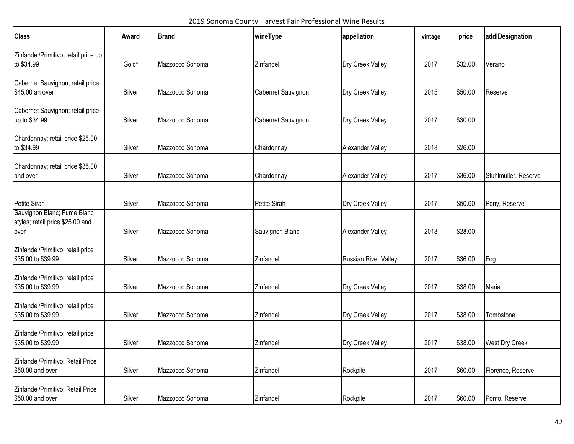2019 Sonoma County Harvest Fair Professional Wine Results

| <b>Class</b>                                                            | Award  | <b>Brand</b>    | wineType           | appellation          | vintage | price   | addlDesignation       |
|-------------------------------------------------------------------------|--------|-----------------|--------------------|----------------------|---------|---------|-----------------------|
| Zinfandel/Primitivo; retail price up<br>to \$34.99                      | Gold*  | Mazzocco Sonoma | Zinfandel          | Dry Creek Valley     | 2017    | \$32.00 | Verano                |
| Cabernet Sauvignon; retail price<br>\$45.00 an over                     | Silver | Mazzocco Sonoma | Cabernet Sauvignon | Dry Creek Valley     | 2015    | \$50.00 | Reserve               |
| Cabernet Sauvignon; retail price<br>up to \$34.99                       | Silver | Mazzocco Sonoma | Cabernet Sauvignon | Dry Creek Valley     | 2017    | \$30.00 |                       |
| Chardonnay; retail price \$25.00<br>to \$34.99                          | Silver | Mazzocco Sonoma | Chardonnay         | Alexander Valley     | 2018    | \$26.00 |                       |
| Chardonnay; retail price \$35.00<br>and over                            | Silver | Mazzocco Sonoma | Chardonnay         | Alexander Valley     | 2017    | \$36.00 | Stuhlmuller, Reserve  |
| Petite Sirah                                                            | Silver | Mazzocco Sonoma | Petite Sirah       | Dry Creek Valley     | 2017    | \$50.00 | Pony, Reserve         |
| Sauvignon Blanc; Fume Blanc<br>styles; retail price \$25.00 and<br>over | Silver | Mazzocco Sonoma | Sauvignon Blanc    | Alexander Valley     | 2018    | \$28.00 |                       |
| Zinfandel/Primitivo; retail price<br>\$35.00 to \$39.99                 | Silver | Mazzocco Sonoma | Zinfandel          | Russian River Valley | 2017    | \$36.00 | Fog                   |
| Zinfandel/Primitivo; retail price<br>\$35.00 to \$39.99                 | Silver | Mazzocco Sonoma | Zinfandel          | Dry Creek Valley     | 2017    | \$38.00 | Maria                 |
| Zinfandel/Primitivo; retail price<br>\$35.00 to \$39.99                 | Silver | Mazzocco Sonoma | Zinfandel          | Dry Creek Valley     | 2017    | \$38.00 | Tombstone             |
| Zinfandel/Primitivo; retail price<br>\$35.00 to \$39.99                 | Silver | Mazzocco Sonoma | Zinfandel          | Dry Creek Valley     | 2017    | \$38.00 | <b>West Dry Creek</b> |
| Zinfandel/Primitivo; Retail Price<br>\$50.00 and over                   | Silver | Mazzocco Sonoma | Zinfandel          | Rockpile             | 2017    | \$60.00 | Florence, Reserve     |
| Zinfandel/Primitivo; Retail Price<br>\$50.00 and over                   | Silver | Mazzocco Sonoma | Zinfandel          | Rockpile             | 2017    | \$60.00 | Pomo, Reserve         |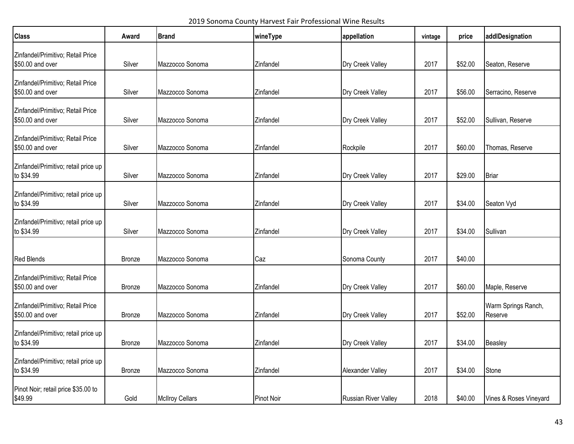2019 Sonoma County Harvest Fair Professional Wine Results

| <b>Class</b>                                          | Award  | <b>Brand</b>           | wineType   | appellation          | vintage | price   | addlDesignation                |
|-------------------------------------------------------|--------|------------------------|------------|----------------------|---------|---------|--------------------------------|
| Zinfandel/Primitivo; Retail Price<br>\$50.00 and over | Silver | Mazzocco Sonoma        | Zinfandel  | Dry Creek Valley     | 2017    | \$52.00 | Seaton, Reserve                |
| Zinfandel/Primitivo; Retail Price<br>\$50.00 and over | Silver | Mazzocco Sonoma        | Zinfandel  | Dry Creek Valley     | 2017    | \$56.00 | Serracino, Reserve             |
| Zinfandel/Primitivo; Retail Price<br>\$50.00 and over | Silver | Mazzocco Sonoma        | Zinfandel  | Dry Creek Valley     | 2017    | \$52.00 | Sullivan, Reserve              |
| Zinfandel/Primitivo; Retail Price<br>\$50.00 and over | Silver | Mazzocco Sonoma        | Zinfandel  | Rockpile             | 2017    | \$60.00 | Thomas, Reserve                |
| Zinfandel/Primitivo; retail price up<br>to \$34.99    | Silver | Mazzocco Sonoma        | Zinfandel  | Dry Creek Valley     | 2017    | \$29.00 | Briar                          |
| Zinfandel/Primitivo; retail price up<br>to \$34.99    | Silver | Mazzocco Sonoma        | Zinfandel  | Dry Creek Valley     | 2017    | \$34.00 | Seaton Vyd                     |
| Zinfandel/Primitivo; retail price up<br>to \$34.99    | Silver | Mazzocco Sonoma        | Zinfandel  | Dry Creek Valley     | 2017    | \$34.00 | Sullivan                       |
| <b>Red Blends</b>                                     | Bronze | Mazzocco Sonoma        | Caz        | Sonoma County        | 2017    | \$40.00 |                                |
| Zinfandel/Primitivo; Retail Price<br>\$50.00 and over | Bronze | Mazzocco Sonoma        | Zinfandel  | Dry Creek Valley     | 2017    | \$60.00 | Maple, Reserve                 |
| Zinfandel/Primitivo; Retail Price<br>\$50.00 and over | Bronze | Mazzocco Sonoma        | Zinfandel  | Dry Creek Valley     | 2017    | \$52.00 | Warm Springs Ranch,<br>Reserve |
| Zinfandel/Primitivo; retail price up<br>to \$34.99    | Bronze | Mazzocco Sonoma        | Zinfandel  | Dry Creek Valley     | 2017    | \$34.00 | Beasley                        |
| Zinfandel/Primitivo; retail price up<br>to \$34.99    | Bronze | Mazzocco Sonoma        | Zinfandel  | Alexander Valley     | 2017    | \$34.00 | Stone                          |
| Pinot Noir; retail price \$35.00 to<br>\$49.99        | Gold   | <b>McIlroy Cellars</b> | Pinot Noir | Russian River Valley | 2018    | \$40.00 | Vines & Roses Vineyard         |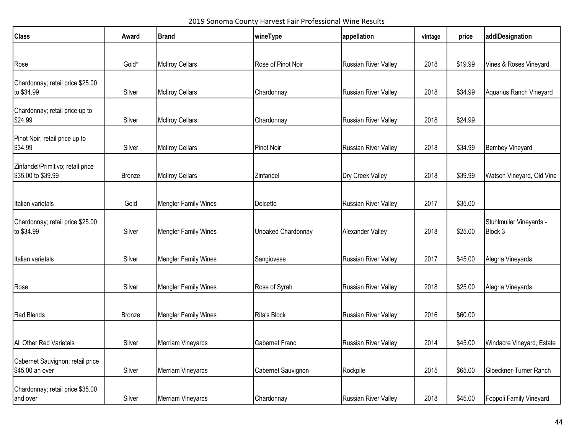2019 Sonoma County Harvest Fair Professional Wine Results

| <b>Class</b>                                            | Award  | <b>Brand</b>                | wineType              | appellation                 | vintage | price   | addlDesignation                    |
|---------------------------------------------------------|--------|-----------------------------|-----------------------|-----------------------------|---------|---------|------------------------------------|
|                                                         |        |                             |                       |                             |         |         |                                    |
| Rose                                                    | Gold*  | <b>McIlroy Cellars</b>      | Rose of Pinot Noir    | Russian River Valley        | 2018    | \$19.99 | Vines & Roses Vineyard             |
| Chardonnay; retail price \$25.00<br>to \$34.99          | Silver | <b>McIlroy Cellars</b>      | Chardonnay            | <b>Russian River Valley</b> | 2018    | \$34.99 | Aquarius Ranch Vineyard            |
| Chardonnay; retail price up to<br>\$24.99               | Silver | <b>McIlroy Cellars</b>      | Chardonnay            | <b>Russian River Valley</b> | 2018    | \$24.99 |                                    |
| Pinot Noir; retail price up to<br>\$34.99               | Silver | <b>McIlroy Cellars</b>      | <b>Pinot Noir</b>     | Russian River Valley        | 2018    | \$34.99 | <b>Bembey Vineyard</b>             |
| Zinfandel/Primitivo; retail price<br>\$35.00 to \$39.99 | Bronze | <b>McIlroy Cellars</b>      | Zinfandel             | Dry Creek Valley            | 2018    | \$39.99 | Watson Vineyard, Old Vine          |
| Italian varietals                                       | Gold   | <b>Mengler Family Wines</b> | Dolcetto              | Russian River Valley        | 2017    | \$35.00 |                                    |
| Chardonnay; retail price \$25.00<br>to \$34.99          | Silver | <b>Mengler Family Wines</b> | Unoaked Chardonnay    | Alexander Valley            | 2018    | \$25.00 | Stuhlmuller Vineyards -<br>Block 3 |
| Italian varietals                                       | Silver | <b>Mengler Family Wines</b> | Sangiovese            | <b>Russian River Valley</b> | 2017    | \$45.00 | Alegria Vineyards                  |
| Rose                                                    | Silver | <b>Mengler Family Wines</b> | Rose of Syrah         | Russian River Valley        | 2018    | \$25.00 | Alegria Vineyards                  |
| <b>Red Blends</b>                                       | Bronze | Mengler Family Wines        | <b>Rita's Block</b>   | <b>Russian River Valley</b> | 2016    | \$60.00 |                                    |
| All Other Red Varietals                                 | Silver | Merriam Vineyards           | <b>Cabernet Franc</b> | Russian River Valley        | 2014    | \$45.00 | Windacre Vineyard, Estate          |
| Cabernet Sauvignon; retail price<br>\$45.00 an over     | Silver | Merriam Vineyards           | Cabernet Sauvignon    | Rockpile                    | 2015    | \$65.00 | Gloeckner-Turner Ranch             |
| Chardonnay; retail price \$35.00<br>and over            | Silver | Merriam Vineyards           | Chardonnay            | Russian River Valley        | 2018    | \$45.00 | Foppoli Family Vineyard            |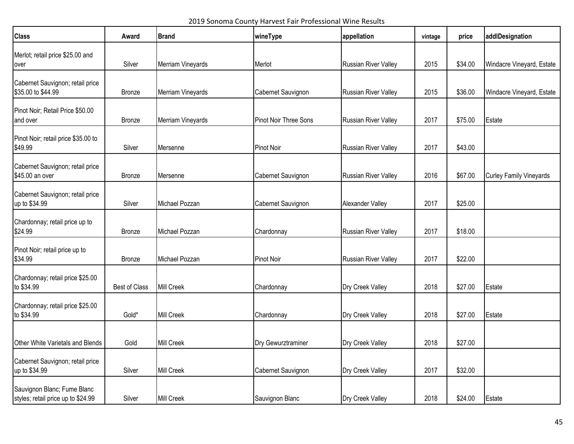2019 Sonoma County Harvest Fair Professional Wine Results

| <b>Class</b>                                                      | Award         | <b>Brand</b>      | wineType              | appellation                 | vintage | price   | addlDesignation                |
|-------------------------------------------------------------------|---------------|-------------------|-----------------------|-----------------------------|---------|---------|--------------------------------|
| Merlot; retail price \$25.00 and<br>over                          | Silver        | Merriam Vineyards | Merlot                | <b>Russian River Valley</b> | 2015    | \$34.00 | Windacre Vineyard, Estate      |
| Cabernet Sauvignon; retail price<br>\$35.00 to \$44.99            | Bronze        | Merriam Vineyards | Cabernet Sauvignon    | Russian River Valley        | 2015    | \$36.00 | Windacre Vineyard, Estate      |
| Pinot Noir; Retail Price \$50.00<br>and over                      | Bronze        | Merriam Vineyards | Pinot Noir Three Sons | <b>Russian River Valley</b> | 2017    | \$75.00 | Estate                         |
| Pinot Noir; retail price \$35.00 to<br>\$49.99                    | Silver        | Mersenne          | <b>Pinot Noir</b>     | Russian River Valley        | 2017    | \$43.00 |                                |
| Cabernet Sauvignon; retail price<br>\$45.00 an over               | <b>Bronze</b> | Mersenne          | Cabernet Sauvignon    | <b>Russian River Valley</b> | 2016    | \$67.00 | <b>Curley Family Vineyards</b> |
| Cabernet Sauvignon; retail price<br>up to \$34.99                 | Silver        | Michael Pozzan    | Cabernet Sauvignon    | Alexander Valley            | 2017    | \$25.00 |                                |
| Chardonnay; retail price up to<br>\$24.99                         | <b>Bronze</b> | Michael Pozzan    | Chardonnay            | Russian River Valley        | 2017    | \$18.00 |                                |
| Pinot Noir; retail price up to<br>\$34.99                         | <b>Bronze</b> | Michael Pozzan    | <b>Pinot Noir</b>     | <b>Russian River Valley</b> | 2017    | \$22.00 |                                |
| Chardonnay; retail price \$25.00<br>to \$34.99                    | Best of Class | <b>Mill Creek</b> | Chardonnay            | Dry Creek Valley            | 2018    | \$27.00 | Estate                         |
| Chardonnay; retail price \$25.00<br>to \$34.99                    | Gold*         | <b>Mill Creek</b> | Chardonnay            | Dry Creek Valley            | 2018    | \$27.00 | Estate                         |
| Other White Varietals and Blends                                  | Gold          | <b>Mill Creek</b> | Dry Gewurztraminer    | Dry Creek Valley            | 2018    | \$27.00 |                                |
| Cabernet Sauvignon; retail price<br>up to \$34.99                 | Silver        | <b>Mill Creek</b> | Cabernet Sauvignon    | Dry Creek Valley            | 2017    | \$32.00 |                                |
| Sauvignon Blanc; Fume Blanc<br>styles; retail price up to \$24.99 | Silver        | <b>Mill Creek</b> | Sauvignon Blanc       | Dry Creek Valley            | 2018    | \$24.00 | Estate                         |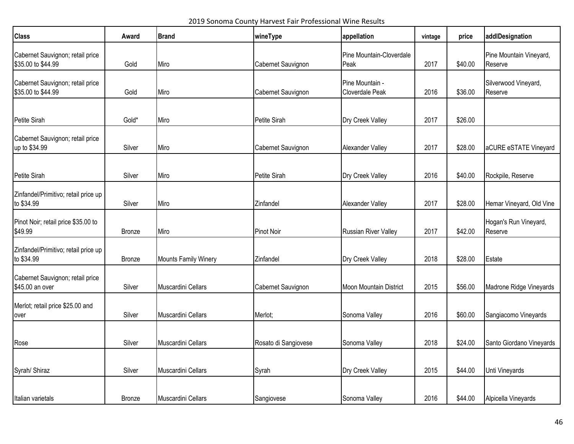2019 Sonoma County Harvest Fair Professional Wine Results

| <b>Class</b>                                           | Award         | <b>Brand</b>                | wineType             | appellation                        | vintage | price   | addlDesignation                    |
|--------------------------------------------------------|---------------|-----------------------------|----------------------|------------------------------------|---------|---------|------------------------------------|
| Cabernet Sauvignon; retail price<br>\$35.00 to \$44.99 | Gold          | Miro                        | Cabernet Sauvignon   | Pine Mountain-Cloverdale<br>Peak   | 2017    | \$40.00 | Pine Mountain Vineyard,<br>Reserve |
| Cabernet Sauvignon; retail price<br>\$35.00 to \$44.99 | Gold          | Miro                        | Cabernet Sauvignon   | Pine Mountain -<br>Cloverdale Peak | 2016    | \$36.00 | Silverwood Vineyard,<br>Reserve    |
| Petite Sirah                                           | Gold*         | Miro                        | Petite Sirah         | Dry Creek Valley                   | 2017    | \$26.00 |                                    |
| Cabernet Sauvignon; retail price<br>up to \$34.99      | Silver        | Miro                        | Cabernet Sauvignon   | Alexander Valley                   | 2017    | \$28.00 | aCURE eSTATE Vineyard              |
| Petite Sirah                                           | Silver        | Miro                        | Petite Sirah         | Dry Creek Valley                   | 2016    | \$40.00 | Rockpile, Reserve                  |
| Zinfandel/Primitivo; retail price up<br>to \$34.99     | Silver        | Miro                        | Zinfandel            | Alexander Valley                   | 2017    | \$28.00 | Hemar Vineyard, Old Vine           |
| Pinot Noir; retail price \$35.00 to<br>\$49.99         | <b>Bronze</b> | Miro                        | <b>Pinot Noir</b>    | Russian River Valley               | 2017    | \$42.00 | Hogan's Run Vineyard,<br>Reserve   |
| Zinfandel/Primitivo; retail price up<br>to \$34.99     | <b>Bronze</b> | <b>Mounts Family Winery</b> | Zinfandel            | Dry Creek Valley                   | 2018    | \$28.00 | Estate                             |
| Cabernet Sauvignon; retail price<br>\$45.00 an over    | Silver        | Muscardini Cellars          | Cabernet Sauvignon   | <b>Moon Mountain District</b>      | 2015    | \$56.00 | Madrone Ridge Vineyards            |
| Merlot; retail price \$25.00 and<br>over               | Silver        | Muscardini Cellars          | Merlot;              | Sonoma Valley                      | 2016    | \$60.00 | Sangiacomo Vineyards               |
| Rose                                                   | Silver        | Muscardini Cellars          | Rosato di Sangiovese | Sonoma Valley                      | 2018    | \$24.00 | Santo Giordano Vineyards           |
| Syrah/ Shiraz                                          | Silver        | Muscardini Cellars          | Syrah                | Dry Creek Valley                   | 2015    | \$44.00 | Unti Vineyards                     |
| Italian varietals                                      | Bronze        | Muscardini Cellars          | Sangiovese           | Sonoma Valley                      | 2016    | \$44.00 | Alpicella Vineyards                |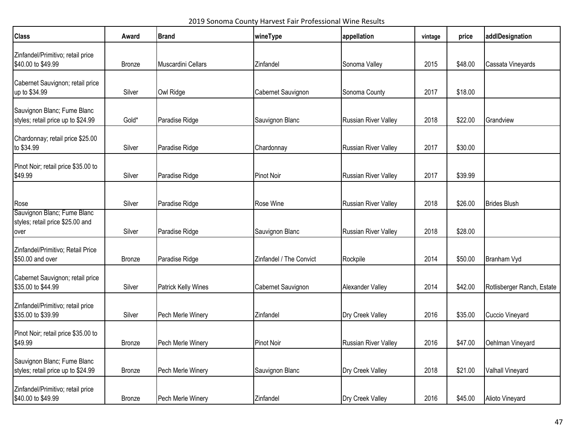2019 Sonoma County Harvest Fair Professional Wine Results

| <b>Class</b>                                                            | Award         | <b>Brand</b>        | wineType                | appellation                 | vintage | price   | addlDesignation            |
|-------------------------------------------------------------------------|---------------|---------------------|-------------------------|-----------------------------|---------|---------|----------------------------|
| Zinfandel/Primitivo; retail price<br>\$40.00 to \$49.99                 | Bronze        | Muscardini Cellars  | Zinfandel               | Sonoma Valley               | 2015    | \$48.00 | Cassata Vineyards          |
| Cabernet Sauvignon; retail price<br>up to \$34.99                       | Silver        | Owl Ridge           | Cabernet Sauvignon      | Sonoma County               | 2017    | \$18.00 |                            |
| Sauvignon Blanc; Fume Blanc<br>styles; retail price up to \$24.99       | Gold*         | Paradise Ridge      | Sauvignon Blanc         | <b>Russian River Valley</b> | 2018    | \$22.00 | Grandview                  |
| Chardonnay; retail price \$25.00<br>to \$34.99                          | Silver        | Paradise Ridge      | Chardonnay              | Russian River Valley        | 2017    | \$30.00 |                            |
| Pinot Noir; retail price \$35.00 to<br>\$49.99                          | Silver        | Paradise Ridge      | <b>Pinot Noir</b>       | <b>Russian River Valley</b> | 2017    | \$39.99 |                            |
| Rose                                                                    | Silver        | Paradise Ridge      | Rose Wine               | Russian River Valley        | 2018    | \$26.00 | <b>Brides Blush</b>        |
| Sauvignon Blanc; Fume Blanc<br>styles; retail price \$25.00 and<br>over | Silver        | Paradise Ridge      | Sauvignon Blanc         | Russian River Valley        | 2018    | \$28.00 |                            |
| Zinfandel/Primitivo; Retail Price<br>\$50.00 and over                   | Bronze        | Paradise Ridge      | Zinfandel / The Convict | Rockpile                    | 2014    | \$50.00 | Branham Vyd                |
| Cabernet Sauvignon; retail price<br>\$35.00 to \$44.99                  | Silver        | Patrick Kelly Wines | Cabernet Sauvignon      | Alexander Valley            | 2014    | \$42.00 | Rotlisberger Ranch, Estate |
| Zinfandel/Primitivo; retail price<br>\$35.00 to \$39.99                 | Silver        | Pech Merle Winery   | Zinfandel               | Dry Creek Valley            | 2016    | \$35.00 | Cuccio Vineyard            |
| Pinot Noir; retail price \$35.00 to<br>\$49.99                          | <b>Bronze</b> | Pech Merle Winery   | Pinot Noir              | Russian River Valley        | 2016    | \$47.00 | Oehlman Vineyard           |
| Sauvignon Blanc; Fume Blanc<br>styles; retail price up to \$24.99       | Bronze        | Pech Merle Winery   | Sauvignon Blanc         | Dry Creek Valley            | 2018    | \$21.00 | Valhall Vineyard           |
| Zinfandel/Primitivo; retail price<br>\$40.00 to \$49.99                 | Bronze        | Pech Merle Winery   | Zinfandel               | Dry Creek Valley            | 2016    | \$45.00 | Alioto Vineyard            |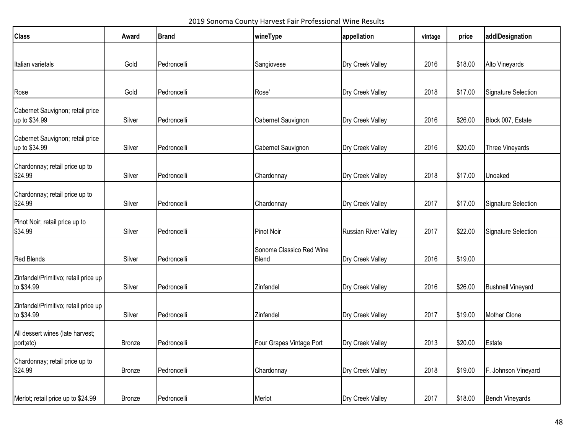2019 Sonoma County Harvest Fair Professional Wine Results

| <b>Class</b>                                       | Award         | <b>Brand</b> | wineType                                 | appellation          | vintage | price   | addlDesignation            |
|----------------------------------------------------|---------------|--------------|------------------------------------------|----------------------|---------|---------|----------------------------|
|                                                    |               |              |                                          |                      |         |         |                            |
| Italian varietals                                  | Gold          | Pedroncelli  | Sangiovese                               | Dry Creek Valley     | 2016    | \$18.00 | Alto Vineyards             |
|                                                    |               |              |                                          |                      |         |         |                            |
| Rose                                               | Gold          | Pedroncelli  | Rose'                                    | Dry Creek Valley     | 2018    | \$17.00 | <b>Signature Selection</b> |
| Cabernet Sauvignon; retail price<br>up to \$34.99  | Silver        | Pedroncelli  | Cabernet Sauvignon                       | Dry Creek Valley     | 2016    | \$26.00 | Block 007, Estate          |
| Cabernet Sauvignon; retail price<br>up to \$34.99  | Silver        | Pedroncelli  | Cabernet Sauvignon                       | Dry Creek Valley     | 2016    | \$20.00 | Three Vineyards            |
| Chardonnay; retail price up to<br>\$24.99          | Silver        | Pedroncelli  | Chardonnay                               | Dry Creek Valley     | 2018    | \$17.00 | Unoaked                    |
| Chardonnay; retail price up to<br>\$24.99          | Silver        | Pedroncelli  | Chardonnay                               | Dry Creek Valley     | 2017    | \$17.00 | <b>Signature Selection</b> |
| Pinot Noir; retail price up to<br>\$34.99          | Silver        | Pedroncelli  | Pinot Noir                               | Russian River Valley | 2017    | \$22.00 | Signature Selection        |
| <b>Red Blends</b>                                  | Silver        | Pedroncelli  | Sonoma Classico Red Wine<br><b>Blend</b> | Dry Creek Valley     | 2016    | \$19.00 |                            |
| Zinfandel/Primitivo; retail price up<br>to \$34.99 | Silver        | Pedroncelli  | Zinfandel                                | Dry Creek Valley     | 2016    | \$26.00 | <b>Bushnell Vineyard</b>   |
| Zinfandel/Primitivo; retail price up<br>to \$34.99 | Silver        | Pedroncelli  | Zinfandel                                | Dry Creek Valley     | 2017    | \$19.00 | Mother Clone               |
| All dessert wines (late harvest;<br>port;etc)      | Bronze        | Pedroncelli  | Four Grapes Vintage Port                 | Dry Creek Valley     | 2013    | \$20.00 | Estate                     |
| Chardonnay; retail price up to<br>\$24.99          | <b>Bronze</b> | Pedroncelli  | Chardonnay                               | Dry Creek Valley     | 2018    | \$19.00 | F. Johnson Vineyard        |
| Merlot; retail price up to \$24.99                 | Bronze        | Pedroncelli  | Merlot                                   | Dry Creek Valley     | 2017    | \$18.00 | <b>Bench Vineyards</b>     |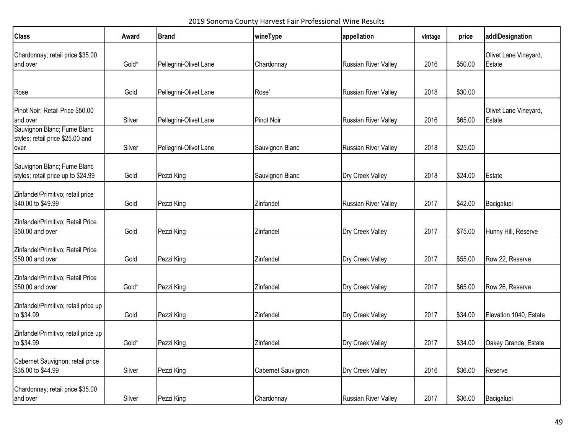2019 Sonoma County Harvest Fair Professional Wine Results

| <b>Class</b>                                                            | Award  | <b>Brand</b>           | wineType           | appellation                 | vintage | price   | addlDesignation                 |
|-------------------------------------------------------------------------|--------|------------------------|--------------------|-----------------------------|---------|---------|---------------------------------|
| Chardonnay; retail price \$35.00<br>and over                            | Gold*  | Pellegrini-Olivet Lane | Chardonnay         | <b>Russian River Valley</b> | 2016    | \$50.00 | Olivet Lane Vineyard,<br>Estate |
| Rose                                                                    | Gold   | Pellegrini-Olivet Lane | Rose'              | Russian River Valley        | 2018    | \$30.00 |                                 |
| Pinot Noir; Retail Price \$50.00<br>and over                            | Silver | Pellegrini-Olivet Lane | <b>Pinot Noir</b>  | <b>Russian River Valley</b> | 2016    | \$65.00 | Olivet Lane Vineyard,<br>Estate |
| Sauvignon Blanc; Fume Blanc<br>styles; retail price \$25.00 and<br>over | Silver | Pellegrini-Olivet Lane | Sauvignon Blanc    | <b>Russian River Valley</b> | 2018    | \$25.00 |                                 |
| Sauvignon Blanc; Fume Blanc<br>styles; retail price up to \$24.99       | Gold   | Pezzi King             | Sauvignon Blanc    | Dry Creek Valley            | 2018    | \$24.00 | Estate                          |
| Zinfandel/Primitivo; retail price<br>\$40.00 to \$49.99                 | Gold   | Pezzi King             | Zinfandel          | Russian River Valley        | 2017    | \$42.00 | Bacigalupi                      |
| Zinfandel/Primitivo; Retail Price<br>\$50.00 and over                   | Gold   | Pezzi King             | Zinfandel          | Dry Creek Valley            | 2017    | \$75.00 | Hunny Hill, Reserve             |
| Zinfandel/Primitivo; Retail Price<br>\$50.00 and over                   | Gold   | Pezzi King             | Zinfandel          | Dry Creek Valley            | 2017    | \$55.00 | Row 22, Reserve                 |
| Zinfandel/Primitivo; Retail Price<br>\$50.00 and over                   | Gold*  | Pezzi King             | Zinfandel          | Dry Creek Valley            | 2017    | \$65.00 | Row 26, Reserve                 |
| Zinfandel/Primitivo; retail price up<br>to \$34.99                      | Gold   | Pezzi King             | Zinfandel          | Dry Creek Valley            | 2017    | \$34.00 | Elevation 1040, Estate          |
| Zinfandel/Primitivo; retail price up<br>to \$34.99                      | Gold*  | Pezzi King             | Zinfandel          | Dry Creek Valley            | 2017    | \$34.00 | Oakey Grande, Estate            |
| Cabernet Sauvignon; retail price<br>\$35.00 to \$44.99                  | Silver | Pezzi King             | Cabernet Sauvignon | Dry Creek Valley            | 2016    | \$36.00 | Reserve                         |
| Chardonnay; retail price \$35.00<br>and over                            | Silver | Pezzi King             | Chardonnay         | Russian River Valley        | 2017    | \$36.00 | Bacigalupi                      |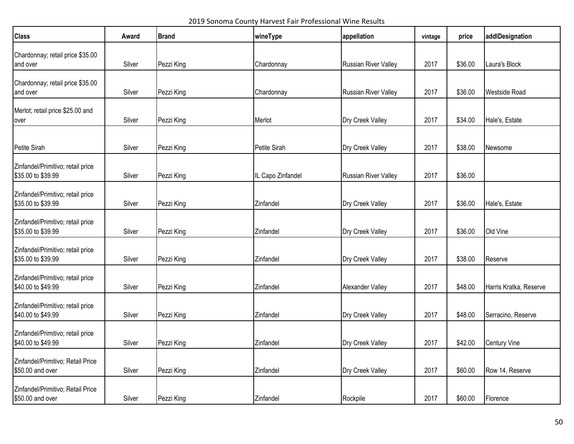2019 Sonoma County Harvest Fair Professional Wine Results

| <b>Class</b>                                            | Award  | <b>Brand</b> | wineType          | appellation                 | vintage | price   | addlDesignation        |
|---------------------------------------------------------|--------|--------------|-------------------|-----------------------------|---------|---------|------------------------|
| Chardonnay; retail price \$35.00<br>and over            | Silver | Pezzi King   | Chardonnay        | <b>Russian River Valley</b> | 2017    | \$36.00 | Laura's Block          |
| Chardonnay; retail price \$35.00<br>and over            | Silver | Pezzi King   | Chardonnay        | <b>Russian River Valley</b> | 2017    | \$36.00 | <b>Westside Road</b>   |
| Merlot; retail price \$25.00 and<br>over                | Silver | Pezzi King   | Merlot            | Dry Creek Valley            | 2017    | \$34.00 | Hale's, Estate         |
| Petite Sirah                                            | Silver | Pezzi King   | Petite Sirah      | Dry Creek Valley            | 2017    | \$38.00 | Newsome                |
| Zinfandel/Primitivo; retail price<br>\$35.00 to \$39.99 | Silver | Pezzi King   | IL Capo Zinfandel | <b>Russian River Valley</b> | 2017    | \$36.00 |                        |
| Zinfandel/Primitivo; retail price<br>\$35.00 to \$39.99 | Silver | Pezzi King   | Zinfandel         | Dry Creek Valley            | 2017    | \$36.00 | Hale's, Estate         |
| Zinfandel/Primitivo; retail price<br>\$35.00 to \$39.99 | Silver | Pezzi King   | Zinfandel         | Dry Creek Valley            | 2017    | \$36.00 | Old Vine               |
| Zinfandel/Primitivo; retail price<br>\$35.00 to \$39.99 | Silver | Pezzi King   | Zinfandel         | Dry Creek Valley            | 2017    | \$38.00 | Reserve                |
| Zinfandel/Primitivo; retail price<br>\$40.00 to \$49.99 | Silver | Pezzi King   | Zinfandel         | Alexander Valley            | 2017    | \$48.00 | Harris Kratka, Reserve |
| Zinfandel/Primitivo; retail price<br>\$40.00 to \$49.99 | Silver | Pezzi King   | Zinfandel         | Dry Creek Valley            | 2017    | \$48.00 | Serracino, Reserve     |
| Zinfandel/Primitivo; retail price<br>\$40.00 to \$49.99 | Silver | Pezzi King   | Zinfandel         | Dry Creek Valley            | 2017    | \$42.00 | Century Vine           |
| Zinfandel/Primitivo; Retail Price<br>\$50.00 and over   | Silver | Pezzi King   | Zinfandel         | Dry Creek Valley            | 2017    | \$60.00 | Row 14, Reserve        |
| Zinfandel/Primitivo; Retail Price<br>\$50.00 and over   | Silver | Pezzi King   | Zinfandel         | Rockpile                    | 2017    | \$60.00 | Florence               |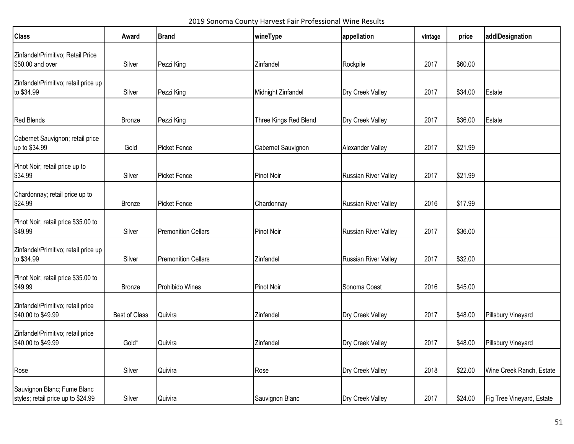2019 Sonoma County Harvest Fair Professional Wine Results

| <b>Class</b>                                                      | Award         | <b>Brand</b>               | wineType              | appellation                 | vintage | price   | addlDesignation           |
|-------------------------------------------------------------------|---------------|----------------------------|-----------------------|-----------------------------|---------|---------|---------------------------|
| Zinfandel/Primitivo; Retail Price<br>\$50.00 and over             | Silver        | Pezzi King                 | Zinfandel             | Rockpile                    | 2017    | \$60.00 |                           |
| Zinfandel/Primitivo; retail price up<br>to \$34.99                | Silver        | Pezzi King                 | Midnight Zinfandel    | Dry Creek Valley            | 2017    | \$34.00 | Estate                    |
| <b>Red Blends</b>                                                 | <b>Bronze</b> | Pezzi King                 | Three Kings Red Blend | Dry Creek Valley            | 2017    | \$36.00 | Estate                    |
| Cabernet Sauvignon; retail price<br>up to \$34.99                 | Gold          | <b>Picket Fence</b>        | Cabernet Sauvignon    | Alexander Valley            | 2017    | \$21.99 |                           |
| Pinot Noir; retail price up to<br>\$34.99                         | Silver        | <b>Picket Fence</b>        | <b>Pinot Noir</b>     | <b>Russian River Valley</b> | 2017    | \$21.99 |                           |
| Chardonnay; retail price up to<br>\$24.99                         | Bronze        | <b>Picket Fence</b>        | Chardonnay            | <b>Russian River Valley</b> | 2016    | \$17.99 |                           |
| Pinot Noir; retail price \$35.00 to<br>\$49.99                    | Silver        | <b>Premonition Cellars</b> | <b>Pinot Noir</b>     | Russian River Valley        | 2017    | \$36.00 |                           |
| Zinfandel/Primitivo; retail price up<br>to \$34.99                | Silver        | <b>Premonition Cellars</b> | Zinfandel             | <b>Russian River Valley</b> | 2017    | \$32.00 |                           |
| Pinot Noir; retail price \$35.00 to<br>\$49.99                    | Bronze        | Prohibido Wines            | <b>Pinot Noir</b>     | Sonoma Coast                | 2016    | \$45.00 |                           |
| Zinfandel/Primitivo; retail price<br>\$40.00 to \$49.99           | Best of Class | Quivira                    | Zinfandel             | Dry Creek Valley            | 2017    | \$48.00 | Pillsbury Vineyard        |
| Zinfandel/Primitivo; retail price<br>\$40.00 to \$49.99           | Gold*         | Quivira                    | Zinfandel             | Dry Creek Valley            | 2017    | \$48.00 | Pillsbury Vineyard        |
| Rose                                                              | Silver        | Quivira                    | Rose                  | Dry Creek Valley            | 2018    | \$22.00 | Wine Creek Ranch, Estate  |
| Sauvignon Blanc; Fume Blanc<br>styles; retail price up to \$24.99 | Silver        | Quivira                    | Sauvignon Blanc       | Dry Creek Valley            | 2017    | \$24.00 | Fig Tree Vineyard, Estate |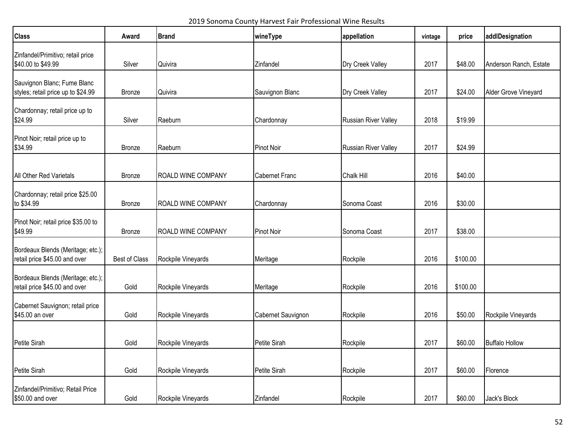2019 Sonoma County Harvest Fair Professional Wine Results

| <b>Class</b>                                                       | Award         | <b>Brand</b>              | wineType              | appellation          | vintage | price    | addlDesignation        |
|--------------------------------------------------------------------|---------------|---------------------------|-----------------------|----------------------|---------|----------|------------------------|
| Zinfandel/Primitivo; retail price<br>\$40.00 to \$49.99            | Silver        | Quivira                   | Zinfandel             | Dry Creek Valley     | 2017    | \$48.00  | Anderson Ranch, Estate |
|                                                                    |               |                           |                       |                      |         |          |                        |
| Sauvignon Blanc; Fume Blanc<br>styles; retail price up to \$24.99  | <b>Bronze</b> | Quivira                   | Sauvignon Blanc       | Dry Creek Valley     | 2017    | \$24.00  | Alder Grove Vineyard   |
| Chardonnay; retail price up to<br>\$24.99                          | Silver        | Raeburn                   | Chardonnay            | Russian River Valley | 2018    | \$19.99  |                        |
| Pinot Noir; retail price up to<br>\$34.99                          | <b>Bronze</b> | Raeburn                   | <b>Pinot Noir</b>     | Russian River Valley | 2017    | \$24.99  |                        |
| All Other Red Varietals                                            | Bronze        | <b>ROALD WINE COMPANY</b> | <b>Cabernet Franc</b> | Chalk Hill           | 2016    | \$40.00  |                        |
|                                                                    |               |                           |                       |                      |         |          |                        |
| Chardonnay; retail price \$25.00<br>to \$34.99                     | Bronze        | <b>ROALD WINE COMPANY</b> | Chardonnay            | Sonoma Coast         | 2016    | \$30.00  |                        |
| Pinot Noir; retail price \$35.00 to<br>\$49.99                     | Bronze        | ROALD WINE COMPANY        | Pinot Noir            | Sonoma Coast         | 2017    | \$38.00  |                        |
| Bordeaux Blends (Meritage; etc.);<br>retail price \$45.00 and over | Best of Class | Rockpile Vineyards        | Meritage              | Rockpile             | 2016    | \$100.00 |                        |
| Bordeaux Blends (Meritage; etc.);<br>retail price \$45.00 and over | Gold          | Rockpile Vineyards        | Meritage              | Rockpile             | 2016    | \$100.00 |                        |
| Cabernet Sauvignon; retail price<br>\$45.00 an over                | Gold          | Rockpile Vineyards        | Cabernet Sauvignon    | Rockpile             | 2016    | \$50.00  | Rockpile Vineyards     |
|                                                                    |               |                           |                       |                      |         |          |                        |
| Petite Sirah                                                       | Gold          | Rockpile Vineyards        | Petite Sirah          | Rockpile             | 2017    | \$60.00  | <b>Buffalo Hollow</b>  |
| Petite Sirah                                                       | Gold          | Rockpile Vineyards        | Petite Sirah          | Rockpile             | 2017    | \$60.00  | Florence               |
| Zinfandel/Primitivo; Retail Price<br>\$50.00 and over              | Gold          | Rockpile Vineyards        | Zinfandel             | Rockpile             | 2017    | \$60.00  | Jack's Block           |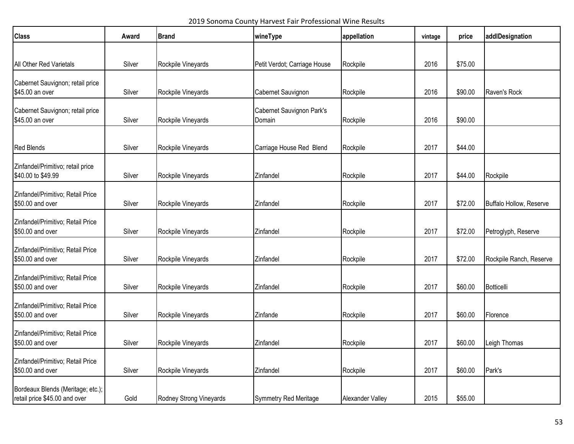2019 Sonoma County Harvest Fair Professional Wine Results

| <b>Class</b>                                                       | Award  | <b>Brand</b>            | wineType                            | appellation      | vintage | price   | addlDesignation         |
|--------------------------------------------------------------------|--------|-------------------------|-------------------------------------|------------------|---------|---------|-------------------------|
|                                                                    |        |                         |                                     |                  |         |         |                         |
| All Other Red Varietals                                            | Silver | Rockpile Vineyards      | Petit Verdot; Carriage House        | Rockpile         | 2016    | \$75.00 |                         |
| Cabernet Sauvignon; retail price<br>\$45.00 an over                | Silver | Rockpile Vineyards      | Cabernet Sauvignon                  | Rockpile         | 2016    | \$90.00 | Raven's Rock            |
| Cabernet Sauvignon; retail price<br>\$45.00 an over                | Silver | Rockpile Vineyards      | Cabernet Sauvignon Park's<br>Domain | Rockpile         | 2016    | \$90.00 |                         |
| <b>Red Blends</b>                                                  | Silver | Rockpile Vineyards      | Carriage House Red Blend            | Rockpile         | 2017    | \$44.00 |                         |
| Zinfandel/Primitivo; retail price<br>\$40.00 to \$49.99            | Silver | Rockpile Vineyards      | Zinfandel                           | Rockpile         | 2017    | \$44.00 | Rockpile                |
| Zinfandel/Primitivo; Retail Price<br>\$50.00 and over              | Silver | Rockpile Vineyards      | Zinfandel                           | Rockpile         | 2017    | \$72.00 | Buffalo Hollow, Reserve |
| Zinfandel/Primitivo; Retail Price<br>\$50.00 and over              | Silver | Rockpile Vineyards      | Zinfandel                           | Rockpile         | 2017    | \$72.00 | Petroglyph, Reserve     |
| Zinfandel/Primitivo; Retail Price<br>\$50.00 and over              | Silver | Rockpile Vineyards      | Zinfandel                           | Rockpile         | 2017    | \$72.00 | Rockpile Ranch, Reserve |
| Zinfandel/Primitivo; Retail Price<br>\$50.00 and over              | Silver | Rockpile Vineyards      | Zinfandel                           | Rockpile         | 2017    | \$60.00 | Botticelli              |
| Zinfandel/Primitivo; Retail Price<br>\$50.00 and over              | Silver | Rockpile Vineyards      | Zinfande                            | Rockpile         | 2017    | \$60.00 | Florence                |
| Zinfandel/Primitivo; Retail Price<br>\$50.00 and over              | Silver | Rockpile Vineyards      | Zinfandel                           | Rockpile         | 2017    | \$60.00 | Leigh Thomas            |
| Zinfandel/Primitivo; Retail Price<br>\$50.00 and over              | Silver | Rockpile Vineyards      | Zinfandel                           | Rockpile         | 2017    | \$60.00 | Park's                  |
| Bordeaux Blends (Meritage; etc.);<br>retail price \$45.00 and over | Gold   | Rodney Strong Vineyards | Symmetry Red Meritage               | Alexander Valley | 2015    | \$55.00 |                         |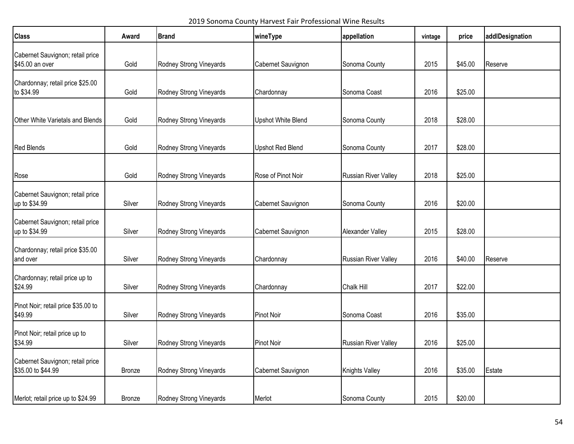2019 Sonoma County Harvest Fair Professional Wine Results

| <b>Class</b>                                           | Award  | <b>Brand</b>            | wineType                  | appellation          | vintage | price   | addlDesignation |
|--------------------------------------------------------|--------|-------------------------|---------------------------|----------------------|---------|---------|-----------------|
| Cabernet Sauvignon; retail price<br>\$45.00 an over    | Gold   | Rodney Strong Vineyards | Cabernet Sauvignon        | Sonoma County        | 2015    | \$45.00 | Reserve         |
| Chardonnay; retail price \$25.00<br>to \$34.99         | Gold   | Rodney Strong Vineyards | Chardonnay                | Sonoma Coast         | 2016    | \$25.00 |                 |
| Other White Varietals and Blends                       | Gold   | Rodney Strong Vineyards | <b>Upshot White Blend</b> | Sonoma County        | 2018    | \$28.00 |                 |
| <b>Red Blends</b>                                      | Gold   | Rodney Strong Vineyards | Upshot Red Blend          | Sonoma County        | 2017    | \$28.00 |                 |
| Rose                                                   | Gold   | Rodney Strong Vineyards | Rose of Pinot Noir        | Russian River Valley | 2018    | \$25.00 |                 |
| Cabernet Sauvignon; retail price<br>up to \$34.99      | Silver | Rodney Strong Vineyards | Cabernet Sauvignon        | Sonoma County        | 2016    | \$20.00 |                 |
| Cabernet Sauvignon; retail price<br>up to \$34.99      | Silver | Rodney Strong Vineyards | Cabernet Sauvignon        | Alexander Valley     | 2015    | \$28.00 |                 |
| Chardonnay; retail price \$35.00<br>and over           | Silver | Rodney Strong Vineyards | Chardonnay                | Russian River Valley | 2016    | \$40.00 | Reserve         |
| Chardonnay; retail price up to<br>\$24.99              | Silver | Rodney Strong Vineyards | Chardonnay                | Chalk Hill           | 2017    | \$22.00 |                 |
| Pinot Noir; retail price \$35.00 to<br>\$49.99         | Silver | Rodney Strong Vineyards | <b>Pinot Noir</b>         | Sonoma Coast         | 2016    | \$35.00 |                 |
| Pinot Noir; retail price up to<br>\$34.99              | Silver | Rodney Strong Vineyards | <b>Pinot Noir</b>         | Russian River Valley | 2016    | \$25.00 |                 |
| Cabernet Sauvignon; retail price<br>\$35.00 to \$44.99 | Bronze | Rodney Strong Vineyards | Cabernet Sauvignon        | Knights Valley       | 2016    | \$35.00 | Estate          |
| Merlot; retail price up to \$24.99                     | Bronze | Rodney Strong Vineyards | Merlot                    | Sonoma County        | 2015    | \$20.00 |                 |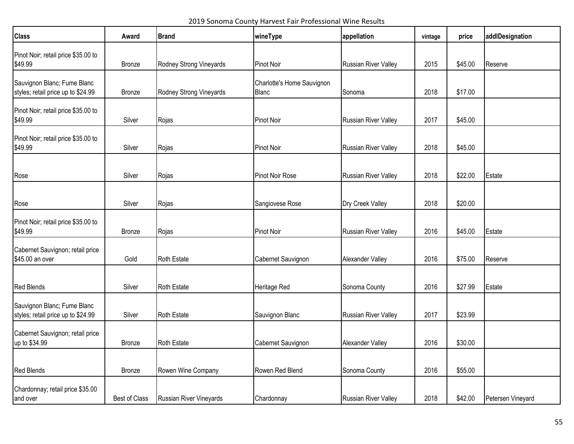2019 Sonoma County Harvest Fair Professional Wine Results

| <b>Class</b>                                                      | Award         | <b>Brand</b>            | wineType                                   | appellation                 | vintage | price   | addlDesignation   |
|-------------------------------------------------------------------|---------------|-------------------------|--------------------------------------------|-----------------------------|---------|---------|-------------------|
| Pinot Noir; retail price \$35.00 to<br>\$49.99                    | Bronze        | Rodney Strong Vineyards | <b>Pinot Noir</b>                          | Russian River Valley        | 2015    | \$45.00 | Reserve           |
| Sauvignon Blanc; Fume Blanc<br>styles; retail price up to \$24.99 | <b>Bronze</b> | Rodney Strong Vineyards | Charlotte's Home Sauvignon<br><b>Blanc</b> | Sonoma                      | 2018    | \$17.00 |                   |
| Pinot Noir; retail price \$35.00 to<br>\$49.99                    | Silver        | Rojas                   | <b>Pinot Noir</b>                          | Russian River Valley        | 2017    | \$45.00 |                   |
| Pinot Noir; retail price \$35.00 to<br>\$49.99                    | Silver        | Rojas                   | <b>Pinot Noir</b>                          | Russian River Valley        | 2018    | \$45.00 |                   |
| Rose                                                              | Silver        | Rojas                   | <b>Pinot Noir Rose</b>                     | <b>Russian River Valley</b> | 2018    | \$22.00 | Estate            |
| Rose                                                              | Silver        | Rojas                   | Sangiovese Rose                            | Dry Creek Valley            | 2018    | \$20.00 |                   |
| Pinot Noir; retail price \$35.00 to<br>\$49.99                    | <b>Bronze</b> | Rojas                   | <b>Pinot Noir</b>                          | Russian River Valley        | 2016    | \$45.00 | Estate            |
| Cabernet Sauvignon; retail price<br>\$45.00 an over               | Gold          | <b>Roth Estate</b>      | Cabernet Sauvignon                         | Alexander Valley            | 2016    | \$75.00 | Reserve           |
| <b>Red Blends</b>                                                 | Silver        | <b>Roth Estate</b>      | Heritage Red                               | Sonoma County               | 2016    | \$27.99 | Estate            |
| Sauvignon Blanc; Fume Blanc<br>styles; retail price up to \$24.99 | Silver        | <b>Roth Estate</b>      | Sauvignon Blanc                            | Russian River Valley        | 2017    | \$23.99 |                   |
| Cabernet Sauvignon; retail price<br>up to \$34.99                 | Bronze        | <b>Roth Estate</b>      | Cabernet Sauvignon                         | Alexander Valley            | 2016    | \$30.00 |                   |
| <b>Red Blends</b>                                                 | Bronze        | Rowen Wine Company      | Rowen Red Blend                            | Sonoma County               | 2016    | \$55.00 |                   |
| Chardonnay; retail price \$35.00<br>and over                      | Best of Class | Russian River Vineyards | Chardonnay                                 | Russian River Valley        | 2018    | \$42.00 | Petersen Vineyard |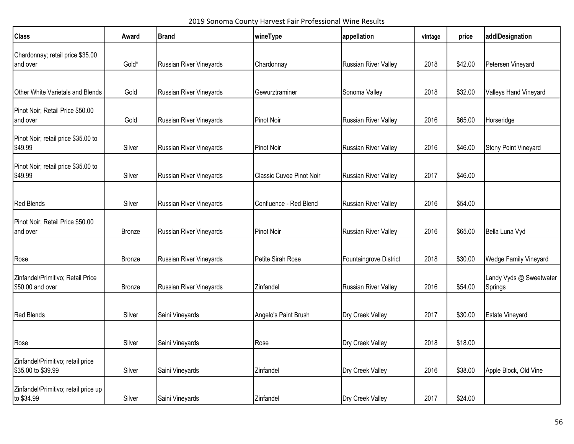2019 Sonoma County Harvest Fair Professional Wine Results

| <b>Class</b>                                            | Award         | <b>Brand</b>            | wineType                 | appellation                 | vintage | price   | addlDesignation                    |
|---------------------------------------------------------|---------------|-------------------------|--------------------------|-----------------------------|---------|---------|------------------------------------|
| Chardonnay; retail price \$35.00<br>and over            | Gold*         | Russian River Vineyards | Chardonnay               | <b>Russian River Valley</b> | 2018    | \$42.00 | Petersen Vineyard                  |
|                                                         |               |                         |                          |                             |         |         |                                    |
| Other White Varietals and Blends                        | Gold          | Russian River Vineyards | Gewurztraminer           | Sonoma Valley               | 2018    | \$32.00 | Valleys Hand Vineyard              |
| Pinot Noir; Retail Price \$50.00<br>and over            | Gold          | Russian River Vineyards | <b>Pinot Noir</b>        | <b>Russian River Valley</b> | 2016    | \$65.00 | Horseridge                         |
| Pinot Noir; retail price \$35.00 to<br>\$49.99          | Silver        | Russian River Vineyards | <b>Pinot Noir</b>        | Russian River Valley        | 2016    | \$46.00 | Stony Point Vineyard               |
| Pinot Noir; retail price \$35.00 to<br>\$49.99          | Silver        | Russian River Vineyards | Classic Cuvee Pinot Noir | <b>Russian River Valley</b> | 2017    | \$46.00 |                                    |
| <b>Red Blends</b>                                       | Silver        | Russian River Vineyards | Confluence - Red Blend   | <b>Russian River Valley</b> | 2016    | \$54.00 |                                    |
| Pinot Noir; Retail Price \$50.00<br>and over            | <b>Bronze</b> | Russian River Vineyards | <b>Pinot Noir</b>        | <b>Russian River Valley</b> | 2016    | \$65.00 | Bella Luna Vyd                     |
| Rose                                                    | <b>Bronze</b> | Russian River Vineyards | Petite Sirah Rose        | Fountaingrove District      | 2018    | \$30.00 | Wedge Family Vineyard              |
| Zinfandel/Primitivo; Retail Price<br>\$50.00 and over   | Bronze        | Russian River Vineyards | Zinfandel                | Russian River Valley        | 2016    | \$54.00 | Landy Vyds @ Sweetwater<br>Springs |
|                                                         |               |                         |                          |                             |         |         |                                    |
| <b>Red Blends</b>                                       | Silver        | Saini Vineyards         | Angelo's Paint Brush     | Dry Creek Valley            | 2017    | \$30.00 | <b>Estate Vineyard</b>             |
| Rose                                                    | Silver        | Saini Vineyards         | Rose                     | Dry Creek Valley            | 2018    | \$18.00 |                                    |
| Zinfandel/Primitivo; retail price<br>\$35.00 to \$39.99 | Silver        | Saini Vineyards         | Zinfandel                | Dry Creek Valley            | 2016    | \$38.00 | Apple Block, Old Vine              |
| Zinfandel/Primitivo; retail price up<br>to \$34.99      | Silver        | Saini Vineyards         | Zinfandel                | Dry Creek Valley            | 2017    | \$24.00 |                                    |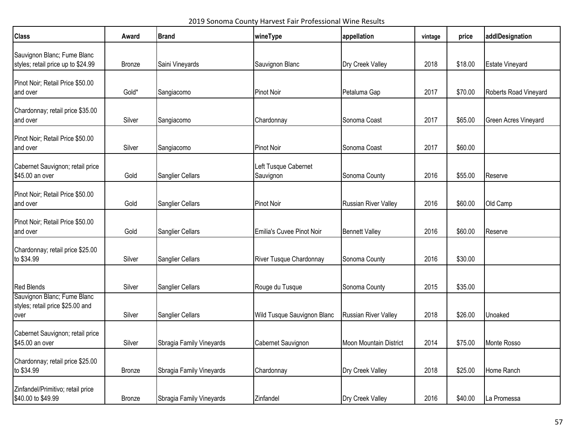2019 Sonoma County Harvest Fair Professional Wine Results

| <b>Class</b>                                                            | Award  | <b>Brand</b>             | wineType                          | appellation                   | vintage | price   | addlDesignation        |
|-------------------------------------------------------------------------|--------|--------------------------|-----------------------------------|-------------------------------|---------|---------|------------------------|
| Sauvignon Blanc; Fume Blanc<br>styles; retail price up to \$24.99       | Bronze | Saini Vineyards          | Sauvignon Blanc                   | Dry Creek Valley              | 2018    | \$18.00 | <b>Estate Vineyard</b> |
| Pinot Noir; Retail Price \$50.00<br>and over                            | Gold*  | Sangiacomo               | <b>Pinot Noir</b>                 | Petaluma Gap                  | 2017    | \$70.00 | Roberts Road Vineyard  |
| Chardonnay; retail price \$35.00<br>and over                            | Silver | Sangiacomo               | Chardonnay                        | Sonoma Coast                  | 2017    | \$65.00 | Green Acres Vineyard   |
| Pinot Noir; Retail Price \$50.00<br>and over                            | Silver | Sangiacomo               | <b>Pinot Noir</b>                 | Sonoma Coast                  | 2017    | \$60.00 |                        |
| Cabernet Sauvignon; retail price<br>\$45.00 an over                     | Gold   | Sanglier Cellars         | Left Tusque Cabernet<br>Sauvignon | Sonoma County                 | 2016    | \$55.00 | Reserve                |
| Pinot Noir; Retail Price \$50.00<br>and over                            | Gold   | <b>Sanglier Cellars</b>  | Pinot Noir                        | Russian River Valley          | 2016    | \$60.00 | Old Camp               |
| Pinot Noir; Retail Price \$50.00<br>and over                            | Gold   | Sanglier Cellars         | Emilia's Cuvee Pinot Noir         | <b>Bennett Valley</b>         | 2016    | \$60.00 | Reserve                |
| Chardonnay; retail price \$25.00<br>to \$34.99                          | Silver | Sanglier Cellars         | River Tusque Chardonnay           | Sonoma County                 | 2016    | \$30.00 |                        |
| <b>Red Blends</b>                                                       | Silver | Sanglier Cellars         | Rouge du Tusque                   | Sonoma County                 | 2015    | \$35.00 |                        |
| Sauvignon Blanc; Fume Blanc<br>styles; retail price \$25.00 and<br>over | Silver | Sanglier Cellars         | Wild Tusque Sauvignon Blanc       | <b>Russian River Valley</b>   | 2018    | \$26.00 | Unoaked                |
| Cabernet Sauvignon; retail price<br>\$45.00 an over                     | Silver | Sbragia Family Vineyards | Cabernet Sauvignon                | <b>Moon Mountain District</b> | 2014    | \$75.00 | Monte Rosso            |
| Chardonnay; retail price \$25.00<br>to \$34.99                          | Bronze | Sbragia Family Vineyards | Chardonnay                        | Dry Creek Valley              | 2018    | \$25.00 | Home Ranch             |
| Zinfandel/Primitivo; retail price<br>\$40.00 to \$49.99                 | Bronze | Sbragia Family Vineyards | Zinfandel                         | Dry Creek Valley              | 2016    | \$40.00 | La Promessa            |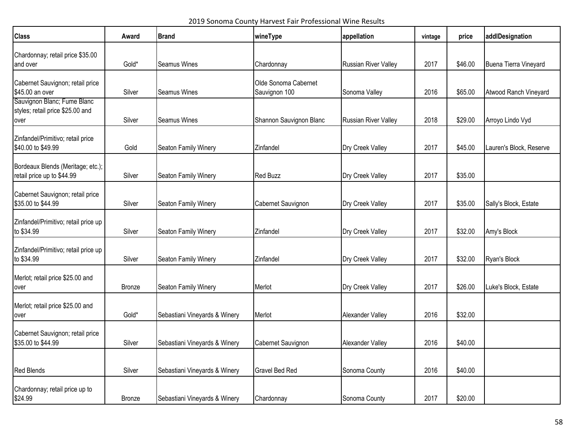2019 Sonoma County Harvest Fair Professional Wine Results

| <b>Class</b>                                                            | Award         | <b>Brand</b>                  | wineType                              | appellation                 | vintage | price   | addlDesignation         |
|-------------------------------------------------------------------------|---------------|-------------------------------|---------------------------------------|-----------------------------|---------|---------|-------------------------|
| Chardonnay; retail price \$35.00<br>and over                            | Gold*         | <b>Seamus Wines</b>           | Chardonnay                            | <b>Russian River Valley</b> | 2017    | \$46.00 | Buena Tierra Vineyard   |
| Cabernet Sauvignon; retail price<br>\$45.00 an over                     | Silver        | Seamus Wines                  | Olde Sonoma Cabernet<br>Sauvignon 100 | Sonoma Valley               | 2016    | \$65.00 | Atwood Ranch Vineyard   |
| Sauvignon Blanc; Fume Blanc<br>styles; retail price \$25.00 and<br>over | Silver        | <b>Seamus Wines</b>           | Shannon Sauvignon Blanc               | <b>Russian River Valley</b> | 2018    | \$29.00 | Arroyo Lindo Vyd        |
| Zinfandel/Primitivo; retail price<br>\$40.00 to \$49.99                 | Gold          | Seaton Family Winery          | Zinfandel                             | Dry Creek Valley            | 2017    | \$45.00 | Lauren's Block, Reserve |
| Bordeaux Blends (Meritage; etc.);<br>retail price up to \$44.99         | Silver        | Seaton Family Winery          | <b>Red Buzz</b>                       | Dry Creek Valley            | 2017    | \$35.00 |                         |
| Cabernet Sauvignon; retail price<br>\$35.00 to \$44.99                  | Silver        | Seaton Family Winery          | Cabernet Sauvignon                    | Dry Creek Valley            | 2017    | \$35.00 | Sally's Block, Estate   |
| Zinfandel/Primitivo; retail price up<br>to \$34.99                      | Silver        | Seaton Family Winery          | Zinfandel                             | Dry Creek Valley            | 2017    | \$32.00 | Amy's Block             |
| Zinfandel/Primitivo; retail price up<br>to \$34.99                      | Silver        | Seaton Family Winery          | Zinfandel                             | Dry Creek Valley            | 2017    | \$32.00 | Ryan's Block            |
| Merlot; retail price \$25.00 and<br>over                                | <b>Bronze</b> | Seaton Family Winery          | Merlot                                | Dry Creek Valley            | 2017    | \$26.00 | Luke's Block, Estate    |
| Merlot; retail price \$25.00 and<br>over                                | Gold*         | Sebastiani Vineyards & Winery | Merlot                                | Alexander Valley            | 2016    | \$32.00 |                         |
| Cabernet Sauvignon; retail price<br>\$35.00 to \$44.99                  | Silver        | Sebastiani Vineyards & Winery | Cabernet Sauvignon                    | Alexander Valley            | 2016    | \$40.00 |                         |
| <b>Red Blends</b>                                                       | Silver        | Sebastiani Vineyards & Winery | Gravel Bed Red                        | Sonoma County               | 2016    | \$40.00 |                         |
| Chardonnay; retail price up to<br>\$24.99                               | Bronze        | Sebastiani Vineyards & Winery | Chardonnay                            | Sonoma County               | 2017    | \$20.00 |                         |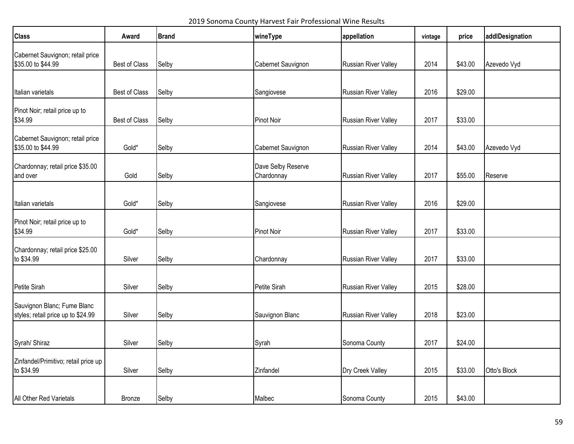2019 Sonoma County Harvest Fair Professional Wine Results

| <b>Class</b>                                                      | Award         | <b>Brand</b> | wineType                         | appellation                 | vintage | price   | addlDesignation |
|-------------------------------------------------------------------|---------------|--------------|----------------------------------|-----------------------------|---------|---------|-----------------|
| Cabernet Sauvignon; retail price<br>\$35.00 to \$44.99            | Best of Class | Selby        | Cabernet Sauvignon               | <b>Russian River Valley</b> | 2014    | \$43.00 | Azevedo Vyd     |
|                                                                   |               |              |                                  |                             |         |         |                 |
| Italian varietals                                                 | Best of Class | Selby        | Sangiovese                       | Russian River Valley        | 2016    | \$29.00 |                 |
| Pinot Noir; retail price up to<br>\$34.99                         | Best of Class | Selby        | <b>Pinot Noir</b>                | Russian River Valley        | 2017    | \$33.00 |                 |
| Cabernet Sauvignon; retail price<br>\$35.00 to \$44.99            | Gold*         | Selby        | Cabernet Sauvignon               | <b>Russian River Valley</b> | 2014    | \$43.00 | Azevedo Vyd     |
| Chardonnay; retail price \$35.00<br>and over                      | Gold          | Selby        | Dave Selby Reserve<br>Chardonnay | <b>Russian River Valley</b> | 2017    | \$55.00 | Reserve         |
|                                                                   |               |              |                                  |                             |         |         |                 |
| Italian varietals                                                 | Gold*         | Selby        | Sangiovese                       | <b>Russian River Valley</b> | 2016    | \$29.00 |                 |
| Pinot Noir; retail price up to<br>\$34.99                         | Gold*         | Selby        | <b>Pinot Noir</b>                | Russian River Valley        | 2017    | \$33.00 |                 |
| Chardonnay; retail price \$25.00<br>to \$34.99                    | Silver        | Selby        | Chardonnay                       | Russian River Valley        | 2017    | \$33.00 |                 |
| Petite Sirah                                                      | Silver        | Selby        | Petite Sirah                     | <b>Russian River Valley</b> | 2015    | \$28.00 |                 |
| Sauvignon Blanc; Fume Blanc<br>styles; retail price up to \$24.99 | Silver        | Selby        | Sauvignon Blanc                  | Russian River Valley        | 2018    | \$23.00 |                 |
| Syrah/ Shiraz                                                     | Silver        | Selby        | Syrah                            | Sonoma County               | 2017    | \$24.00 |                 |
| Zinfandel/Primitivo; retail price up<br>to \$34.99                | Silver        | Selby        | Zinfandel                        | Dry Creek Valley            | 2015    | \$33.00 | Otto's Block    |
| All Other Red Varietals                                           | Bronze        | Selby        | Malbec                           | Sonoma County               | 2015    | \$43.00 |                 |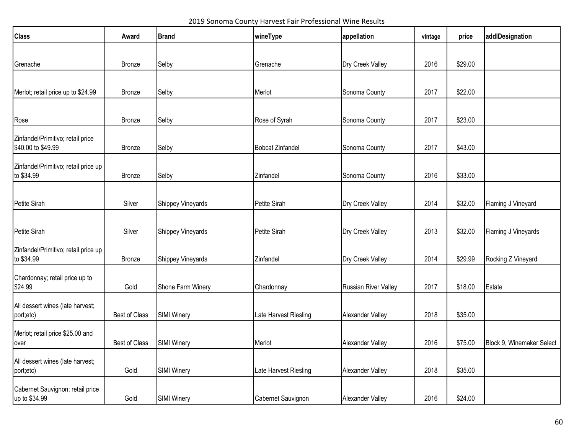2019 Sonoma County Harvest Fair Professional Wine Results

| <b>Class</b>                                            | Award         | <b>Brand</b>             | wineType                | appellation          | vintage | price   | addlDesignation           |
|---------------------------------------------------------|---------------|--------------------------|-------------------------|----------------------|---------|---------|---------------------------|
|                                                         |               |                          |                         |                      |         |         |                           |
| Grenache                                                | Bronze        | Selby                    | Grenache                | Dry Creek Valley     | 2016    | \$29.00 |                           |
|                                                         |               |                          |                         |                      |         |         |                           |
| Merlot; retail price up to \$24.99                      | <b>Bronze</b> | Selby                    | Merlot                  | Sonoma County        | 2017    | \$22.00 |                           |
| Rose                                                    | <b>Bronze</b> | Selby                    | Rose of Syrah           | Sonoma County        | 2017    | \$23.00 |                           |
| Zinfandel/Primitivo; retail price<br>\$40.00 to \$49.99 | Bronze        | Selby                    | <b>Bobcat Zinfandel</b> | Sonoma County        | 2017    | \$43.00 |                           |
| Zinfandel/Primitivo; retail price up<br>to \$34.99      | Bronze        | Selby                    | Zinfandel               | Sonoma County        | 2016    | \$33.00 |                           |
| Petite Sirah                                            | Silver        | <b>Shippey Vineyards</b> | Petite Sirah            | Dry Creek Valley     | 2014    | \$32.00 | Flaming J Vineyard        |
| Petite Sirah                                            | Silver        | <b>Shippey Vineyards</b> | Petite Sirah            | Dry Creek Valley     | 2013    | \$32.00 | Flaming J Vineyards       |
| Zinfandel/Primitivo; retail price up<br>to \$34.99      | Bronze        | <b>Shippey Vineyards</b> | Zinfandel               | Dry Creek Valley     | 2014    | \$29.99 | Rocking Z Vineyard        |
| Chardonnay; retail price up to<br>\$24.99               | Gold          | Shone Farm Winery        | Chardonnay              | Russian River Valley | 2017    | \$18.00 | Estate                    |
| All dessert wines (late harvest;<br>port;etc)           | Best of Class | SIMI Winery              | Late Harvest Riesling   | Alexander Valley     | 2018    | \$35.00 |                           |
| Merlot; retail price \$25.00 and<br>over                | Best of Class | <b>SIMI Winery</b>       | Merlot                  | Alexander Valley     | 2016    | \$75.00 | Block 9, Winemaker Select |
| All dessert wines (late harvest;<br>port;etc)           | Gold          | SIMI Winery              | Late Harvest Riesling   | Alexander Valley     | 2018    | \$35.00 |                           |
| Cabernet Sauvignon; retail price<br>up to \$34.99       | Gold          | SIMI Winery              | Cabernet Sauvignon      | Alexander Valley     | 2016    | \$24.00 |                           |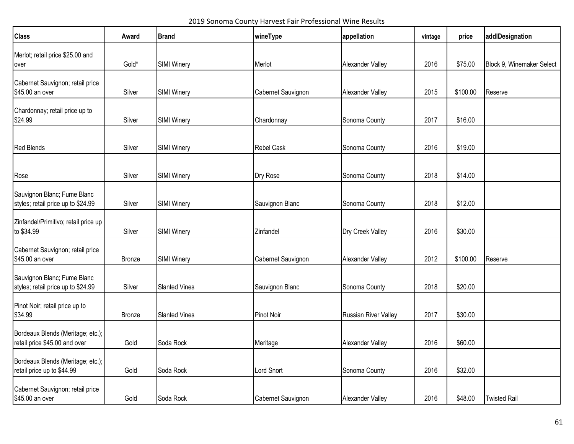2019 Sonoma County Harvest Fair Professional Wine Results

| <b>Class</b>                                                       | Award         | <b>Brand</b>         | wineType           | appellation                 | vintage | price    | addlDesignation           |
|--------------------------------------------------------------------|---------------|----------------------|--------------------|-----------------------------|---------|----------|---------------------------|
| Merlot; retail price \$25.00 and<br>over                           | Gold*         | SIMI Winery          | Merlot             | Alexander Valley            | 2016    | \$75.00  | Block 9, Winemaker Select |
| Cabernet Sauvignon; retail price<br>\$45.00 an over                | Silver        | SIMI Winery          | Cabernet Sauvignon | Alexander Valley            | 2015    | \$100.00 | Reserve                   |
| Chardonnay; retail price up to<br>\$24.99                          | Silver        | <b>SIMI Winery</b>   | Chardonnay         | Sonoma County               | 2017    | \$16.00  |                           |
| <b>Red Blends</b>                                                  | Silver        | SIMI Winery          | <b>Rebel Cask</b>  | Sonoma County               | 2016    | \$19.00  |                           |
| Rose                                                               | Silver        | SIMI Winery          | Dry Rose           | Sonoma County               | 2018    | \$14.00  |                           |
| Sauvignon Blanc; Fume Blanc<br>styles; retail price up to \$24.99  | Silver        | <b>SIMI Winery</b>   | Sauvignon Blanc    | Sonoma County               | 2018    | \$12.00  |                           |
| Zinfandel/Primitivo; retail price up<br>to \$34.99                 | Silver        | SIMI Winery          | Zinfandel          | Dry Creek Valley            | 2016    | \$30.00  |                           |
| Cabernet Sauvignon; retail price<br>\$45.00 an over                | Bronze        | SIMI Winery          | Cabernet Sauvignon | Alexander Valley            | 2012    | \$100.00 | Reserve                   |
| Sauvignon Blanc; Fume Blanc<br>styles; retail price up to \$24.99  | Silver        | <b>Slanted Vines</b> | Sauvignon Blanc    | Sonoma County               | 2018    | \$20.00  |                           |
| Pinot Noir; retail price up to<br>\$34.99                          | <b>Bronze</b> | <b>Slanted Vines</b> | <b>Pinot Noir</b>  | <b>Russian River Valley</b> | 2017    | \$30.00  |                           |
| Bordeaux Blends (Meritage; etc.);<br>retail price \$45.00 and over | Gold          | Soda Rock            | Meritage           | Alexander Valley            | 2016    | \$60.00  |                           |
| Bordeaux Blends (Meritage; etc.);<br>retail price up to \$44.99    | Gold          | Soda Rock            | Lord Snort         | Sonoma County               | 2016    | \$32.00  |                           |
| Cabernet Sauvignon; retail price<br>\$45.00 an over                | Gold          | Soda Rock            | Cabernet Sauvignon | Alexander Valley            | 2016    | \$48.00  | <b>Twisted Rail</b>       |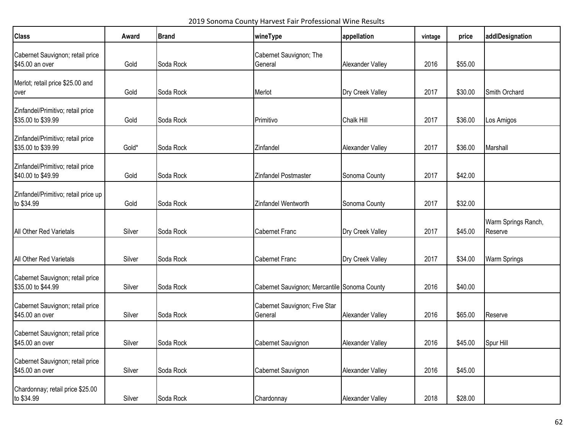2019 Sonoma County Harvest Fair Professional Wine Results

| <b>Class</b>                                            | Award  | <b>Brand</b> | wineType                                     | appellation       | vintage | price   | addlDesignation                |
|---------------------------------------------------------|--------|--------------|----------------------------------------------|-------------------|---------|---------|--------------------------------|
| Cabernet Sauvignon; retail price<br>\$45.00 an over     | Gold   | Soda Rock    | Cabernet Sauvignon; The<br>General           | Alexander Valley  | 2016    | \$55.00 |                                |
| Merlot; retail price \$25.00 and<br>over                | Gold   | Soda Rock    | Merlot                                       | Dry Creek Valley  | 2017    | \$30.00 | Smith Orchard                  |
| Zinfandel/Primitivo; retail price<br>\$35.00 to \$39.99 | Gold   | Soda Rock    | Primitivo                                    | <b>Chalk Hill</b> | 2017    | \$36.00 | Los Amigos                     |
| Zinfandel/Primitivo; retail price<br>\$35.00 to \$39.99 | Gold*  | Soda Rock    | Zinfandel                                    | Alexander Valley  | 2017    | \$36.00 | Marshall                       |
| Zinfandel/Primitivo; retail price<br>\$40.00 to \$49.99 | Gold   | Soda Rock    | Zinfandel Postmaster                         | Sonoma County     | 2017    | \$42.00 |                                |
| Zinfandel/Primitivo; retail price up<br>to \$34.99      | Gold   | Soda Rock    | Zinfandel Wentworth                          | Sonoma County     | 2017    | \$32.00 |                                |
| All Other Red Varietals                                 | Silver | Soda Rock    | <b>Cabernet Franc</b>                        | Dry Creek Valley  | 2017    | \$45.00 | Warm Springs Ranch,<br>Reserve |
| All Other Red Varietals                                 | Silver | Soda Rock    | <b>Cabernet Franc</b>                        | Dry Creek Valley  | 2017    | \$34.00 | <b>Warm Springs</b>            |
| Cabernet Sauvignon; retail price<br>\$35.00 to \$44.99  | Silver | Soda Rock    | Cabernet Sauvignon; Mercantile Sonoma County |                   | 2016    | \$40.00 |                                |
| Cabernet Sauvignon; retail price<br>\$45.00 an over     | Silver | Soda Rock    | Cabernet Sauvignon; Five Star<br>General     | Alexander Valley  | 2016    | \$65.00 | Reserve                        |
| Cabernet Sauvignon; retail price<br>\$45.00 an over     | Silver | Soda Rock    | Cabernet Sauvignon                           | Alexander Valley  | 2016    | \$45.00 | Spur Hill                      |
| Cabernet Sauvignon; retail price<br>\$45.00 an over     | Silver | Soda Rock    | Cabernet Sauvignon                           | Alexander Valley  | 2016    | \$45.00 |                                |
| Chardonnay; retail price \$25.00<br>to \$34.99          | Silver | Soda Rock    | Chardonnay                                   | Alexander Valley  | 2018    | \$28.00 |                                |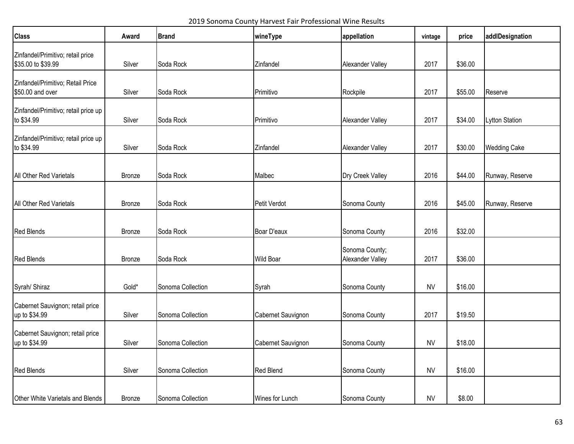2019 Sonoma County Harvest Fair Professional Wine Results

| <b>Class</b>                                            | Award         | <b>Brand</b>      | wineType           | appellation                        | vintage   | price   | addlDesignation     |
|---------------------------------------------------------|---------------|-------------------|--------------------|------------------------------------|-----------|---------|---------------------|
| Zinfandel/Primitivo; retail price<br>\$35.00 to \$39.99 | Silver        | Soda Rock         | Zinfandel          | Alexander Valley                   | 2017      | \$36.00 |                     |
| Zinfandel/Primitivo; Retail Price<br>\$50.00 and over   | Silver        | Soda Rock         | Primitivo          | Rockpile                           | 2017      | \$55.00 | Reserve             |
| Zinfandel/Primitivo; retail price up<br>to \$34.99      | Silver        | Soda Rock         | Primitivo          | Alexander Valley                   | 2017      | \$34.00 | Lytton Station      |
| Zinfandel/Primitivo; retail price up<br>to \$34.99      | Silver        | Soda Rock         | Zinfandel          | Alexander Valley                   | 2017      | \$30.00 | <b>Wedding Cake</b> |
| All Other Red Varietals                                 | <b>Bronze</b> | Soda Rock         | Malbec             | Dry Creek Valley                   | 2016      | \$44.00 | Runway, Reserve     |
| All Other Red Varietals                                 | Bronze        | Soda Rock         | Petit Verdot       | Sonoma County                      | 2016      | \$45.00 | Runway, Reserve     |
| <b>Red Blends</b>                                       | Bronze        | Soda Rock         | Boar D'eaux        | Sonoma County                      | 2016      | \$32.00 |                     |
| <b>Red Blends</b>                                       | Bronze        | Soda Rock         | <b>Wild Boar</b>   | Sonoma County;<br>Alexander Valley | 2017      | \$36.00 |                     |
| Syrah/ Shiraz                                           | Gold*         | Sonoma Collection | Syrah              | Sonoma County                      | <b>NV</b> | \$16.00 |                     |
| Cabernet Sauvignon; retail price<br>up to \$34.99       | Silver        | Sonoma Collection | Cabernet Sauvignon | Sonoma County                      | 2017      | \$19.50 |                     |
| Cabernet Sauvignon; retail price<br>up to \$34.99       | Silver        | Sonoma Collection | Cabernet Sauvignon | Sonoma County                      | <b>NV</b> | \$18.00 |                     |
| <b>Red Blends</b>                                       | Silver        | Sonoma Collection | Red Blend          | Sonoma County                      | <b>NV</b> | \$16.00 |                     |
| Other White Varietals and Blends                        | Bronze        | Sonoma Collection | Wines for Lunch    | Sonoma County                      | <b>NV</b> | \$8.00  |                     |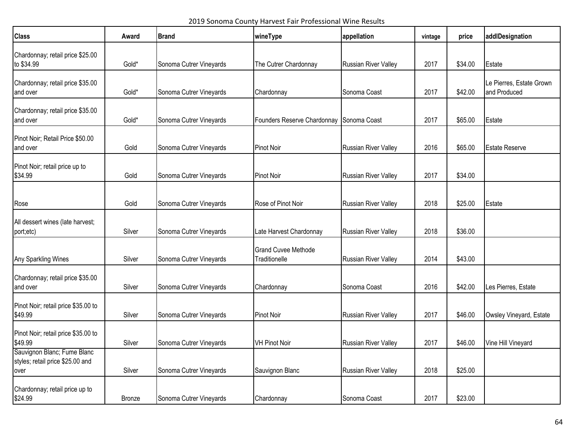2019 Sonoma County Harvest Fair Professional Wine Results

| <b>Class</b>                                                            | Award  | <b>Brand</b>            | wineType                                    | appellation                 | vintage | price   | addlDesignation                          |
|-------------------------------------------------------------------------|--------|-------------------------|---------------------------------------------|-----------------------------|---------|---------|------------------------------------------|
| Chardonnay; retail price \$25.00<br>to \$34.99                          | Gold*  | Sonoma Cutrer Vineyards | The Cutrer Chardonnay                       | <b>Russian River Valley</b> | 2017    | \$34.00 | Estate                                   |
| Chardonnay; retail price \$35.00<br>and over                            | Gold*  | Sonoma Cutrer Vineyards | Chardonnay                                  | Sonoma Coast                | 2017    | \$42.00 | Le Pierres, Estate Grown<br>and Produced |
| Chardonnay; retail price \$35.00<br>and over                            | Gold*  | Sonoma Cutrer Vineyards | Founders Reserve Chardonnay Sonoma Coast    |                             | 2017    | \$65.00 | Estate                                   |
| Pinot Noir; Retail Price \$50.00<br>and over                            | Gold   | Sonoma Cutrer Vineyards | <b>Pinot Noir</b>                           | <b>Russian River Valley</b> | 2016    | \$65.00 | <b>Estate Reserve</b>                    |
| Pinot Noir; retail price up to<br>\$34.99                               | Gold   | Sonoma Cutrer Vineyards | <b>Pinot Noir</b>                           | <b>Russian River Valley</b> | 2017    | \$34.00 |                                          |
| Rose                                                                    | Gold   | Sonoma Cutrer Vineyards | Rose of Pinot Noir                          | <b>Russian River Valley</b> | 2018    | \$25.00 | Estate                                   |
| All dessert wines (late harvest;<br>port;etc)                           | Silver | Sonoma Cutrer Vineyards | Late Harvest Chardonnay                     | <b>Russian River Valley</b> | 2018    | \$36.00 |                                          |
| Any Sparkling Wines                                                     | Silver | Sonoma Cutrer Vineyards | <b>Grand Cuvee Methode</b><br>Traditionelle | <b>Russian River Valley</b> | 2014    | \$43.00 |                                          |
| Chardonnay; retail price \$35.00<br>and over                            | Silver | Sonoma Cutrer Vineyards | Chardonnay                                  | Sonoma Coast                | 2016    | \$42.00 | Les Pierres, Estate                      |
| Pinot Noir; retail price \$35.00 to<br>\$49.99                          | Silver | Sonoma Cutrer Vineyards | Pinot Noir                                  | <b>Russian River Valley</b> | 2017    | \$46.00 | Owsley Vineyard, Estate                  |
| Pinot Noir; retail price \$35.00 to<br>\$49.99                          | Silver | Sonoma Cutrer Vineyards | <b>VH Pinot Noir</b>                        | Russian River Valley        | 2017    | \$46.00 | Vine Hill Vineyard                       |
| Sauvignon Blanc; Fume Blanc<br>styles; retail price \$25.00 and<br>over | Silver | Sonoma Cutrer Vineyards | Sauvignon Blanc                             | Russian River Valley        | 2018    | \$25.00 |                                          |
| Chardonnay; retail price up to<br>\$24.99                               | Bronze | Sonoma Cutrer Vineyards | Chardonnay                                  | Sonoma Coast                | 2017    | \$23.00 |                                          |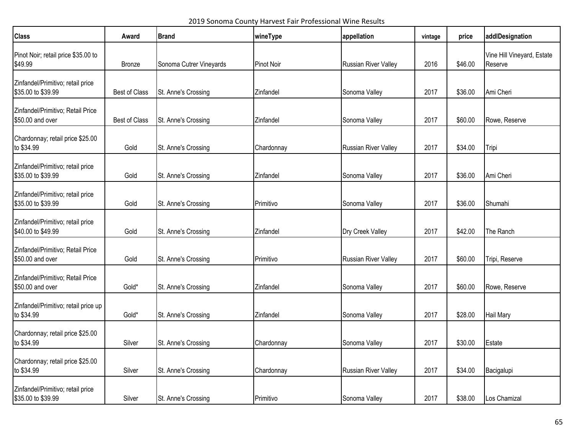2019 Sonoma County Harvest Fair Professional Wine Results

| <b>Class</b>                                            | Award         | <b>Brand</b>            | wineType          | appellation                 | vintage | price   | addlDesignation                       |
|---------------------------------------------------------|---------------|-------------------------|-------------------|-----------------------------|---------|---------|---------------------------------------|
| Pinot Noir; retail price \$35.00 to<br>\$49.99          | <b>Bronze</b> | Sonoma Cutrer Vineyards | <b>Pinot Noir</b> | <b>Russian River Valley</b> | 2016    | \$46.00 | Vine Hill Vineyard, Estate<br>Reserve |
| Zinfandel/Primitivo; retail price<br>\$35.00 to \$39.99 | Best of Class | St. Anne's Crossing     | Zinfandel         | Sonoma Valley               | 2017    | \$36.00 | Ami Cheri                             |
| Zinfandel/Primitivo; Retail Price<br>\$50.00 and over   | Best of Class | St. Anne's Crossing     | Zinfandel         | Sonoma Valley               | 2017    | \$60.00 | Rowe, Reserve                         |
| Chardonnay; retail price \$25.00<br>to \$34.99          | Gold          | St. Anne's Crossing     | Chardonnay        | <b>Russian River Valley</b> | 2017    | \$34.00 | Tripi                                 |
| Zinfandel/Primitivo; retail price<br>\$35.00 to \$39.99 | Gold          | St. Anne's Crossing     | Zinfandel         | Sonoma Valley               | 2017    | \$36.00 | Ami Cheri                             |
| Zinfandel/Primitivo; retail price<br>\$35.00 to \$39.99 | Gold          | St. Anne's Crossing     | Primitivo         | Sonoma Valley               | 2017    | \$36.00 | Shumahi                               |
| Zinfandel/Primitivo; retail price<br>\$40.00 to \$49.99 | Gold          | St. Anne's Crossing     | Zinfandel         | Dry Creek Valley            | 2017    | \$42.00 | The Ranch                             |
| Zinfandel/Primitivo; Retail Price<br>\$50.00 and over   | Gold          | St. Anne's Crossing     | Primitivo         | <b>Russian River Valley</b> | 2017    | \$60.00 | Tripi, Reserve                        |
| Zinfandel/Primitivo; Retail Price<br>\$50.00 and over   | Gold*         | St. Anne's Crossing     | Zinfandel         | Sonoma Valley               | 2017    | \$60.00 | Rowe, Reserve                         |
| Zinfandel/Primitivo; retail price up<br>to \$34.99      | Gold*         | St. Anne's Crossing     | Zinfandel         | Sonoma Valley               | 2017    | \$28.00 | <b>Hail Mary</b>                      |
| Chardonnay; retail price \$25.00<br>to \$34.99          | Silver        | St. Anne's Crossing     | Chardonnay        | Sonoma Valley               | 2017    | \$30.00 | Estate                                |
| Chardonnay; retail price \$25.00<br>to \$34.99          | Silver        | St. Anne's Crossing     | Chardonnay        | Russian River Valley        | 2017    | \$34.00 | Bacigalupi                            |
| Zinfandel/Primitivo; retail price<br>\$35.00 to \$39.99 | Silver        | St. Anne's Crossing     | Primitivo         | Sonoma Valley               | 2017    | \$38.00 | Los Chamizal                          |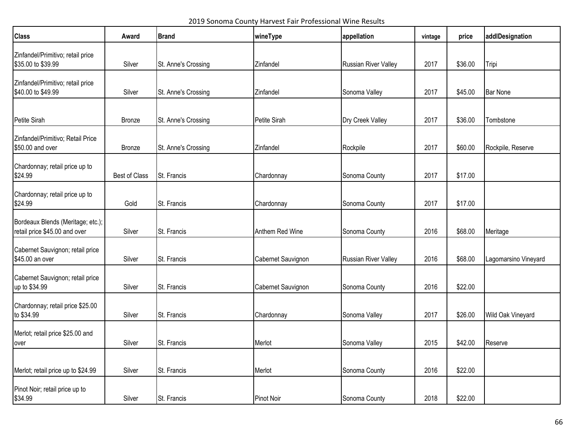2019 Sonoma County Harvest Fair Professional Wine Results

| <b>Class</b>                                                       | Award         | <b>Brand</b>        | wineType           | appellation                 | vintage | price   | addlDesignation      |
|--------------------------------------------------------------------|---------------|---------------------|--------------------|-----------------------------|---------|---------|----------------------|
| Zinfandel/Primitivo; retail price<br>\$35.00 to \$39.99            | Silver        | St. Anne's Crossing | Zinfandel          | <b>Russian River Valley</b> | 2017    | \$36.00 | Tripi                |
| Zinfandel/Primitivo; retail price<br>\$40.00 to \$49.99            | Silver        | St. Anne's Crossing | Zinfandel          | Sonoma Valley               | 2017    | \$45.00 | <b>Bar None</b>      |
| Petite Sirah                                                       | Bronze        | St. Anne's Crossing | Petite Sirah       | Dry Creek Valley            | 2017    | \$36.00 | Tombstone            |
| Zinfandel/Primitivo; Retail Price<br>\$50.00 and over              | Bronze        | St. Anne's Crossing | Zinfandel          | Rockpile                    | 2017    | \$60.00 | Rockpile, Reserve    |
| Chardonnay; retail price up to<br>\$24.99                          | Best of Class | St. Francis         | Chardonnay         | Sonoma County               | 2017    | \$17.00 |                      |
| Chardonnay; retail price up to<br>\$24.99                          | Gold          | St. Francis         | Chardonnay         | Sonoma County               | 2017    | \$17.00 |                      |
| Bordeaux Blends (Meritage; etc.);<br>retail price \$45.00 and over | Silver        | St. Francis         | Anthem Red Wine    | Sonoma County               | 2016    | \$68.00 | Meritage             |
| Cabernet Sauvignon; retail price<br>\$45.00 an over                | Silver        | St. Francis         | Cabernet Sauvignon | <b>Russian River Valley</b> | 2016    | \$68.00 | Lagomarsino Vineyard |
| Cabernet Sauvignon; retail price<br>up to \$34.99                  | Silver        | St. Francis         | Cabernet Sauvignon | Sonoma County               | 2016    | \$22.00 |                      |
| Chardonnay; retail price \$25.00<br>to \$34.99                     | Silver        | St. Francis         | Chardonnay         | Sonoma Valley               | 2017    | \$26.00 | Wild Oak Vineyard    |
| Merlot; retail price \$25.00 and<br>over                           | Silver        | St. Francis         | Merlot             | Sonoma Valley               | 2015    | \$42.00 | Reserve              |
| Merlot; retail price up to \$24.99                                 | Silver        | St. Francis         | Merlot             | Sonoma County               | 2016    | \$22.00 |                      |
| Pinot Noir; retail price up to<br>\$34.99                          | Silver        | St. Francis         | Pinot Noir         | Sonoma County               | 2018    | \$22.00 |                      |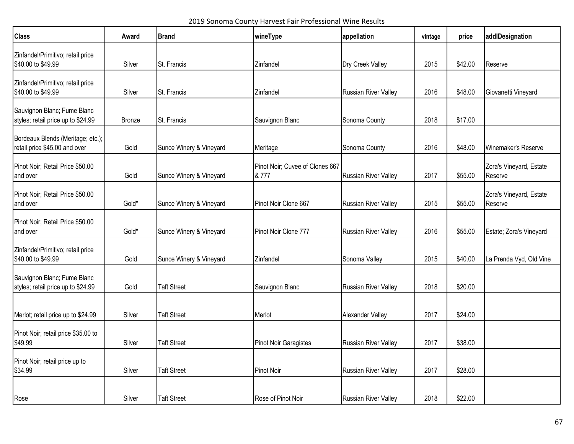2019 Sonoma County Harvest Fair Professional Wine Results

| <b>Class</b>                                                       | Award  | <b>Brand</b>            | wineType                                 | appellation                 | vintage | price   | addlDesignation                    |
|--------------------------------------------------------------------|--------|-------------------------|------------------------------------------|-----------------------------|---------|---------|------------------------------------|
| Zinfandel/Primitivo; retail price<br>\$40.00 to \$49.99            | Silver | St. Francis             | Zinfandel                                | Dry Creek Valley            | 2015    | \$42.00 | Reserve                            |
| Zinfandel/Primitivo; retail price<br>\$40.00 to \$49.99            | Silver | St. Francis             | Zinfandel                                | Russian River Valley        | 2016    | \$48.00 | Giovanetti Vineyard                |
| Sauvignon Blanc; Fume Blanc<br>styles; retail price up to \$24.99  | Bronze | St. Francis             | Sauvignon Blanc                          | Sonoma County               | 2018    | \$17.00 |                                    |
| Bordeaux Blends (Meritage; etc.);<br>retail price \$45.00 and over | Gold   | Sunce Winery & Vineyard | Meritage                                 | Sonoma County               | 2016    | \$48.00 | Winemaker's Reserve                |
| Pinot Noir; Retail Price \$50.00<br>and over                       | Gold   | Sunce Winery & Vineyard | Pinot Noir; Cuvee of Clones 667<br>& 777 | <b>Russian River Valley</b> | 2017    | \$55.00 | Zora's Vineyard, Estate<br>Reserve |
| Pinot Noir; Retail Price \$50.00<br>and over                       | Gold*  | Sunce Winery & Vineyard | Pinot Noir Clone 667                     | <b>Russian River Valley</b> | 2015    | \$55.00 | Zora's Vineyard, Estate<br>Reserve |
| Pinot Noir; Retail Price \$50.00<br>and over                       | Gold*  | Sunce Winery & Vineyard | Pinot Noir Clone 777                     | Russian River Valley        | 2016    | \$55.00 | Estate; Zora's Vineyard            |
| Zinfandel/Primitivo; retail price<br>\$40.00 to \$49.99            | Gold   | Sunce Winery & Vineyard | Zinfandel                                | Sonoma Valley               | 2015    | \$40.00 | La Prenda Vyd, Old Vine            |
| Sauvignon Blanc; Fume Blanc<br>styles; retail price up to \$24.99  | Gold   | <b>Taft Street</b>      | Sauvignon Blanc                          | <b>Russian River Valley</b> | 2018    | \$20.00 |                                    |
| Merlot; retail price up to \$24.99                                 | Silver | <b>Taft Street</b>      | Merlot                                   | Alexander Valley            | 2017    | \$24.00 |                                    |
| Pinot Noir; retail price \$35.00 to<br>\$49.99                     | Silver | <b>Taft Street</b>      | Pinot Noir Garagistes                    | Russian River Valley        | 2017    | \$38.00 |                                    |
| Pinot Noir; retail price up to<br>\$34.99                          | Silver | <b>Taft Street</b>      | <b>Pinot Noir</b>                        | Russian River Valley        | 2017    | \$28.00 |                                    |
| Rose                                                               | Silver | <b>Taft Street</b>      | Rose of Pinot Noir                       | <b>Russian River Valley</b> | 2018    | \$22.00 |                                    |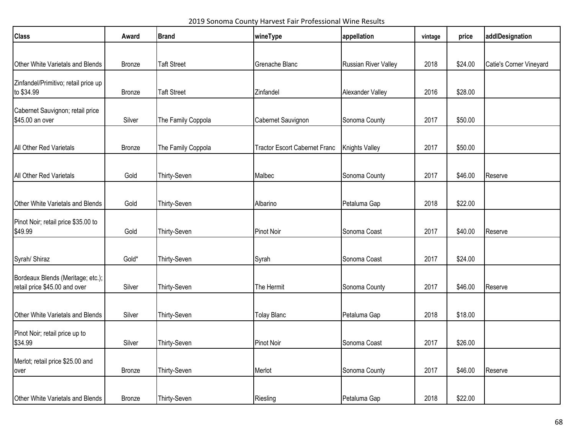2019 Sonoma County Harvest Fair Professional Wine Results

| <b>Class</b>                                                       | Award  | <b>Brand</b>       | wineType                             | appellation           | vintage | price   | addlDesignation         |
|--------------------------------------------------------------------|--------|--------------------|--------------------------------------|-----------------------|---------|---------|-------------------------|
|                                                                    |        |                    |                                      |                       |         |         |                         |
| Other White Varietals and Blends                                   | Bronze | <b>Taft Street</b> | Grenache Blanc                       | Russian River Valley  | 2018    | \$24.00 | Catie's Corner Vineyard |
| Zinfandel/Primitivo; retail price up<br>to \$34.99                 | Bronze | <b>Taft Street</b> | Zinfandel                            | Alexander Valley      | 2016    | \$28.00 |                         |
| Cabernet Sauvignon; retail price<br>\$45.00 an over                | Silver | The Family Coppola | Cabernet Sauvignon                   | Sonoma County         | 2017    | \$50.00 |                         |
| All Other Red Varietals                                            | Bronze | The Family Coppola | <b>Tractor Escort Cabernet Franc</b> | <b>Knights Valley</b> | 2017    | \$50.00 |                         |
| All Other Red Varietals                                            | Gold   | Thirty-Seven       | Malbec                               | Sonoma County         | 2017    | \$46.00 | Reserve                 |
| Other White Varietals and Blends                                   | Gold   | Thirty-Seven       | Albarino                             | Petaluma Gap          | 2018    | \$22.00 |                         |
| Pinot Noir; retail price \$35.00 to<br>\$49.99                     | Gold   | Thirty-Seven       | <b>Pinot Noir</b>                    | Sonoma Coast          | 2017    | \$40.00 | Reserve                 |
| Syrah/ Shiraz                                                      | Gold*  | Thirty-Seven       | Syrah                                | Sonoma Coast          | 2017    | \$24.00 |                         |
| Bordeaux Blends (Meritage; etc.);<br>retail price \$45.00 and over | Silver | Thirty-Seven       | The Hermit                           | Sonoma County         | 2017    | \$46.00 | Reserve                 |
| Other White Varietals and Blends                                   | Silver | Thirty-Seven       | <b>Tolay Blanc</b>                   | Petaluma Gap          | 2018    | \$18.00 |                         |
| Pinot Noir; retail price up to<br>\$34.99                          | Silver | Thirty-Seven       | <b>Pinot Noir</b>                    | Sonoma Coast          | 2017    | \$26.00 |                         |
| Merlot; retail price \$25.00 and<br>over                           | Bronze | Thirty-Seven       | Merlot                               | Sonoma County         | 2017    | \$46.00 | Reserve                 |
| Other White Varietals and Blends                                   | Bronze | Thirty-Seven       | Riesling                             | Petaluma Gap          | 2018    | \$22.00 |                         |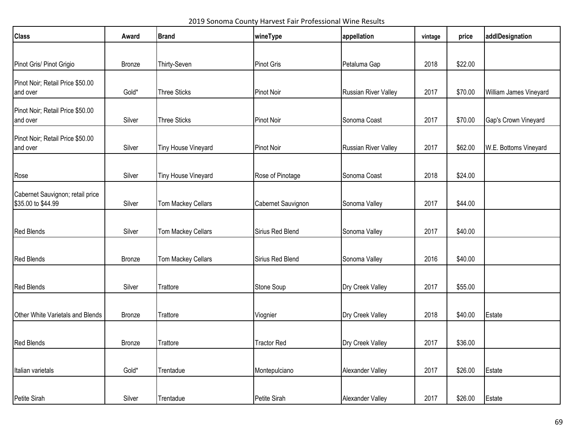2019 Sonoma County Harvest Fair Professional Wine Results

| <b>Class</b>                                           | Award         | <b>Brand</b>        | wineType           | appellation          | vintage | price   | addlDesignation        |
|--------------------------------------------------------|---------------|---------------------|--------------------|----------------------|---------|---------|------------------------|
|                                                        |               |                     |                    |                      |         |         |                        |
| Pinot Gris/ Pinot Grigio                               | Bronze        | Thirty-Seven        | <b>Pinot Gris</b>  | Petaluma Gap         | 2018    | \$22.00 |                        |
| Pinot Noir; Retail Price \$50.00<br>and over           | Gold*         | <b>Three Sticks</b> | <b>Pinot Noir</b>  | Russian River Valley | 2017    | \$70.00 | William James Vineyard |
| Pinot Noir; Retail Price \$50.00<br>and over           | Silver        | <b>Three Sticks</b> | <b>Pinot Noir</b>  | Sonoma Coast         | 2017    | \$70.00 | Gap's Crown Vineyard   |
| Pinot Noir; Retail Price \$50.00<br>and over           | Silver        | Tiny House Vineyard | Pinot Noir         | Russian River Valley | 2017    | \$62.00 | W.E. Bottoms Vineyard  |
| Rose                                                   | Silver        | Tiny House Vineyard | Rose of Pinotage   | Sonoma Coast         | 2018    | \$24.00 |                        |
| Cabernet Sauvignon; retail price<br>\$35.00 to \$44.99 | Silver        | Tom Mackey Cellars  | Cabernet Sauvignon | Sonoma Valley        | 2017    | \$44.00 |                        |
| <b>Red Blends</b>                                      | Silver        | Tom Mackey Cellars  | Sirius Red Blend   | Sonoma Valley        | 2017    | \$40.00 |                        |
| <b>Red Blends</b>                                      | <b>Bronze</b> | Tom Mackey Cellars  | Sirius Red Blend   | Sonoma Valley        | 2016    | \$40.00 |                        |
| <b>Red Blends</b>                                      | Silver        | Trattore            | Stone Soup         | Dry Creek Valley     | 2017    | \$55.00 |                        |
| Other White Varietals and Blends                       | Bronze        | Trattore            | Viognier           | Dry Creek Valley     | 2018    | \$40.00 | Estate                 |
| <b>Red Blends</b>                                      | Bronze        | Trattore            | <b>Tractor Red</b> | Dry Creek Valley     | 2017    | \$36.00 |                        |
| Italian varietals                                      | Gold*         | Trentadue           | Montepulciano      | Alexander Valley     | 2017    | \$26.00 | Estate                 |
| Petite Sirah                                           | Silver        | Trentadue           | Petite Sirah       | Alexander Valley     | 2017    | \$26.00 | Estate                 |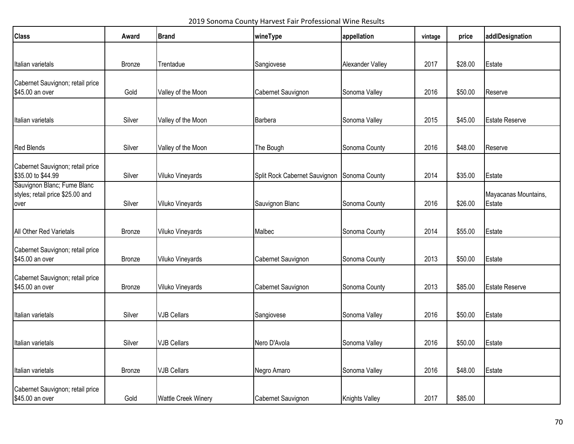2019 Sonoma County Harvest Fair Professional Wine Results

| <b>Class</b>                                                            | Award         | <b>Brand</b>        | wineType                      | appellation           | vintage | price   | addlDesignation                |
|-------------------------------------------------------------------------|---------------|---------------------|-------------------------------|-----------------------|---------|---------|--------------------------------|
|                                                                         |               |                     |                               |                       |         |         |                                |
| Italian varietals                                                       | <b>Bronze</b> | Trentadue           | Sangiovese                    | Alexander Valley      | 2017    | \$28.00 | Estate                         |
| Cabernet Sauvignon; retail price<br>\$45.00 an over                     | Gold          | Valley of the Moon  | Cabernet Sauvignon            | Sonoma Valley         | 2016    | \$50.00 | Reserve                        |
| Italian varietals                                                       | Silver        | Valley of the Moon  | Barbera                       | Sonoma Valley         | 2015    | \$45.00 | <b>Estate Reserve</b>          |
| <b>Red Blends</b>                                                       | Silver        | Valley of the Moon  | The Bough                     | Sonoma County         | 2016    | \$48.00 | Reserve                        |
| Cabernet Sauvignon; retail price<br>\$35.00 to \$44.99                  | Silver        | Viluko Vineyards    | Split Rock Cabernet Sauvignon | Sonoma County         | 2014    | \$35.00 | Estate                         |
| Sauvignon Blanc; Fume Blanc<br>styles; retail price \$25.00 and<br>over | Silver        | Viluko Vineyards    | Sauvignon Blanc               | Sonoma County         | 2016    | \$26.00 | Mayacanas Mountains,<br>Estate |
| All Other Red Varietals                                                 | Bronze        | Viluko Vineyards    | Malbec                        | Sonoma County         | 2014    | \$55.00 | Estate                         |
| Cabernet Sauvignon; retail price<br>\$45.00 an over                     | Bronze        | Viluko Vineyards    | Cabernet Sauvignon            | Sonoma County         | 2013    | \$50.00 | Estate                         |
| Cabernet Sauvignon; retail price<br>\$45.00 an over                     | <b>Bronze</b> | Viluko Vineyards    | Cabernet Sauvignon            | Sonoma County         | 2013    | \$85.00 | <b>Estate Reserve</b>          |
| Italian varietals                                                       | Silver        | <b>VJB Cellars</b>  | Sangiovese                    | Sonoma Valley         | 2016    | \$50.00 | Estate                         |
| Italian varietals                                                       | Silver        | <b>VJB Cellars</b>  | Nero D'Avola                  | Sonoma Valley         | 2016    | \$50.00 | Estate                         |
| Italian varietals                                                       | <b>Bronze</b> | <b>VJB Cellars</b>  | Negro Amaro                   | Sonoma Valley         | 2016    | \$48.00 | Estate                         |
| Cabernet Sauvignon; retail price<br>\$45.00 an over                     | Gold          | Wattle Creek Winery | Cabernet Sauvignon            | <b>Knights Valley</b> | 2017    | \$85.00 |                                |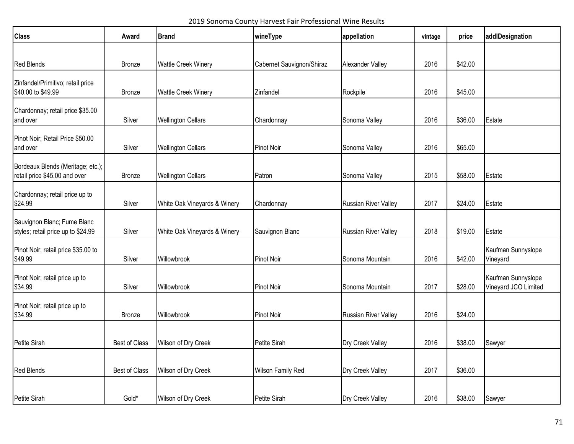2019 Sonoma County Harvest Fair Professional Wine Results

| <b>Class</b>                                                       | Award                | <b>Brand</b>                 | wineType                  | appellation          | vintage | price   | addlDesignation                            |
|--------------------------------------------------------------------|----------------------|------------------------------|---------------------------|----------------------|---------|---------|--------------------------------------------|
|                                                                    |                      |                              |                           |                      |         |         |                                            |
| <b>Red Blends</b>                                                  | <b>Bronze</b>        | <b>Wattle Creek Winery</b>   | Cabernet Sauvignon/Shiraz | Alexander Valley     | 2016    | \$42.00 |                                            |
| Zinfandel/Primitivo; retail price<br>\$40.00 to \$49.99            | <b>Bronze</b>        | <b>Wattle Creek Winery</b>   | Zinfandel                 | Rockpile             | 2016    | \$45.00 |                                            |
| Chardonnay; retail price \$35.00<br>and over                       | Silver               | <b>Wellington Cellars</b>    | Chardonnay                | Sonoma Valley        | 2016    | \$36.00 | Estate                                     |
| Pinot Noir; Retail Price \$50.00<br>and over                       | Silver               | <b>Wellington Cellars</b>    | <b>Pinot Noir</b>         | Sonoma Valley        | 2016    | \$65.00 |                                            |
| Bordeaux Blends (Meritage; etc.);<br>retail price \$45.00 and over | <b>Bronze</b>        | <b>Wellington Cellars</b>    | Patron                    | Sonoma Valley        | 2015    | \$58.00 | Estate                                     |
| Chardonnay; retail price up to<br>\$24.99                          | Silver               | White Oak Vineyards & Winery | Chardonnay                | Russian River Valley | 2017    | \$24.00 | Estate                                     |
| Sauvignon Blanc; Fume Blanc<br>styles; retail price up to \$24.99  | Silver               | White Oak Vineyards & Winery | Sauvignon Blanc           | Russian River Valley | 2018    | \$19.00 | Estate                                     |
| Pinot Noir; retail price \$35.00 to<br>\$49.99                     | Silver               | Willowbrook                  | Pinot Noir                | Sonoma Mountain      | 2016    | \$42.00 | Kaufman Sunnyslope<br>Vineyard             |
| Pinot Noir; retail price up to<br>\$34.99                          | Silver               | Willowbrook                  | <b>Pinot Noir</b>         | Sonoma Mountain      | 2017    | \$28.00 | Kaufman Sunnyslope<br>Vineyard JCO Limited |
| Pinot Noir; retail price up to<br>\$34.99                          | <b>Bronze</b>        | Willowbrook                  | <b>Pinot Noir</b>         | Russian River Valley | 2016    | \$24.00 |                                            |
| Petite Sirah                                                       | <b>Best of Class</b> | Wilson of Dry Creek          | Petite Sirah              | Dry Creek Valley     | 2016    | \$38.00 | Sawyer                                     |
| <b>Red Blends</b>                                                  | <b>Best of Class</b> | Wilson of Dry Creek          | Wilson Family Red         | Dry Creek Valley     | 2017    | \$36.00 |                                            |
| Petite Sirah                                                       | Gold*                | Wilson of Dry Creek          | Petite Sirah              | Dry Creek Valley     | 2016    | \$38.00 | Sawyer                                     |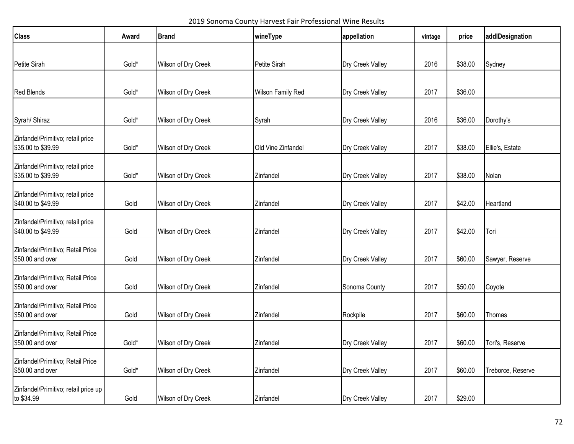2019 Sonoma County Harvest Fair Professional Wine Results

| <b>Class</b>                                            | Award | <b>Brand</b>        | wineType           | appellation      | vintage | price   | addlDesignation   |
|---------------------------------------------------------|-------|---------------------|--------------------|------------------|---------|---------|-------------------|
|                                                         |       |                     |                    |                  |         |         |                   |
| Petite Sirah                                            | Gold* | Wilson of Dry Creek | Petite Sirah       | Dry Creek Valley | 2016    | \$38.00 | Sydney            |
|                                                         |       |                     |                    |                  |         |         |                   |
| <b>Red Blends</b>                                       | Gold* | Wilson of Dry Creek | Wilson Family Red  | Dry Creek Valley | 2017    | \$36.00 |                   |
| Syrah/ Shiraz                                           | Gold* | Wilson of Dry Creek | Syrah              | Dry Creek Valley | 2016    | \$36.00 | Dorothy's         |
| Zinfandel/Primitivo; retail price<br>\$35.00 to \$39.99 | Gold* | Wilson of Dry Creek | Old Vine Zinfandel | Dry Creek Valley | 2017    | \$38.00 | Ellie's, Estate   |
| Zinfandel/Primitivo; retail price<br>\$35.00 to \$39.99 | Gold* | Wilson of Dry Creek | Zinfandel          | Dry Creek Valley | 2017    | \$38.00 | Nolan             |
| Zinfandel/Primitivo; retail price<br>\$40.00 to \$49.99 | Gold  | Wilson of Dry Creek | Zinfandel          | Dry Creek Valley | 2017    | \$42.00 | Heartland         |
| Zinfandel/Primitivo; retail price<br>\$40.00 to \$49.99 | Gold  | Wilson of Dry Creek | Zinfandel          | Dry Creek Valley | 2017    | \$42.00 | Tori              |
| Zinfandel/Primitivo; Retail Price<br>\$50.00 and over   | Gold  | Wilson of Dry Creek | Zinfandel          | Dry Creek Valley | 2017    | \$60.00 | Sawyer, Reserve   |
| Zinfandel/Primitivo; Retail Price<br>\$50.00 and over   | Gold  | Wilson of Dry Creek | Zinfandel          | Sonoma County    | 2017    | \$50.00 | Coyote            |
| Zinfandel/Primitivo; Retail Price<br>\$50.00 and over   | Gold  | Wilson of Dry Creek | Zinfandel          | Rockpile         | 2017    | \$60.00 | Thomas            |
| Zinfandel/Primitivo; Retail Price<br>\$50.00 and over   | Gold* | Wilson of Dry Creek | Zinfandel          | Dry Creek Valley | 2017    | \$60.00 | Tori's, Reserve   |
| Zinfandel/Primitivo; Retail Price<br>\$50.00 and over   | Gold* | Wilson of Dry Creek | Zinfandel          | Dry Creek Valley | 2017    | \$60.00 | Treborce, Reserve |
| Zinfandel/Primitivo; retail price up<br>to \$34.99      | Gold  | Wilson of Dry Creek | Zinfandel          | Dry Creek Valley | 2017    | \$29.00 |                   |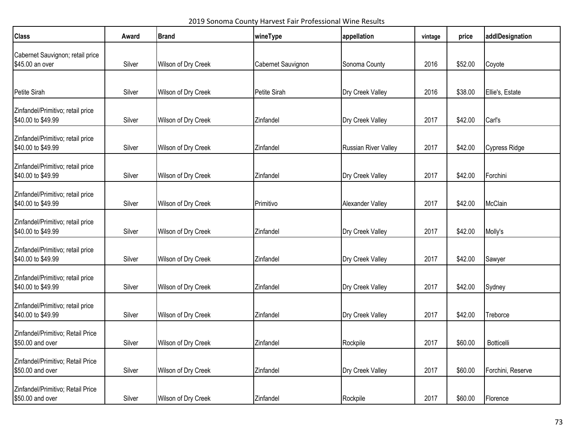2019 Sonoma County Harvest Fair Professional Wine Results

| <b>Class</b>                                            | Award  | <b>Brand</b>        | wineType           | appellation                 | vintage | price   | addlDesignation   |
|---------------------------------------------------------|--------|---------------------|--------------------|-----------------------------|---------|---------|-------------------|
| Cabernet Sauvignon; retail price<br>\$45.00 an over     | Silver | Wilson of Dry Creek | Cabernet Sauvignon | Sonoma County               | 2016    | \$52.00 | Coyote            |
|                                                         |        |                     |                    |                             |         |         |                   |
| Petite Sirah                                            | Silver | Wilson of Dry Creek | Petite Sirah       | Dry Creek Valley            | 2016    | \$38.00 | Ellie's, Estate   |
| Zinfandel/Primitivo; retail price<br>\$40.00 to \$49.99 | Silver | Wilson of Dry Creek | Zinfandel          | Dry Creek Valley            | 2017    | \$42.00 | Carl's            |
| Zinfandel/Primitivo; retail price<br>\$40.00 to \$49.99 | Silver | Wilson of Dry Creek | Zinfandel          | <b>Russian River Valley</b> | 2017    | \$42.00 | Cypress Ridge     |
| Zinfandel/Primitivo; retail price<br>\$40.00 to \$49.99 | Silver | Wilson of Dry Creek | Zinfandel          | Dry Creek Valley            | 2017    | \$42.00 | Forchini          |
| Zinfandel/Primitivo; retail price<br>\$40.00 to \$49.99 | Silver | Wilson of Dry Creek | Primitivo          | Alexander Valley            | 2017    | \$42.00 | McClain           |
| Zinfandel/Primitivo; retail price<br>\$40.00 to \$49.99 | Silver | Wilson of Dry Creek | Zinfandel          | Dry Creek Valley            | 2017    | \$42.00 | Molly's           |
| Zinfandel/Primitivo; retail price<br>\$40.00 to \$49.99 | Silver | Wilson of Dry Creek | Zinfandel          | Dry Creek Valley            | 2017    | \$42.00 | Sawyer            |
| Zinfandel/Primitivo; retail price<br>\$40.00 to \$49.99 | Silver | Wilson of Dry Creek | Zinfandel          | Dry Creek Valley            | 2017    | \$42.00 | Sydney            |
| Zinfandel/Primitivo; retail price<br>\$40.00 to \$49.99 | Silver | Wilson of Dry Creek | Zinfandel          | Dry Creek Valley            | 2017    | \$42.00 | Treborce          |
| Zinfandel/Primitivo; Retail Price<br>\$50.00 and over   | Silver | Wilson of Dry Creek | Zinfandel          | Rockpile                    | 2017    | \$60.00 | Botticelli        |
| Zinfandel/Primitivo; Retail Price<br>\$50.00 and over   | Silver | Wilson of Dry Creek | Zinfandel          | Dry Creek Valley            | 2017    | \$60.00 | Forchini, Reserve |
| Zinfandel/Primitivo; Retail Price<br>\$50.00 and over   | Silver | Wilson of Dry Creek | Zinfandel          | Rockpile                    | 2017    | \$60.00 | Florence          |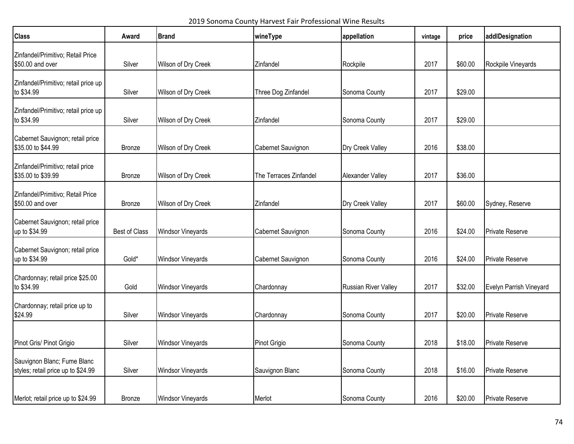2019 Sonoma County Harvest Fair Professional Wine Results

| <b>Class</b>                                                      | Award         | <b>Brand</b>             | wineType               | appellation                 | vintage | price   | addlDesignation         |
|-------------------------------------------------------------------|---------------|--------------------------|------------------------|-----------------------------|---------|---------|-------------------------|
| Zinfandel/Primitivo; Retail Price<br>\$50.00 and over             | Silver        | Wilson of Dry Creek      | Zinfandel              | Rockpile                    | 2017    | \$60.00 | Rockpile Vineyards      |
| Zinfandel/Primitivo; retail price up<br>to \$34.99                | Silver        | Wilson of Dry Creek      | Three Dog Zinfandel    | Sonoma County               | 2017    | \$29.00 |                         |
| Zinfandel/Primitivo; retail price up<br>to \$34.99                | Silver        | Wilson of Dry Creek      | Zinfandel              | Sonoma County               | 2017    | \$29.00 |                         |
| Cabernet Sauvignon; retail price<br>\$35.00 to \$44.99            | <b>Bronze</b> | Wilson of Dry Creek      | Cabernet Sauvignon     | Dry Creek Valley            | 2016    | \$38.00 |                         |
| Zinfandel/Primitivo; retail price<br>\$35.00 to \$39.99           | <b>Bronze</b> | Wilson of Dry Creek      | The Terraces Zinfandel | Alexander Valley            | 2017    | \$36.00 |                         |
| Zinfandel/Primitivo; Retail Price<br>\$50.00 and over             | Bronze        | Wilson of Dry Creek      | Zinfandel              | Dry Creek Valley            | 2017    | \$60.00 | Sydney, Reserve         |
| Cabernet Sauvignon; retail price<br>up to \$34.99                 | Best of Class | <b>Windsor Vineyards</b> | Cabernet Sauvignon     | Sonoma County               | 2016    | \$24.00 | Private Reserve         |
| Cabernet Sauvignon; retail price<br>up to \$34.99                 | Gold*         | <b>Windsor Vineyards</b> | Cabernet Sauvignon     | Sonoma County               | 2016    | \$24.00 | Private Reserve         |
| Chardonnay; retail price \$25.00<br>to \$34.99                    | Gold          | <b>Windsor Vineyards</b> | Chardonnay             | <b>Russian River Valley</b> | 2017    | \$32.00 | Evelyn Parrish Vineyard |
| Chardonnay; retail price up to<br>\$24.99                         | Silver        | <b>Windsor Vineyards</b> | Chardonnay             | Sonoma County               | 2017    | \$20.00 | Private Reserve         |
| Pinot Gris/ Pinot Grigio                                          | Silver        | <b>Windsor Vineyards</b> | Pinot Grigio           | Sonoma County               | 2018    | \$18.00 | Private Reserve         |
| Sauvignon Blanc; Fume Blanc<br>styles; retail price up to \$24.99 | Silver        | <b>Windsor Vineyards</b> | Sauvignon Blanc        | Sonoma County               | 2018    | \$16.00 | Private Reserve         |
| Merlot; retail price up to \$24.99                                | Bronze        | <b>Windsor Vineyards</b> | Merlot                 | Sonoma County               | 2016    | \$20.00 | Private Reserve         |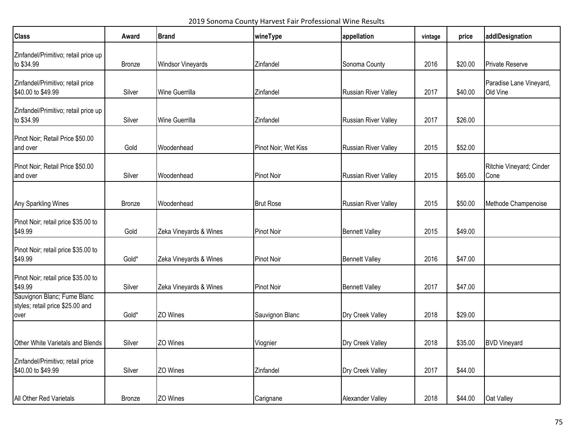2019 Sonoma County Harvest Fair Professional Wine Results

| <b>Class</b>                                                            | Award  | <b>Brand</b>             | wineType             | appellation                 | vintage | price   | addlDesignation                     |
|-------------------------------------------------------------------------|--------|--------------------------|----------------------|-----------------------------|---------|---------|-------------------------------------|
| Zinfandel/Primitivo; retail price up<br>to \$34.99                      | Bronze | <b>Windsor Vineyards</b> | Zinfandel            | Sonoma County               | 2016    | \$20.00 | Private Reserve                     |
| Zinfandel/Primitivo; retail price<br>\$40.00 to \$49.99                 | Silver | Wine Guerrilla           | Zinfandel            | Russian River Valley        | 2017    | \$40.00 | Paradise Lane Vineyard,<br>Old Vine |
| Zinfandel/Primitivo; retail price up<br>to \$34.99                      | Silver | <b>Wine Guerrilla</b>    | Zinfandel            | <b>Russian River Valley</b> | 2017    | \$26.00 |                                     |
| Pinot Noir; Retail Price \$50.00<br>and over                            | Gold   | Woodenhead               | Pinot Noir; Wet Kiss | <b>Russian River Valley</b> | 2015    | \$52.00 |                                     |
| Pinot Noir; Retail Price \$50.00<br>and over                            | Silver | Woodenhead               | <b>Pinot Noir</b>    | <b>Russian River Valley</b> | 2015    | \$65.00 | Ritchie Vineyard; Cinder<br>Cone    |
| Any Sparkling Wines                                                     | Bronze | Woodenhead               | <b>Brut Rose</b>     | Russian River Valley        | 2015    | \$50.00 | Methode Champenoise                 |
| Pinot Noir; retail price \$35.00 to<br>\$49.99                          | Gold   | Zeka Vineyards & Wines   | <b>Pinot Noir</b>    | <b>Bennett Valley</b>       | 2015    | \$49.00 |                                     |
| Pinot Noir; retail price \$35.00 to<br>\$49.99                          | Gold*  | Zeka Vineyards & Wines   | <b>Pinot Noir</b>    | <b>Bennett Valley</b>       | 2016    | \$47.00 |                                     |
| Pinot Noir; retail price \$35.00 to<br>\$49.99                          | Silver | Zeka Vineyards & Wines   | <b>Pinot Noir</b>    | <b>Bennett Valley</b>       | 2017    | \$47.00 |                                     |
| Sauvignon Blanc; Fume Blanc<br>styles; retail price \$25.00 and<br>over | Gold*  | ZO Wines                 | Sauvignon Blanc      | Dry Creek Valley            | 2018    | \$29.00 |                                     |
| Other White Varietals and Blends                                        | Silver | ZO Wines                 | Viognier             | Dry Creek Valley            | 2018    | \$35.00 | <b>BVD Vineyard</b>                 |
| Zinfandel/Primitivo; retail price<br>\$40.00 to \$49.99                 | Silver | ZO Wines                 | Zinfandel            | Dry Creek Valley            | 2017    | \$44.00 |                                     |
| All Other Red Varietals                                                 | Bronze | ZO Wines                 | Carignane            | Alexander Valley            | 2018    | \$44.00 | Oat Valley                          |